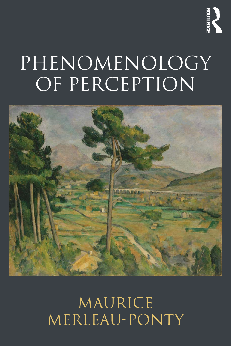

# PHENOMENOLOGY OF PERCEPTION



**MAURICE** Merleau-Ponty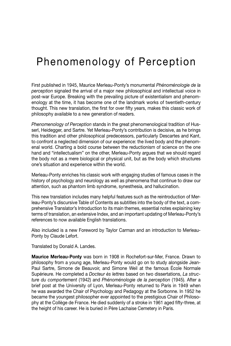# Phenomenology of Perception

First published in 1945, Maurice Merleau-Ponty's monumental *Phénoménologie de la perception* signaled the arrival of a major new philosophical and intellectual voice in post-war Europe. Breaking with the prevailing picture of existentialism and phenomenology at the time, it has become one of the landmark works of twentieth-century thought. This new translation, the first for over fifty years, makes this classic work of philosophy available to a new generation of readers.

*Phenomenology of Perception* stands in the great phenomenological tradition of Husserl, Heidegger, and Sartre. Yet Merleau-Ponty's contribution is decisive, as he brings this tradition and other philosophical predecessors, particularly Descartes and Kant, to confront a neglected dimension of our experience: the lived body and the phenomenal world. Charting a bold course between the reductionism of science on the one hand and "intellectualism" on the other, Merleau-Ponty argues that we should regard the body not as a mere biological or physical unit, but as the body which structures one's situation and experience within the world.

Merleau-Ponty enriches his classic work with engaging studies of famous cases in the history of psychology and neurology as well as phenomena that continue to draw our attention, such as phantom limb syndrome, synesthesia, and hallucination.

This new translation includes many helpful features such as the reintroduction of Merleau-Ponty's discursive Table of Contents as subtitles into the body of the text, a comprehensive Translator's Introduction to its main themes, essential notes explaining key terms of translation, an extensive Index, and an important updating of Merleau-Ponty's references to now available English translations.

Also included is a new Foreword by Taylor Carman and an introduction to Merleau-Ponty by Claude Lefort.

Translated by Donald A. Landes.

**Maurice Merleau-Ponty** was born in 1908 in Rochefort-sur-Mer, France. Drawn to philosophy from a young age, Merleau-Ponty would go on to study alongside Jean-Paul Sartre, Simone de Beauvoir, and Simone Weil at the famous École Normale Supérieure. He completed a *Docteur ès lettres* based on two dissertations, *La structure du comportement* (1942) and *Phénoménologie de la perception* (1945). After a brief post at the University of Lyon, Merleau-Ponty returned to Paris in 1949 when he was awarded the Chair of Psychology and Pedagogy at the Sorbonne. In 1952 he became the youngest philosopher ever appointed to the prestigious Chair of Philosophy at the Collège de France. He died suddenly of a stroke in 1961 aged fifty-three, at the height of his career. He is buried in Père Lachaise Cemetery in Paris.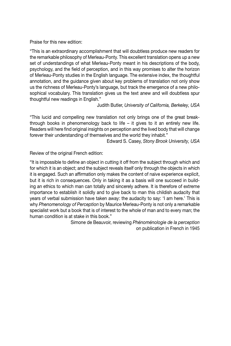Praise for this new edition:

"This is an extraordinary accomplishment that will doubtless produce new readers for the remarkable philosophy of Merleau-Ponty. This excellent translation opens up a new set of understandings of what Merleau-Ponty meant in his descriptions of the body, psychology, and the field of perception, and in this way promises to alter the horizon of Merleau-Ponty studies in the English language. The extensive index, the thoughtful annotation, and the guidance given about key problems of translation not only show us the richness of Merleau-Ponty's language, but track the emergence of a new philosophical vocabulary. This translation gives us the text anew and will doubtless spur thoughtful new readings in English."

Judith Butler, *University of California, Berkeley, USA*

"This lucid and compelling new translation not only brings one of the great breakthrough books in phenomenology back to life – it gives to it an entirely new life. Readers will here find original insights on perception and the lived body that will change forever their understanding of themselves and the world they inhabit."

Edward S. Casey, *Stony Brook University, USA*

Review of the original French edition:

"It is impossible to define an object in cutting it off from the subject through which and for which it is an object; and the subject reveals itself only through the objects in which it is engaged. Such an affirmation only makes the content of naive experience explicit, but it is rich in consequences. Only in taking it as a basis will one succeed in building an ethics to which man can totally and sincerely adhere. It is therefore of extreme importance to establish it solidly and to give back to man this childish audacity that years of verbal submission have taken away: the audacity to say: 'I am here.' This is why *Phenomenology of Perception* by Maurice Merleau-Ponty is not only a remarkable specialist work but a book that is of interest to the whole of man and to every man; the human condition is at stake in this book."

Simone de Beauvoir, reviewing *Phénoménologie de la perception* on publication in French in 1945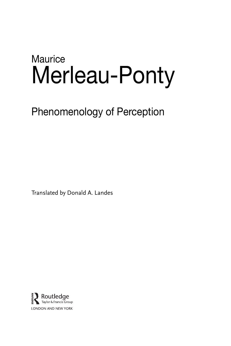# **Maurice** Merleau-Ponty

# Phenomenology of Perception

Translated by Donald A. Landes

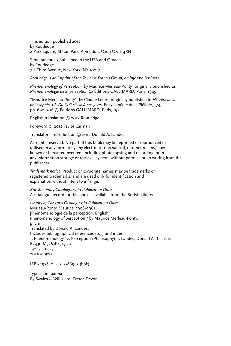This edition published 2012 by Routledge 2 Park Square, Milton Park, Abingdon, Oxon OX14 ARN

Simultaneously published in the USA and Canada by Routledge 711 Third Avenue, New York, NY 10017

*Routledge is an imprint of the Taylor & Francis Group, an informa business*

*Phenomenology of Perception*, by Maurice Merleau-Ponty, originally published as *Phénoménologie de la perception* © Éditions GALLIMARD, Paris, 1945

"Maurice Merleau-Ponty", by Claude Lefort, originally published in *Histoire de la philosophie, III. Du XIXe siècle à nos jours*, Encyclopédie de la Pléiade, 174, pp. 692–706 © Éditions GALLIMARD, Paris, 1974.

English translation © 2012 Routledge

Foreword © 2012 Taylor Carman

Translator's Introduction © 2012 Donald A. Landes

All rights reserved. No part of this book may be reprinted or reproduced or utilised in any form or by any electronic, mechanical, or other means, now known or hereafter invented, including photocopying and recording, or in any information storage or retrieval system, without permission in writing from the publishers.

*Trademark notice*: Product or corporate names may be trademarks or registered trademarks, and are used only for identification and explanation without intent to infringe.

*British Library Cataloguing in Publication Data* A catalogue record for this book is available from the British Library

*Library of Congress Cataloging in Publication Data* Merleau-Ponty, Maurice, 1908–1961. [Phénoménologie de la perception. English] Phenomenology of perception / by Maurice Merleau-Ponty. p. cm. Translated by Donald A. Landes. Includes bibliographical references (p. ) and index. 1. Phenomenology. 2. Perception (Philosophy) I. Landes, Donald A. II. Title. B2430.M3763P4713 2011 142'.7—dc23 2011021920

ISBN: 978–0–415–55869–3 (hbk)

Typeset in Joanna By Swales & Willis Ltd, Exeter, Devon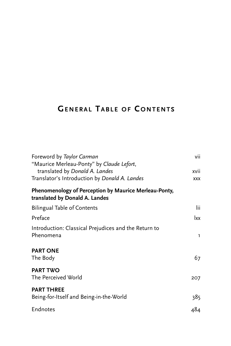# **GENERAL TABLE OF CONTENTS**

| Foreword by Taylor Carman                                                               | vii          |
|-----------------------------------------------------------------------------------------|--------------|
| "Maurice Merleau-Ponty" by Claude Lefort,                                               |              |
| translated by Donald A. Landes                                                          | xvii         |
| Translator's Introduction by Donald A. Landes                                           | <b>XXX</b>   |
| Phenomenology of Perception by Maurice Merleau-Ponty,<br>translated by Donald A. Landes |              |
| <b>Bilingual Table of Contents</b>                                                      | lii          |
| Preface                                                                                 | lxx          |
| Introduction: Classical Prejudices and the Return to<br>Phenomena                       | $\mathbf{1}$ |
| <b>PART ONE</b><br>The Body                                                             | 67           |
| <b>PART TWO</b><br>The Perceived World                                                  | 207          |
| <b>PART THREE</b><br>Being-for-Itself and Being-in-the-World                            | 385          |
| Endnotes                                                                                | 484          |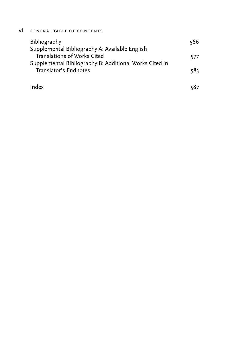## vi general table of contents

| Bibliography                                           | 566 |
|--------------------------------------------------------|-----|
| Supplemental Bibliography A: Available English         |     |
| Translations of Works Cited                            | 577 |
| Supplemental Bibliography B: Additional Works Cited in |     |
| Translator's Endnotes                                  | 583 |
|                                                        |     |

| Index | 587 |  |
|-------|-----|--|
|       |     |  |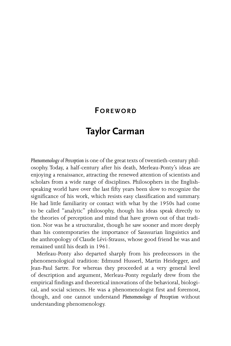# **FOREWORD**

# **[Taylor Carman](#page--1-0)**

*Phenomenology of Perception* is one of the great texts of twentieth-century philosophy. Today, a half-century after his death, Merleau-Ponty's ideas are enjoying a renaissance, attracting the renewed attention of scientists and scholars from a wide range of disciplines. Philosophers in the Englishspeaking world have over the last fifty years been slow to recognize the significance of his work, which resists easy classification and summary. He had little familiarity or contact with what by the 1950s had come to be called "analytic" philosophy, though his ideas speak directly to the theories of perception and mind that have grown out of that tradition. Nor was he a structuralist, though he saw sooner and more deeply than his contemporaries the importance of Saussurian linguistics and the anthropology of Claude Lévi-Strauss, whose good friend he was and remained until his death in 1961.

Merleau-Ponty also departed sharply from his predecessors in the phenomenological tradition: Edmund Husserl, Martin Heidegger, and Jean-Paul Sartre. For whereas they proceeded at a very general level of description and argument, Merleau-Ponty regularly drew from the empirical findings and theoretical innovations of the behavioral, biological, and social sciences. He was a phenomenologist first and foremost, though, and one cannot understand *Phenomenology of Perception* without understanding phenomenology.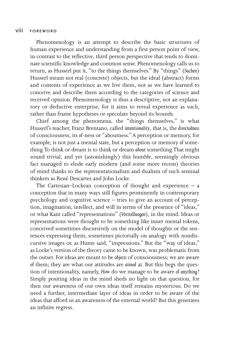## viii foreword

Phenomenology is an attempt to describe the basic structures of human experience and understanding from a first person point of view, in contrast to the reflective, third person perspective that tends to dominate scientific knowledge and common sense. Phenomenology calls us to return, as Husserl put it, "to the things themselves." By "things" (*Sachen*) Husserl meant not real (concrete) objects, but the ideal (abstract) forms and contents of experience as we live them, not as we have learned to conceive and describe them according to the categories of science and received opinion. Phenomenology is thus a descriptive, not an explanatory or deductive enterprise, for it aims to reveal experience as such, rather than frame hypotheses or speculate beyond its bounds.

Chief among the phenomena, the "things themselves," is what Husserl's teacher, Franz Brentano, called *intentionality*, that is, the *directedness* of consciousness, its *of*-ness or "aboutness." A perception or memory, for example, is not just a mental state, but a perception or memory *of* something. To think or dream is to think or dream *about* something. That might sound trivial, and yet (astonishingly) this humble, seemingly obvious fact managed to elude early modern (and some more recent) theories of mind thanks to the representationalism and dualism of such seminal thinkers as René Descartes and John Locke.

The Cartesian–Lockean conception of thought and experience – a conception that in many ways still figures prominently in contemporary psychology and cognitive science – tries to give an account of perception, imagination, intellect, and will in terms of the presence of "ideas," or what Kant called "representations" (*Vorstellungen*), in the mind. Ideas or representations were thought to be something like inner mental tokens, conceived sometimes discursively on the model of thoughts or the sentences expressing them, sometimes pictorially on analogy with nondiscursive images or, as Hume said, "impressions." But the "way of ideas," as Locke's version of the theory came to be known, was problematic from the outset. For ideas are meant to be *objects* of consciousness; we are aware *of* them; they are what our attitudes are *aimed* at. But this begs the question of intentionality, namely, *How* do we manage to be aware *of anything*? Simply positing ideas in the mind sheds no light on that question, for then our awareness of our own ideas itself remains mysterious. Do we need a further, intermediate layer of ideas in order to be aware of the ideas that afford us an awareness of the external world? But this generates an infinite regress.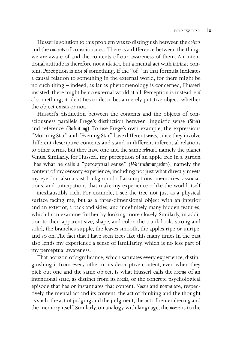Husserl's solution to this problem was to distinguish between the *objects* and the *contents* of consciousness. There is a difference between the things we are aware of and the contents of our awareness of them. An intentional attitude is therefore not a *relation*, but a mental act with *intrinsic* content. Perception is not *of* something, if the "of " in that formula indicates a causal relation to something in the external world, for there might be no such thing – indeed, as far as phenomenology is concerned, Husserl insisted, there might be no external world at all. Perception is instead *as if of* something; it identifies or describes a merely putative object, whether the object exists or not.

Husserl's distinction between the contents and the objects of consciousness parallels Frege's distinction between linguistic sense (*Sinn*) and reference (*Bedeutung*). To use Frege's own example, the expressions "Morning Star" and "Evening Star" have different *senses*, since they involve different descriptive contents and stand in different inferential relations to other terms, but they have one and the same *referent*, namely the planet Venus. Similarly, for Husserl, my perception of an apple tree in a garden has what he calls a "perceptual sense" (*Wahrnehmungssinn*), namely the content of my sensory experience, including not just what directly meets my eye, but also a vast background of assumptions, memories, associations, and anticipations that make my experience – like the world itself – inexhaustibly rich. For example, I see the tree not just as a physical surface facing me, but as a three-dimensional object with an interior and an exterior, a back and sides, and indefinitely many hidden features, which I can examine further by looking more closely. Similarly, in addition to their apparent size, shape, and color, the trunk looks strong and solid, the branches supple, the leaves smooth, the apples ripe or unripe, and so on. The fact that I have seen trees like this many times in the past also lends my experience a sense of familiarity, which is no less part of my perceptual awareness.

That horizon of significance, which saturates every experience, distinguishing it from every other in its descriptive content, even when they pick out one and the same object, is what Husserl calls the *noema* of an intentional state, as distinct from its *noesis*, or the concrete psychological episode that has or instantiates that content. *Noesis* and *noema* are, respectively, the mental act and its content: the act of thinking and the thought as such, the act of judging and the judgment, the act of remembering and the memory itself. Similarly, on analogy with language, the *noesis* is to the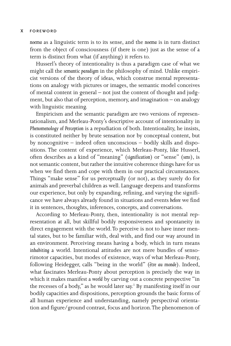#### x foreword

*noema* as a linguistic term is to its sense, and the *noema* is in turn distinct from the object of consciousness (if there is one) just as the sense of a term is distinct from what (if anything) it refers to.

Husserl's theory of intentionality is thus a paradigm case of what we might call the *semantic paradigm* in the philosophy of mind. Unlike empiricist versions of the theory of ideas, which construe mental representations on analogy with pictures or images, the semantic model conceives of mental content in general – not just the content of thought and judgment, but also that of perception, memory, and imagination – on analogy with linguistic meaning.

Empiricism and the semantic paradigm are two versions of representationalism, and Merleau-Ponty's descriptive account of intentionality in *Phenomenology of Perception* is a repudiation of both. Intentionality, he insists, is constituted neither by brute sensation nor by conceptual content, but by noncognitive – indeed often unconscious – bodily skills and dispositions. The content of experience, which Merleau-Ponty, like Husserl, often describes as a kind of "meaning" (*signification*) or "sense" (*sens*), is not semantic content, but rather the intuitive coherence things have for us when we find them and cope with them in our practical circumstances. Things "make sense" for us perceptually (or not), as they surely do for animals and preverbal children as well. Language deepens and transforms our experience, but only by expanding, refining, and varying the significance we have always already found in situations and events *before* we find it in sentences, thoughts, inferences, concepts, and conversations.

According to Merleau-Ponty, then, intentionality is not mental representation at all, but skillful bodily responsiveness and spontaneity in direct engagement with the world. To perceive is not to have inner mental states, but to be familiar with, deal with, and find our way around in an environment. Perceiving means having a body, which in turn means *inhabiting* a world. Intentional attitudes are not mere bundles of sensorimotor capacities, but modes of existence, ways of what Merleau-Ponty, following Heidegger, calls "being in the world" (*être au monde*). Indeed, what fascinates Merleau-Ponty about perception is precisely the way in which it makes manifest a *world* by carving out a concrete perspective "in the recesses of a body," as he would later say.<sup>1</sup> By manifesting itself in our bodily capacities and dispositions, perception grounds the basic forms of all human experience and understanding, namely perspectival orientation and figure/ground contrast, focus and horizon. The phenomenon of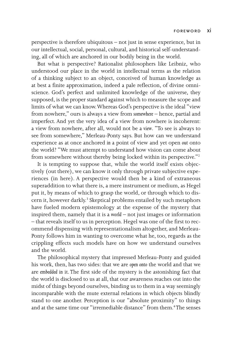perspective is therefore ubiquitous – not just in sense experience, but in our intellectual, social, personal, cultural, and historical self-understanding, all of which are anchored in our bodily being in the world.

But what *is* perspective? Rationalist philosophers like Leibniz, who understood our place in the world in intellectual terms as the relation of a thinking subject to an object, conceived of human knowledge as at best a finite approximation, indeed a pale reflection, of divine omniscience. God's perfect and unlimited knowledge of the universe, they supposed, is the proper standard against which to measure the scope and limits of what we can know. Whereas God's perspective is the ideal "view from nowhere," ours is always a view from *somewhere* – hence, partial and imperfect. And yet the very idea of a view from nowhere is incoherent: a view from nowhere, after all, would not be a *view*. "To see is always to see from somewhere," Merleau-Ponty says. But how can we understand experience as at once anchored *in* a point of view and yet open *out* onto the world? "We must attempt to understand how vision can come about from somewhere without thereby being locked within its perspective.["2](#page--1-0)

It is tempting to suppose that, while the world itself exists objectively (out there), we can know it only through private subjective experiences (in here). A perspective would then be a kind of extraneous superaddition to what there is, a mere instrument or medium, as Hegel put it, by means of which to grasp the world, or through which to dis-cern it, however darkly.<sup>[3](#page--1-0)</sup> Skeptical problems entailed by such metaphors have fueled modern epistemology at the expense of the mystery that inspired them, namely that it is a *world* – not just images or information – that reveals itself to us in perception. Hegel was one of the first to recommend dispensing with representationalism altogether, and Merleau-Ponty follows him in wanting to overcome what he, too, regards as the crippling effects such models have on how we understand ourselves and the world.

The philosophical mystery that impressed Merleau-Ponty and guided his work, then, has two sides: that we are *open onto* the world and that we are *embedded in* it. The first side of the mystery is the astonishing fact that the world is disclosed to us at all, that our awareness reaches out into the midst of things beyond ourselves, binding us to them in a way seemingly incomparable with the mute external relations in which objects blindly stand to one another. Perception is our "absolute proximity" to things and at the same time our "irremediable distance" from them.<sup>4</sup>The senses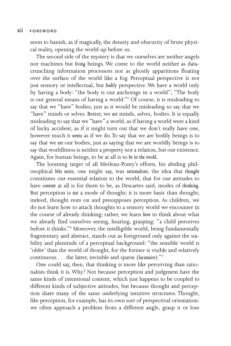seem to banish, as if magically, the density and obscurity of brute physical reality, opening the world up before us.

The second side of the mystery is that we ourselves are neither angels nor machines but *living* beings. We come to the world neither as datacrunching information processors nor as ghostly apparitions floating over the surface of the world like a fog. Perceptual perspective is not just sensory or intellectual, but *bodily* perspective. We have a world only by having a body: "the body is our anchorage in a world"; "The body is our general means of having a world."<sup>[5](#page--1-0)</sup> Of course, it is misleading to say that we "have" bodies, just as it would be misleading so say that we "have" minds or selves. Better, we *are* minds, selves, bodies. It is equally misleading to say that we "have" a world, as if having a world were a kind of lucky accident, as if it might turn out that we don't really have one, however much it *seems* as if we do. To say that we are bodily beings is to say that we *are* our bodies, just as saying that we are worldly beings is to say that worldliness is neither a property nor a relation, but our existence. Again, for human beings, to be at all is to *be in the world*.

The looming target of all Merleau-Ponty's efforts, his abiding philosophical *bête noire*, one might say, was *rationalism*, the idea that *thought* constitutes our essential relation to the world, that for our attitudes to have *content* at all is for them to be, as Descartes said, modes of *thinking*. But perception is *not* a mode of thought; it is more basic than thought; indeed, thought rests on and presupposes perception. As children, we do not learn how to attach thoughts to a sensory world we encounter in the course of already thinking; rather, we learn *how* to think about what we already find ourselves seeing, hearing, grasping: "a child perceives before it thinks."[6](#page--1-0) Moreover, the intelligible world, being fundamentally fragmentary and abstract, stands out as foreground only against the stability and plenitude of a perceptual background: "the sensible world is 'older' than the world of thought, for the former is visible and relatively continuous . . . the latter, invisible and sparse (*lacunaire*)."[7](#page--1-0)

One could say, then, that thinking is more like perceiving than rationalists think it is. Why? Not because perception and judgment have the same kinds of intentional content, which just happens to be coupled to different kinds of subjective attitudes, but because thought and perception share many of the same underlying intuitive structures. Thought, like perception, for example, has its own sort of perspectival orientation: we often approach a problem from a different angle, grasp it or lose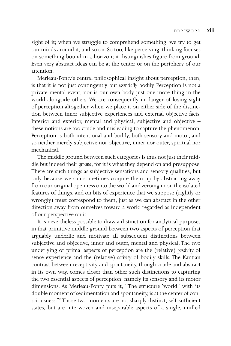sight of it; when we struggle to comprehend something, we try to get our minds around it, and so on. So too, like perceiving, thinking focuses on something bound in a horizon; it distinguishes figure from ground. Even very abstract ideas can be at the center or on the periphery of our attention.

Merleau-Ponty's central philosophical insight about perception, then, is that it is not just contingently but *essentially* bodily. Perception is not a private mental event, nor is our own body just one more thing in the world alongside others. We are consequently in danger of losing sight of perception altogether when we place it on either side of the distinction between inner subjective experiences and external objective facts. Interior and exterior, mental and physical, subjective and objective – these notions are too crude and misleading to capture the phenomenon. Perception is both intentional and bodily, both sensory and motor, and so neither merely subjective nor objective, inner nor outer, spiritual nor mechanical.

The middle ground between such categories is thus not just their middle but indeed their *ground*, for it is what they depend on and presuppose. There are such things as subjective sensations and sensory qualities, but only because we can sometimes conjure them up by abstracting away from our original openness onto the world and zeroing in on the isolated features of things, and on bits of experience that we suppose (rightly or wrongly) must correspond to them, just as we can abstract in the other direction away from ourselves toward a world regarded as independent of our perspective on it.

It is nevertheless possible to draw a distinction for analytical purposes in that primitive middle ground between two aspects of perception that arguably underlie and motivate all subsequent distinctions between subjective and objective, inner and outer, mental and physical. The two underlying or primal aspects of perception are the (relative) *passivity* of sense experience and the (relative) *activity* of bodily skills. The Kantian contrast between receptivity and spontaneity, though crude and abstract in its own way, comes closer than other such distinctions to capturing the two essential aspects of perception, namely its sensory and its motor dimensions. As Merleau-Ponty puts it, "The structure 'world,' with its double moment of sedimentation and spontaneity, is at the center of consciousness."[8](#page--1-0) Those two moments are not sharply distinct, self-sufficient states, but are interwoven and inseparable aspects of a single, unified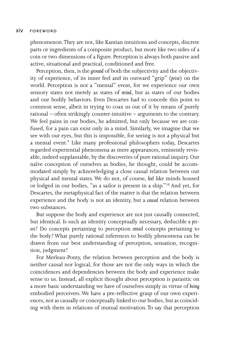phenomenon. They are not, like Kantian intuitions and concepts, discrete parts or ingredients of a composite product, but more like two sides of a coin or two dimensions of a figure. Perception is always both passive and active, situational and practical, conditioned and free.

Perception, then, is the *ground* of both the subjectivity and the objectivity of experience, of its inner feel and its outward "grip" (*prise*) on the world. Perception is not a "mental" event, for we experience our own sensory states not merely as states of *mind*, but as states of our bodies and our bodily behaviors. Even Descartes had to concede this point to common sense, albeit in trying to coax us out of it by means of purely rational – often strikingly counter-intuitive – arguments to the contrary. We feel pains in our bodies, he admitted, but only because we are confused, for a pain can exist only in a mind. Similarly, we imagine that we see with our eyes, but this is impossible, for seeing is not a physical but a mental event.<sup>[9](#page--1-0)</sup> Like many professional philosophers today, Descartes regarded experiential phenomena as mere appearances, eminently revisable, indeed supplantable, by the discoveries of pure rational inquiry. Our naïve conception of ourselves as bodies, he thought, could be accommodated simply by acknowledging a close causal relation between our physical and mental states. We do not, of course, *feel* like minds housed or lodged in our bodies, "as a sailor is present in a ship.["10](#page--1-0) And yet, for Descartes, the metaphysical fact of the matter is that the relation between experience and the body is not an identity, but a *causal* relation between two substances.

But suppose the body and experience are not just causally connected, but identical. Is such an identity conceptually necessary, deducible *a priori*? Do concepts pertaining to perception *entail* concepts pertaining to the body? What purely rational inferences to bodily phenomena can be drawn from our best understanding of perception, sensation, recognition, judgment?

For Merleau-Ponty, the relation between perception and the body is neither causal nor logical, for those are not the only ways in which the coincidences and dependencies between the body and experience make sense to us. Instead, all explicit thought about perception is parasitic on a more basic understanding we have of ourselves simply in virtue of *being* embodied perceivers. We have a pre-reflective grasp of our own experiences, not as causally or conceptually linked to our bodies, but as coinciding with them in relations of mutual motivation. To say that perception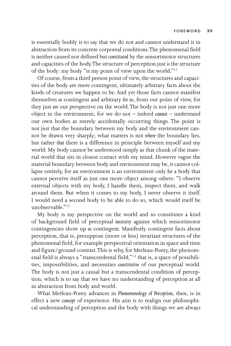is essentially bodily is to say that we do not and cannot understand it in abstraction from its concrete corporeal conditions. The phenomenal field is neither caused nor defined but *constituted* by the sensorimotor structures and capacities of the body. The structure of perception just *is* the structure of the body: my body "is my point of view upon the world.["11](#page--1-0)

Of course, from a third person point of view, the structures and capacities of the body are mere contingent, ultimately arbitrary facts about the kinds of creatures we happen to be. And yet those facts cannot manifest themselves *as* contingent and arbitrary *for us*, from our point of view, for they just *are* our perspective on the world. The body is not just one more object in the environment, for we do not – indeed *cannot* – understand our own bodies as merely accidentally occurring things. The point is not just that the boundary between my body and the environment cannot be drawn very sharply; what matters is not *where* the boundary lies, but rather *that* there is a difference in principle between myself and my world. My body cannot be understood simply as that chunk of the material world that sits in closest contact with my mind. However vague the material boundary between body and environment may be, it cannot collapse entirely, for an environment *is* an environment only *for* a body that cannot perceive itself as just one more object among others: "I observe external objects with my body, I handle them, inspect them, and walk around them. But when it comes to my body, I never observe it itself. I would need a second body to be able to do so, which would itself be unobservable.["12](#page--1-0)

My body is my perspective on the world and so constitutes a kind of background field of perceptual *necessity* against which sensorimotor contingencies show up *as* contingent. Manifestly contingent facts about perception, that is, presuppose (more or less) invariant structures of the phenomenal field, for example perspectival orientation in space and time and figure/ground contrast. This is why, for Merleau-Ponty, the phenom-enal field is always a "transcendental field,"<sup>[13](#page--1-0)</sup> that is, a space of possibilities, impossibilities, and necessities *constitutive* of our perceptual world. The body is not just a causal but a transcendental condition of perception, which is to say that we have no understanding of perception at all in abstraction from body and world.

What Merleau-Ponty advances in *Phenomenology of Perception*, then, is in effect a new *concept* of experience. His aim is to realign our philosophical understanding of perception and the body with things we are always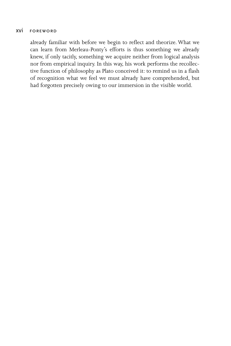## xvi foreword

already familiar with before we begin to reflect and theorize. What we can learn from Merleau-Ponty's efforts is thus something we already knew, if only tacitly, something we acquire neither from logical analysis nor from empirical inquiry. In this way, his work performs the recollective function of philosophy as Plato conceived it: to remind us in a flash of recognition what we feel we must already have comprehended, but had forgotten precisely owing to our immersion in the visible world.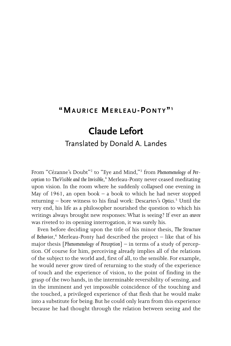# **["MAURICE MERLEAU-PONTY"1](#page--1-0)**

# **Claude Lefort**

# Translated by Donald A. Landes

From "Cézanne's Doubt"[2](#page--1-0) to "Eye and Mind,"[3](#page--1-0) from *Phenomenology of Perception* to *The Visible and the Invisible*, [4](#page--1-0) Merleau-Ponty never ceased meditating upon vision. In the room where he suddenly collapsed one evening in May of 1961, an open book – a book to which he had never stopped returning – bore witness to his final work: Descartes's Optics.<sup>[5](#page--1-0)</sup> Until the very end, his life as a philosopher nourished the question to which his writings always brought new responses: What is seeing? If ever an *œuvre* was riveted to its opening interrogation, it was surely his.

Even before deciding upon the title of his minor thesis, *The Structure of Behavior*, [6](#page--1-0) Merleau-Ponty had described the project – like that of his major thesis [*Phenomenology of Perception*] – in terms of a study of perception. Of course for him, perceiving already implies all of the relations of the subject to the world and, first of all, to the sensible. For example, he would never grow tired of returning to the study of the experience of touch and the experience of vision, to the point of finding in the grasp of the two hands, in the interminable reversibility of sensing, and in the imminent and yet impossible coincidence of the touching and the touched, a privileged experience of that flesh that he would make into a substitute for being. But he could only learn from this experience because he had thought through the relation between seeing and the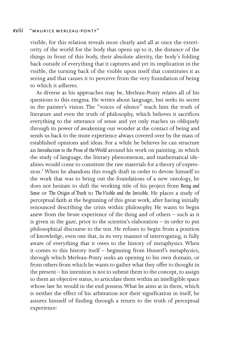#### xviii "maurice merleau-ponty"

visible, for this relation reveals most clearly and all at once the exteriority of the world for the body that opens up to it, the distance of the things in front of this body, their absolute alterity, the body's folding back outside of everything that it captures and yet its implication in the visible, the turning back of the visible upon itself that constitutes it as seeing and that causes it to perceive from the very foundation of being to which it adheres.

As diverse as his approaches may be, Merleau-Ponty relates all of his questions to this enigma. He writes about language, but seeks its secret in the painter's vision. The "voices of silence" teach him the truth of literature and even the truth of philosophy, which believes it sacrifices everything to the utterance of sense and yet only reaches us obliquely through its power of awakening our wonder at the contact of being and sends us back to the mute experience always covered over by the mass of established opinions and ideas. For a while he believes he can structure an *Introduction to the Prose of the World* around his work on painting, in which the study of language, the literary phenomenon, and mathematical idealities would come to constitute the raw materials for a theory of expression.[7](#page--1-0) When he abandons this rough draft in order to devote himself to the work that was to bring out the foundations of a new ontology, he does not hesitate to shift the working title of his project from *Being and Sense* or *The Origin of Truth* to *The Visible and the Invisible*. He places a study of perceptual faith at the beginning of this great work, after having initially renounced describing the crisis within philosophy. He wants to begin anew from the brute experience of the thing and of others – such as it is given in the gaze, prior to the scientist's elaboration – in order to put philosophical discourse to the test. He refuses to begin from a position of knowledge, even one that, in its very manner of interrogating, is fully aware of everything that it owes to the history of metaphysics. When it comes to this history itself – beginning from Husserl's metaphysics, through which Merleau-Ponty seeks an opening to his own domain, or from others from which he wants to gather what they offer to thought in the present – his intention is not to submit them to the concept, to assign to them an objective status, to articulate them within an intelligible space whose law he would in the end possess. What he aims at in them, which is neither the effect of his arbitration nor their signification in itself, he assures himself of finding through a return to the truth of perceptual experience: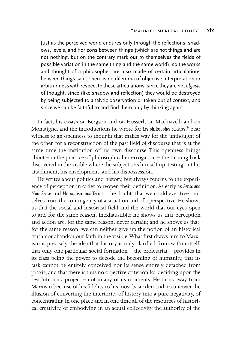Just as the perceived world endures only through the reflections, shadows, levels, and horizons between things (which are not things and are not nothing, but on the contrary mark out by themselves the fields of possible variation in the same thing and the same world), so the works and thought of a philosopher are also made of certain articulations between things said. There is no dilemma of objective interpretation or arbitrariness with respect to these articulations, since they are not *objects* of thought, since (like shadow and reflection) they would be destroyed by being subjected to analytic observation or taken out of context, and since we can be faithful to and find them only by thinking again.<sup>8</sup>

In fact, his essays on Bergson and on Husserl, on Machiavelli and on Montaigne, and the introductions he wrote for *Les philosophes célèbres*, [9](#page--1-0) bear witness to an openness to thought that makes way for the unthought of the other, for a reconstruction of the past field of discourse that is at the same time the institution of his own discourse. This openness brings about – in the practice of philosophical interrogation – the turning back discovered in the visible where the subject sets himself up, testing out his attachment, his envelopment, and his dispossession.

He writes about politics and history, but always returns to the experience of perception in order to reopen their definition. As early as *Sense and Non-Sense* and *Humanism and Terror*, [10](#page--1-0) he doubts that we could ever free ourselves from the contingency of a situation and of a perspective. He shows us that the social and historical field and the world that our eyes open to are, for the same reason, inexhaustible; he shows us that perception and action are, for the same reason, never certain; and he shows us that, for the same reason, we can neither give up the notion of an historical truth nor abandon our faith in the visible. What first draws him to Marxism is precisely the idea that history is only clarified from within itself, that only one particular social formation – the proletariat – provides in its class being the power to decode the becoming of humanity, that its task cannot be entirely conceived nor its sense entirely detached from praxis, and that there is thus no objective criterion for deciding upon the revolutionary project – not in any of its moments. He turns away from Marxism because of his fidelity to his most basic demand: to uncover the illusion of converting the interiority of history into a pure negativity, of concentrating in one place and in one time all of the resources of historical creativity, of embodying in an actual collectivity the authority of the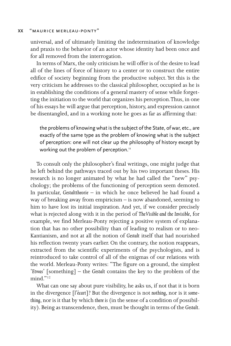#### xx "maurice merleau-ponty"

universal, and of ultimately limiting the indetermination of knowledge and praxis to the behavior of an actor whose identity had been once and for all removed from the interrogation.

In terms of Marx, the only criticism he will offer is of the desire to lead all of the lines of force of history to a center or to construct the entire edifice of society beginning from the productive subject. Yet this is the very criticism he addresses to the classical philosopher, occupied as he is in establishing the conditions of a general mastery of sense while forgetting the initiation to the world that organizes his perception. Thus, in one of his essays he will argue that perception, history, and expression cannot be disentangled, and in a working note he goes as far as affirming that:

the problems of knowing what is the subject of the State, of war, etc., are exactly of the same type as the problem of knowing what is the subject of perception: one will not clear up the philosophy of history except by working out the problem of perception.<sup>11</sup>

To consult only the philosopher's final writings, one might judge that he left behind the pathways traced out by his two important theses. His research is no longer animated by what he had called the "new" psychology; the problems of the functioning of perception seem demoted. In particular, *Gestalttheorie* – in which he once believed he had found a way of breaking away from empiricism – is now abandoned, seeming to him to have lost its initial inspiration. And yet, if we consider precisely what is rejected along with it in the period of *The Visible and the Invisible*, for example, we find Merleau-Ponty rejecting a positive system of explanation that has no other possibility than of leading to realism or to neo-Kantianism, and not at all the notion of *Gestalt* itself that had nourished his reflection twenty years earlier. On the contrary, the notion reappears, extracted from the scientific experiments of the psychologists, and is reintroduced to take control of all of the enigmas of our relations with the world. Merleau-Ponty writes: "The figure on a ground, the simplest '*Etwas*' [something] – the *Gestalt* contains the key to the problem of the  $mid$ "<sup>[12](#page--1-0)</sup>

What can one say about pure visibility, he asks us, if not that it is born in the divergence [*l'écart*]? But the divergence is not *nothing*, nor is it *something*, nor is it that by which *there is* (in the sense of a condition of possibility). Being as transcendence, then, must be thought in terms of the *Gestalt*.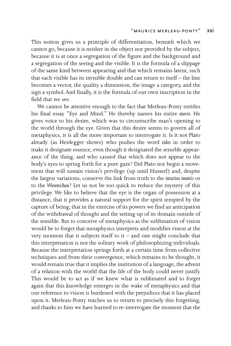This notion gives us a principle of differentiation, beneath which we cannot go, because it is neither in the object nor provided by the subject, because it is at once a segregation of the figure and the background and a segregation of the seeing and the visible. It is the formula of a slippage of the same kind between appearing and that which remains latent, such that each visible has its invisible double and can return to itself – the line becomes a vector, the quality a dimension, the image a category, and the sign a symbol. And finally, it is the formula of our own inscription in the field that we see.

We cannot be attentive enough to the fact that Merleau-Ponty entitles his final essay "Eye and Mind." He thereby names his entire *œuvre*. He gives voice to his desire, which was to circumscribe man's opening to the world through the eye. Given that this desire seems to govern all of metaphysics, it is all the more important to interrogate it. Is it not Plato already (as Heidegger shows) who pushes the word *eidos* in order to make it designate essence, even though it designated the sensible appearance of the thing, and who caused that which does not appear to the body's eyes to spring forth for a pure gaze? Did Plato not begin a movement that will sustain vision's privilege (up until Husserl) and, despite the largest variations, conserve the link from truth to the *intuitus mentis* or to the *Wesenschau*? Let us not be too quick to reduce the mystery of this privilege. We like to believe that the eye is the organ of possession at a distance, that it provides a natural support for the spirit tempted by the capture of being, that in the exercise of its powers we find an anticipation of the withdrawal of thought and the setting up of its domain outside of the sensible. But to conceive of metaphysics as the sublimation of vision would be to forget that metaphysics interprets and modifies vision at the very moment that it subjects itself to  $it$  – and one might conclude that this interpretation is not the solitary work of philosophizing individuals. Because the interpretation springs forth at a certain time from collective techniques and from their convergence, which remains to be thought, it would remain true that it implies the institution of a language, the advent of a relation with the world that the life of the body could never justify. This would be to act as if we knew what is sublimated and to forget again that this knowledge emerges in the wake of metaphysics and that our reference to vision is burdened with the prejudices that it has placed upon it. Merleau-Ponty teaches us to return to precisely this forgetting, and thanks to him we have learned to re-interrogate the moment that the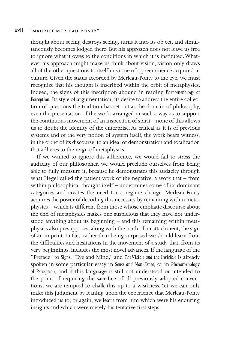## xxii "maurice merleau-ponty"

thought about seeing destroys seeing, turns it into its object, and simultaneously becomes lodged there. But his approach does not leave us free to ignore what it owes to the conditions in which it is instituted. Whatever his approach might make us think about vision, vision only draws all of the other questions to itself in virtue of a preeminence acquired in culture. Given the status accorded by Merleau-Ponty to the eye, we must recognize that his thought is inscribed within the orbit of metaphysics. Indeed, the signs of this inscription abound in reading *Phenomenology of Perception*. Its style of argumentation, its desire to address the entire collection of questions the tradition has set out as the domain of philosophy, even the presentation of the work, arranged in such a way as to support the continuous movement of an inspection of spirit – none of this allows us to doubt the identity of the enterprise. As critical as it is of previous systems and of the very notion of system itself, the work bears witness, in the order of its discourse, to an ideal of demonstration and totalization that adheres to the reign of metaphysics.

If we wanted to ignore this adherence, we would fail to stress the audacity of our philosopher, we would preclude ourselves from being able to fully measure it, because he demonstrates this audacity through what Hegel called the patient work of the negative, a work that – from within philosophical thought itself – undermines some of its dominant categories and creates the need for a regime change. Merleau-Ponty acquires the power of decoding this necessity by remaining within metaphysics – which is different from those whose emphatic discourse about the end of metaphysics makes one suspicious that they have not understood anything about its beginning – and this remaining within metaphysics also presupposes, along with the truth of an attachment, the sign of an imprint. In fact, rather than being surprised we should learn from the difficulties and hesitations in the movement of a study that, from its very beginnings, includes the most novel advances. If the language of the "Preface" to *Signs*, "Eye and Mind," and *The Visible and the Invisible* is already spoken in some particular essay in *Sense and Non-Sense*, or in *Phenomenology of Perception*, and if this language is still not understood or intended to the point of requiring the sacrifice of all previously adopted conventions, we are tempted to chalk this up to a weakness. Yet we can only make this judgment by leaning upon the experience that Merleau-Ponty introduced us to; or again, we learn from him which were his enduring insights and which were merely his tentative first steps.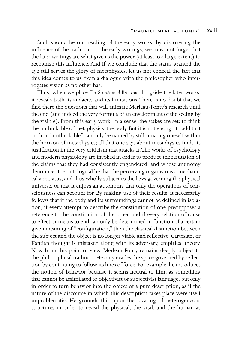Such should be our reading of the early works: by discovering the influence of the tradition on the early writings, we must not forget that the later writings are what give us the power (at least to a large extent) to recognize this influence. And if we conclude that the status granted the eye still serves the glory of metaphysics, let us not conceal the fact that this idea comes to us from a dialogue with the philosopher who interrogates vision as no other has.

Thus, when we place *The Structure of Behavior* alongside the later works, it reveals both its audacity and its limitations. There is no doubt that we find there the questions that will animate Merleau-Ponty's research until the end (and indeed the very formula of an envelopment of the seeing by the visible). From this early work, in a sense, the stakes are set: to think the unthinkable of metaphysics: the body. But it is not enough to add that such an "unthinkable" can only be named by still situating oneself within the horizon of metaphysics; all that one says about metaphysics finds its justification in the very criticism that attacks it. The works of psychology and modern physiology are invoked in order to produce the refutation of the claims that they had consistently engendered, and whose antinomy denounces the ontological lie that the perceiving organism is a mechanical apparatus, and thus wholly subject to the laws governing the physical universe, or that it enjoys an autonomy that only the operations of consciousness can account for. By making use of their results, it necessarily follows that if the body and its surroundings cannot be defined in isolation, if every attempt to describe the constitution of one presupposes a reference to the constitution of the other, and if every relation of cause to effect or means to end can only be determined in function of a certain given meaning of "configuration," then the classical distinction between the subject and the object is no longer viable and reflective, Cartesian, or Kantian thought is mistaken along with its adversary, empirical theory. Now from this point of view, Merleau-Ponty remains deeply subject to the philosophical tradition. He only evades the space governed by reflection by continuing to follow its lines of force. For example, he introduces the notion of behavior because it seems neutral to him, as something that cannot be assimilated to objectivist or subjectivist language, but only in order to turn behavior into the object of a pure description, as if the nature of the discourse in which this description takes place were itself unproblematic. He grounds this upon the locating of heterogeneous structures in order to reveal the physical, the vital, and the human as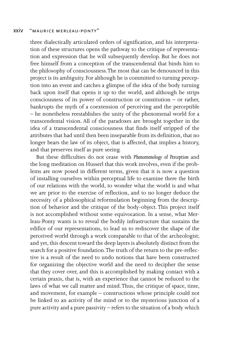#### xxiv "maurice merleau-ponty"

three dialectically articulated orders of signification, and his interpretation of these structures opens the pathway to the critique of representation and expression that he will subsequently develop. But he does not free himself from a conception of the transcendental that binds him to the philosophy of consciousness. The most that can be denounced in this project is its ambiguity. For although he is committed to turning perception into an event and catches a glimpse of the idea of the body turning back upon itself that opens it up to the world, and although he strips consciousness of its power of construction or constitution – or rather, bankrupts the myth of a coextension of perceiving and the perceptible – he nonetheless reestablishes the unity of the phenomenal world for a transcendental vision. All of the paradoxes are brought together in the idea of a transcendental consciousness that finds itself stripped of the attributes that had until then been inseparable from its definition, that no longer bears the law of its object, that is affected, that implies a history, and that preserves itself as pure seeing.

But these difficulties do not cease with *Phenomenology of Perception* and the long meditation on Husserl that this work involves, even if the problems are now posed in different terms, given that it is now a question of installing ourselves within perceptual life to examine there the birth of our relations with the world, to wonder what the world is and what we are prior to the exercise of reflection, and to no longer deduce the necessity of a philosophical reformulation beginning from the description of behavior and the critique of the body-object. This project itself is not accomplished without some equivocation. In a sense, what Merleau-Ponty wants is to reveal the bodily infrastructure that sustains the edifice of our representations, to lead us to rediscover the shape of the perceived world through a work comparable to that of the archeologist; and yet, this descent toward the deep layers is absolutely distinct from the search for a positive foundation. The truth of the return to the pre-reflective is a result of the need to undo notions that have been constructed for organizing the objective world and the need to decipher the sense that they cover over, and this is accomplished by making contact with a certain praxis, that is, with an experience that cannot be reduced to the laws of what we call matter and mind. Thus, the critique of space, time, and movement, for example – constructions whose principle could not be linked to an activity of the mind or to the mysterious junction of a pure activity and a pure passivity – refers to the situation of a body which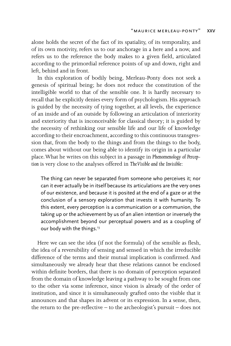alone holds the secret of the fact of its spatiality, of its temporality, and of its own motivity, refers us to our anchorage in a here and a now, and refers us to the reference the body makes to a given field, articulated according to the primordial reference points of up and down, right and left, behind and in front.

In this exploration of bodily being, Merleau-Ponty does not seek a genesis of spiritual being; he does not reduce the constitution of the intelligible world to that of the sensible one. It is hardly necessary to recall that he explicitly denies every form of psychologism. His approach is guided by the necessity of tying together, at all levels, the experience of an inside and of an outside by following an articulation of interiority and exteriority that is inconceivable for classical theory; it is guided by the necessity of rethinking our sensible life and our life of knowledge according to their encroachment, according to this continuous transgression that, from the body to the things and from the things to the body, comes about without our being able to identify its origin in a particular place. What he writes on this subject in a passage in *Phenomenology of Perception* is very close to the analyses offered in *The Visible and the Invisible*:

The thing can never be separated from someone who perceives it; nor can it ever actually be in itself because its articulations are the very ones of our existence, and because it is posited at the end of a gaze or at the conclusion of a sensory exploration that invests it with humanity. To this extent, every perception is a communication or a communion, the taking up or the achievement by us of an alien intention or inversely the accomplishment beyond our perceptual powers and as a coupling of our body with the things.<sup>13</sup>

Here we can see the idea (if not the formula) of the sensible as flesh, the idea of a reversibility of sensing and sensed in which the irreducible difference of the terms and their mutual implication is confirmed. And simultaneously we already hear that these relations cannot be enclosed within definite borders, that there is no domain of perception separated from the domain of knowledge leaving a pathway to be sought from one to the other via some inference, since vision is already of the order of institution, and since it is simultaneously grafted onto the visible that it announces and that shapes its advent or its expression. In a sense, then, the return to the pre-reflective – to the archeologist's pursuit – does not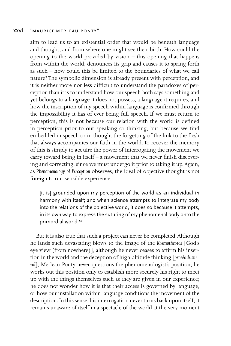#### xxvi "maurice merleau-ponty"

aim to lead us to an existential order that would be beneath language and thought, and from where one might see their birth. How could the opening to the world provided by vision – this opening that happens from within the world, denounces its grip and causes it to spring forth as such – how could this be limited to the boundaries of what we call nature? The symbolic dimension is already present with perception, and it is neither more nor less difficult to understand the paradoxes of perception than it is to understand how our speech both says something and yet belongs to a language it does not possess, a language it requires, and how the inscription of my speech within language is confirmed through the impossibility it has of ever being full speech. If we must return to perception, this is not because our relation with the world is defined in perception prior to our speaking or thinking, but because we find embedded in speech or in thought the forgetting of the link to the flesh that always accompanies our faith in the world. To recover the memory of this is simply to acquire the power of interrogating the movement we carry toward being in itself – a movement that we never finish discovering and correcting, since we must undergo it prior to taking it up. Again, as *Phenomenology of Perception* observes, the ideal of objective thought is not foreign to our sensible experience,

[it is] grounded upon my perception of the world as an individual in harmony with itself; and when science attempts to integrate my body into the relations of the objective world, it does so because it attempts, in its own way, to express the suturing of my phenomenal body onto the primordial world[.14](#page--1-0)

But it is also true that such a project can never be completed. Although he lands such devastating blows to the image of the *Kosmotheoros* [God's eye view (from nowhere)], although he never ceases to affirm his insertion in the world and the deception of high-altitude thinking [*pensée de survol*], Merleau-Ponty never questions the phenomenologist's position; he works out this position only to establish more securely his right to meet up with the things themselves such as they are given in our experience; he does not wonder how it is that their access is governed by language, or how our installation within language conditions the movement of the description. In this sense, his interrogation never turns back upon itself; it remains unaware of itself in a spectacle of the world at the very moment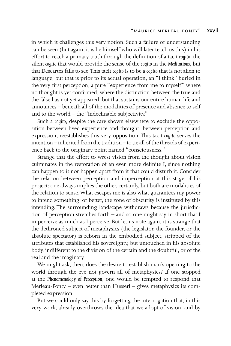in which it challenges this very notion. Such a failure of understanding can be seen (but again, it is he himself who will later teach us this) in his effort to reach a primary truth through the definition of a tacit *cogito*: the silent *cogito* that would provide the sense of the *cogito* in the *Meditations*, but that Descartes fails to see. This tacit *cogito* is to be a *cogito* that is not alien to language, but that is prior to its actual operation, an "I think" buried in the very first perception, a pure "experience from me to myself" where no thought is yet confirmed, where the distinction between the true and the false has not yet appeared, but that sustains our entire human life and announces – beneath all of the modalities of presence and absence to self and to the world – the "indeclinable subjectivity."

Such a *cogito*, despite the care shown elsewhere to exclude the opposition between lived experience and thought, between perception and expression, reestablishes this very opposition. This tacit *cogito* serves the intention – inherited from the tradition – to tie all of the threads of experience back to the originary point named "consciousness."

Strange that the effort to wrest vision from the thought about vision culminates in the restoration of an even more definite I, since nothing can happen to it nor happen apart from it that could disturb it. Consider the relation between perception and imperception at this stage of his project: one always implies the other, certainly, but both are modalities of the relation to sense. What escapes me is also what guarantees my power to intend something; or better, the zone of obscurity is instituted by this intending. The surrounding landscape withdraws because the jurisdiction of perception stretches forth – and so one might say in short that I imperceive as much as I perceive. But let us note again, it is strange that the dethroned subject of metaphysics (the legislator, the founder, or the absolute spectator) is reborn in the embodied subject, stripped of the attributes that established his sovereignty, but untouched in his absolute body, indifferent to the division of the certain and the doubtful, or of the real and the imaginary.

We might ask, then, does the desire to establish man's opening to the world through the eye not govern all of metaphysics? If one stopped at the *Phenomenology of Perception*, one would be tempted to respond that Merleau-Ponty – even better than Husserl – gives metaphysics its completed expression.

But we could only say this by forgetting the interrogation that, in this very work, already overthrows the idea that we adopt of vision, and by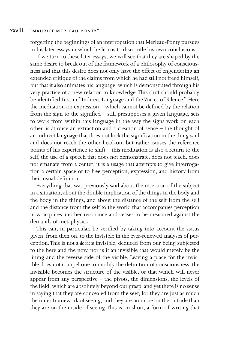## xxviii "maurice merleau-ponty"

forgetting the beginnings of an interrogation that Merleau-Ponty pursues in his later essays in which he learns to dismantle his own conclusions.

If we turn to these later essays, we will see that they are shaped by the same desire to break out of the framework of a philosophy of consciousness and that this desire does not only have the effect of engendering an extended critique of the claims from which he had still not freed himself, but that it also animates his language, which is demonstrated through his very practice of a new relation to knowledge. This shift should probably be identified first in "Indirect Language and the Voices of Silence." Here the meditation on expression – which cannot be defined by the relation from the sign to the signified – still presupposes a given language, sets to work from within this language in the way the signs work on each other, is at once an extraction and a creation of sense – the thought of an indirect language that does not lock the signification in the thing said and does not reach the other head-on, but rather causes the reference points of his experience to shift – this meditation is also a return to the self, the use of a speech that does not demonstrate, does not teach, does not emanate from a center; it is a usage that attempts to give interrogation a certain space or to free perception, expression, and history from their usual definition.

Everything that was previously said about the insertion of the subject in a situation, about the double implication of the things in the body and the body in the things, and about the distance of the self from the self and the distance from the self to the world that accompanies perception now acquires another resonance and ceases to be measured against the demands of metaphysics.

This can, in particular, be verified by taking into account the status given, from then on, to the invisible in the ever-renewed analyses of perception. This is not a *de facto* invisible, deduced from our being subjected to the here and the now, nor is it an invisible that would merely be the lining and the reverse side of the visible. Leaving a place for the invisible does not compel one to modify the definition of consciousness; the invisible becomes the structure of the visible, or that which will never appear from any perspective – the pivots, the dimensions, the levels of the field, which are absolutely beyond our grasp; and yet there is no sense in saying that they are concealed from the seer, for they are just as much the inner framework of seeing, and they are no more on the outside than they are on the inside of seeing. This is, in short, a form of writing that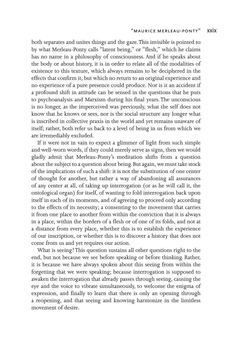both separates and unites things and the gaze. This invisible is pointed to by what Merleau-Ponty calls "latent being," or "flesh," which he claims has no name in a philosophy of consciousness. And if he speaks about the body or about history, it is in order to relate all of the modalities of existence to this texture, which always remains to be deciphered in the effects that confirm it, but which no return to an original experience and no experience of a pure presence could produce. Nor is it an accident if a profound shift in attitude can be sensed in the questions that he puts to psychoanalysis and Marxism during his final years. The unconscious is no longer, as the imperceived was previously, what the self does not know that he knows or sees, nor is the social structure any longer what is inscribed in collective praxis in the world and yet remains unaware of itself; rather, both refer us back to a level of being in us from which we are irremediably excluded.

If it were not in vain to expect a glimmer of light from such simple and well-worn words, if they could merely serve as signs, then we would gladly admit that Merleau-Ponty's meditation shifts from a question about the subject to a question about being. But again, we must take stock of the implications of such a shift: it is not the substitution of one center of thought for another, but rather a way of abandoning all assurances of any center at all, of taking up interrogation (or as he will call it, the ontological organ) for itself, of wanting to fold interrogation back upon itself in each of its moments, and of agreeing to proceed only according to the effects of its necessity; a consenting to the movement that carries it from one place to another from within the conviction that it is always in a place, within the borders of a flesh or of one of its folds, and not at a distance from every place, whether this is to establish the experience of our inscription, or whether this is to discover a history that does not come from us and yet requires our action.

What is seeing? This question sustains all other questions right to the end, but not because we see before speaking or before thinking. Rather, it is because we have always spoken about this seeing from within the forgetting that we were speaking; because interrogation is supposed to awaken the interrogation that already passes through seeing, causing the eye and the voice to vibrate simultaneously, to welcome the enigma of expression, and finally to learn that there is only an opening through a reopening, and that seeing and knowing harmonize in the limitless movement of desire.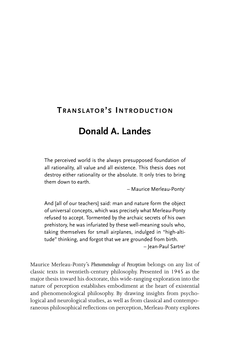# **[TRANSLATOR'S INTRODUCTION](#page--1-0)**

# **Donald A. Landes**

The perceived world is the always presupposed foundation of all rationality, all value and all existence. This thesis does not destroy either rationality or the absolute. It only tries to bring them down to earth.

 $-$  Maurice Merleau-Ponty<sup>1</sup>

And [all of our teachers] said: man and nature form the object of universal concepts, which was precisely what Merleau-Ponty refused to accept. Tormented by the archaic secrets of his own prehistory, he was infuriated by these well-meaning souls who, taking themselves for small airplanes, indulged in "high-altitude" thinking, and forgot that we are grounded from birth.  $-$  Iean-Paul Sartre<sup>2</sup>

Maurice Merleau-Ponty's *Phenomenology of Perception* belongs on any list of classic texts in twentieth-century philosophy. Presented in 1945 as the major thesis toward his doctorate, this wide-ranging exploration into the nature of perception establishes embodiment at the heart of existential and phenomenological philosophy. By drawing insights from psychological and neurological studies, as well as from classical and contemporaneous philosophical reflections on perception, Merleau-Ponty explores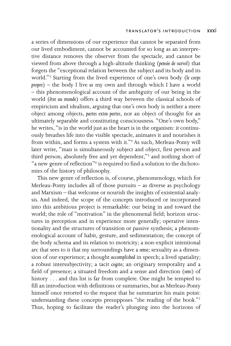a series of dimensions of our experience that cannot be separated from our lived embodiment, cannot be accounted for so long as an interpretive distance removes the observer from the spectacle, and cannot be viewed from above through a high-altitude thinking (*pensée de survol*) that forgets the "exceptional relation between the subject and its body and its world.["3](#page--1-0) Starting from the lived experience of one's own body (*le corps propre*) – the body I live *as* my own and through which I have a world – this phenomenological account of the ambiguity of our being in the world (*être au monde*) offers a third way between the classical schools of empiricism and idealism, arguing that one's own body is neither a mere object among objects, *partes extra partes*, nor an object of thought for an ultimately separable and constituting consciousness. "One's own body," he writes, "is in the world just as the heart is in the organism: it continuously breathes life into the visible spectacle, animates it and nourishes it from within, and forms a system with it."<sup>[4](#page--1-0)</sup> As such, Merleau-Ponty will later write, "man is simultaneously subject and object, first person and third person, absolutely free and yet dependent,"[5](#page--1-0) and nothing short of "a new genre of reflection"<sup>6</sup> is required to find a solution to the dichotomies of the history of philosophy.

This new genre of reflection is, of course, phenomenology, which for Merleau-Ponty includes all of those pursuits – as diverse as psychology and Marxism – that welcome or nourish the insights of existential analysis. And indeed, the scope of the concepts introduced or incorporated into this ambitious project is remarkable: our being in and toward the world; the role of "motivation" in the phenomenal field; horizon structures in perception and in experience more generally; operative intentionality and the structures of transition or passive synthesis; a phenomenological account of habit, gesture, and sedimentation; the concept of the body schema and its relation to motricity; a non-explicit intentional arc that sees to it that my surroundings have a *sense*; sexuality as a dimension of our experience; a thought *accomplished* in speech; a lived spatiality; a robust intersubjectivity; a tacit *cogito*; an originary temporality and a field of presence; a situated freedom and a sense and direction (*sens*) of history . . . and this list is far from complete. One might be tempted to fill an introduction with definitions or summaries, but as Merleau-Ponty himself once retorted to the request that he summarize his main point: understanding these concepts presupposes "the reading of the book."[7](#page--1-0) Thus, hoping to facilitate the reader's plunging into the horizons of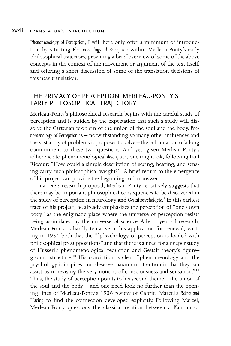## xxxii translator's introduction

*Phenomenology of Perception*, I will here only offer a minimum of introduction by situating *Phenomenology of Perception* within Merleau-Ponty's early philosophical trajectory, providing a brief overview of some of the above concepts in the context of the movement or argument of the text itself, and offering a short discussion of some of the translation decisions of this new translation.

# THE PRIMACY OF PERCEPTION: MERLEAU-PONTY'S EARLY PHILOSOPHICAL TRAJECTORY

Merleau-Ponty's philosophical research begins with the careful study of perception and is guided by the expectation that such a study will dissolve the Cartesian problem of the union of the soul and the body. *Phenomenology of Perception* is – notwithstanding so many other influences and the vast array of problems it proposes to solve – the culmination of a long commitment to these two questions. And yet, given Merleau-Ponty's adherence to phenomenological *description*, one might ask, following Paul Ricœur: "How could a simple description of seeing, hearing, and sensing carry such philosophical weight?["8](#page--1-0) A brief return to the emergence of his project can provide the beginnings of an answer.

In a 1933 research proposal, Merleau-Ponty tentatively suggests that there may be important philosophical consequences to be discovered in the study of perception in neurology and *Gestaltpsychologie*. [9](#page--1-0) In this earliest trace of his project, he already emphasizes the perception of "one's own body" as the enigmatic place where the universe of perception resists being assimilated by the universe of science. After a year of research, Merleau-Ponty is hardly tentative in his application for renewal, writing in 1934 both that the "[p]sychology of perception is loaded with philosophical presuppositions" and that there is a need for a deeper study of Husserl's phenomenological reduction and Gestalt theory's figure– ground structure.[10](#page--1-0) His conviction is clear: "phenomenology and the psychology it inspires thus deserve maximum attention in that they can assist us in revising the very notions of consciousness and sensation."<sup>[11](#page--1-0)</sup> Thus, the study of perception points to his second theme – the union of the soul and the body – and one need look no further than the opening lines of Merleau-Ponty's 1936 review of Gabriel Marcel's *Being and Having* to find the connection developed explicitly. Following Marcel, Merleau-Ponty questions the classical relation between a Kantian or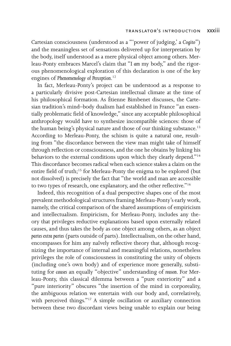Cartesian consciousness (understood as a "'power of judging,' a *Cogito*") and the meaningless set of sensations delivered up for interpretation by the body, itself understood as a mere physical object among others. Merleau-Ponty embraces Marcel's claim that "I *am* my body," and the rigorous phenomenological exploration of this declaration is one of the key engines of *Phenomenology of Perception*. [12](#page--1-0)

In fact, Merleau-Ponty's project can be understood as a response to a particularly divisive post-Cartesian intellectual climate at the time of his philosophical formation. As Étienne Bimbenet discusses, the Cartesian tradition's mind–body dualism had established in France "an essentially problematic field of knowledge," since any acceptable philosophical anthropology would have to synthesize incompatible sciences: those of the human being's physical nature and those of our thinking substance.<sup>13</sup> According to Merleau-Ponty, the schism is quite a natural one, resulting from "the discordance between the view man might take of himself through reflection or consciousness, and the one he obtains by linking his behaviors to the external conditions upon which they clearly depend.["14](#page--1-0) This discordance becomes radical when each science stakes a claim on the entire field of truth;<sup>15</sup> for Merleau-Ponty the enigma to be explored (but not dissolved) is precisely the fact that "the world and man are accessible to two types of research, one explanatory, and the other reflective.["16](#page--1-0)

Indeed, this recognition of a dual perspective shapes one of the most prevalent methodological structures framing Merleau-Ponty's early work, namely, the critical comparison of the shared assumptions of empiricism and intellectualism. Empiricism, for Merleau-Ponty, includes any theory that privileges reductive explanations based upon externally related causes, and thus takes the body as one object among others, as an object *partes extra partes* (parts outside of parts). Intellectualism, on the other hand, encompasses for him any naïvely reflective theory that, although recognizing the importance of internal and meaningful relations, nonetheless privileges the role of consciousness in constituting the unity of objects (including one's own body) and of experience more generally, substituting for *causes* an equally "objective" understanding of *reason*. For Merleau-Ponty, this classical dilemma between a "pure exteriority" and a "pure interiority" obscures "the insertion of the mind in corporeality, the ambiguous relation we entertain with our body and, correlatively, with perceived things."<sup>17</sup> A simple oscillation or auxiliary connection between these two discordant views being unable to explain our being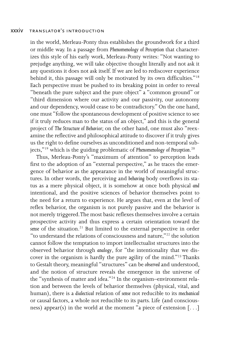## xxxiv translator's introduction

in the world, Merleau-Ponty thus establishes the groundwork for a third or middle way. In a passage from *Phenomenology of Perception* that characterizes this style of his early work, Merleau-Ponty writes: "Not wanting to prejudge anything, we will take objective thought literally and not ask it any questions it does not ask itself. If we are led to rediscover experience behind it, this passage will only be motivated by its own difficulties."<sup>[18](#page--1-0)</sup> Each perspective must be pushed to its breaking point in order to reveal "beneath the pure subject and the pure object" a "common ground" or "third dimension where our activity and our passivity, our autonomy and our dependency, would cease to be contradictory." On the one hand, one must "follow the spontaneous development of positive science to see if it truly reduces man to the status of an object," and this is the general project of *The Structure of Behavior*; on the other hand, one must also "reexamine the reflective and philosophical attitude to discover if it truly gives us the right to define ourselves as unconditioned and non-temporal subjects,["19](#page--1-0) which is the guiding problematic of *Phenomenology of Perception*. [20](#page--1-0)

Thus, Merleau-Ponty's "maximum of attention" to perception leads first to the adoption of an "external perspective," as he traces the emergence of behavior as the appearance in the world of meaningful structures. In other words, the perceiving and *behaving* body overflows its status as a mere physical object, it is somehow at once both physical *and* intentional, and the positive sciences of behavior themselves point to the need for a return to experience. He argues that, even at the level of reflex behavior, the organism is not purely passive and the behavior is not merely triggered. The most basic reflexes themselves involve a certain prospective activity and thus express a certain orientation toward the sense of the situation.<sup>21</sup> But limited to the external perspective in order "to understand the relations of consciousness and nature,"[22](#page--1-0) the solution cannot follow the temptation to import intellectualist structures into the observed behavior through *analogy*, for "the intentionality that we discover in the organism is hardly the pure agility of the mind."[23](#page--1-0) Thanks to Gestalt theory, meaningful "structures" can be *observed* and understood, and the notion of structure reveals the emergence in the universe of the "synthesis of matter and idea.["24](#page--1-0) In the organism–environment relation and between the levels of behavior themselves (physical, vital, and human), there is a *dialectical* relation of *sense* not reducible to its *mechanical* or causal factors, a whole not reducible to its parts. Life (and consciousness) appear(s) in the world at the moment "a piece of extension  $[\ldots]$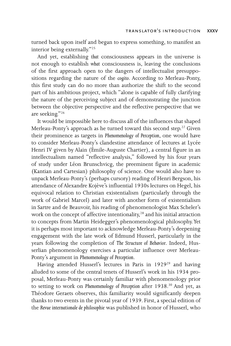turned back upon itself and began to express something, to manifest an interior being externally."[25](#page--1-0)

And yet, establishing *that* consciousness appears in the universe is not enough to establish *what* consciousness is, leaving the conclusions of the first approach open to the dangers of intellectualist presuppositions regarding the nature of the *cogito*. According to Merleau-Ponty, this first study can do no more than authorize the shift to the second part of his ambitious project, which "alone is capable of fully clarifying the nature of the perceiving subject and of demonstrating the junction between the objective perspective and the reflective perspective that we are seeking."[26](#page--1-0)

It would be impossible here to discuss all of the influences that shaped Merleau-Ponty's approach as he turned toward this second step.<sup>27</sup> Given their prominence as targets in *Phenomenology of Perception*, one would have to consider Merleau-Ponty's clandestine attendance of lectures at Lycée Henri IV given by Alain (Émile-Auguste Chartier), a central figure in an intellectualism named "reflective analysis," followed by his four years of study under Léon Brunschvicg, the preeminent figure in academic (Kantian and Cartesian) philosophy of science. One would also have to unpack Merleau-Ponty's (perhaps cursory) reading of Henri Bergson, his attendance of Alexandre Kojève's influential 1930s lectures on Hegel, his equivocal relation to Christian existentialism (particularly through the work of Gabriel Marcel) and later with another form of existentialism in Sartre and de Beauvoir, his reading of phenomenologist Max Scheler's work on the concept of affective intentionality,<sup>28</sup> and his initial attraction to concepts from Martin Heidegger's phenomenological philosophy. Yet it is perhaps most important to acknowledge Merleau-Ponty's deepening engagement with the late work of Edmund Husserl, particularly in the years following the completion of *The Structure of Behavior*. Indeed, Husserlian phenomenology exercises a particular influence over Merleau-Ponty's argument in *Phenomenology of Perception*.

Having attended Husserl's lectures in Paris in 1929<sup>29</sup> and having alluded to some of the central tenets of Husserl's work in his 1934 proposal, Merleau-Ponty was certainly familiar with phenomenology prior to setting to work on *Phenomenology of Perception* after 1938.30 And yet, as Théodore Geraets observes, this familiarity would significantly deepen thanks to two events in the pivotal year of 1939. First, a special edition of the *Revue internationale de philosophie* was published in honor of Husserl, who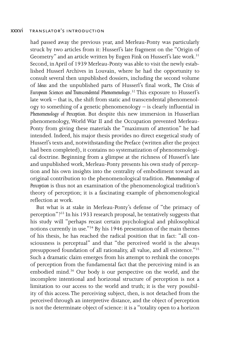#### xxxvi translator's introduction

had passed away the previous year, and Merleau-Ponty was particularly struck by two articles from it: Husserl's late fragment on the "Origin of Geometry" and an article written by Eugen Fink on Husserl's late work.<sup>[31](#page--1-0)</sup> Second, in April of 1939 Merleau-Ponty was able to visit the newly established Husserl Archives in Louvain, where he had the opportunity to consult several then unpublished dossiers, including the second volume of *Ideas* and the unpublished parts of Husserl's final work, *The Crisis of European Sciences and Transcendental Phenomenology*. [32](#page--1-0) This exposure to Husserl's late work – that is, the shift from static and transcendental phenomenology to something of a genetic phenomenology – is clearly influential in *Phenomenology of Perception*. But despite this new immersion in Husserlian phenomenology, World War II and the Occupation prevented Merleau-Ponty from giving these materials the "maximum of attention" he had intended. Indeed, his major thesis provides no direct exegetical study of Husserl's texts and, notwithstanding the Preface (written after the project had been completed), it contains no systematization of phenomenological doctrine. Beginning from a glimpse at the richness of Husserl's late and unpublished work, Merleau-Ponty presents his own study of perception and his own insights into the centrality of embodiment toward an original contribution to the phenomenological tradition. *Phenomenology of Perception* is thus not an examination of the phenomenological tradition's theory of perception; it is a fascinating example of phenomenological reflection at work.

But what is at stake in Merleau-Ponty's defense of "the primacy of perception"[?33](#page--1-0) In his 1933 research proposal, he tentatively suggests that his study will "perhaps recast certain psychological and philosophical notions currently in use."[34](#page--1-0) By his 1946 presentation of the main themes of his thesis, he has reached the radical position that in fact: "all consciousness is perceptual" and that "the perceived world is the always presupposed foundation of all rationality, all value, and all existence."[35](#page--1-0) Such a dramatic claim emerges from his attempt to rethink the concepts of perception from the fundamental fact that the perceiving mind is an embodied mind.[36](#page--1-0) Our body *is* our perspective on the world, and the incomplete intentional and horizonal structure of perception is not a limitation to our access to the world and truth; it is the very possibility of this access. The perceiving subject, then, is not detached from the perceived through an interpretive distance, and the object of perception is not the determinate object of science: it is a "totality open to a horizon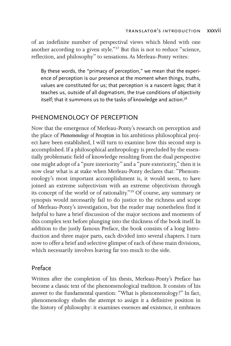of an indefinite number of perspectival views which blend with one another according to a given style."<sup>37</sup> But this is not to reduce "science, reflection, and philosophy" to sensations. As Merleau-Ponty writes:

By these words, the "primacy of perception," we mean that the experience of perception is our presence at the moment when things, truths, values are constituted for us; that perception is a nascent *logos*; that it teaches us, outside of all dogmatism, the true conditions of objectivity itself; that it summons us to the tasks of knowledge and action.<sup>[38](#page--1-0)</sup>

# [PHENOMENOLOGY OF PERCEPTION](#page--1-0)

Now that the emergence of Merleau-Ponty's research on perception and the place of *Phenomenology of Perception* in his ambitious philosophical project have been established, I will turn to examine how this second step is accomplished. If a philosophical anthropology is precluded by the essentially problematic field of knowledge resulting from the dual perspective one might adopt of a "pure interiority" and a "pure exteriority," then it is now clear what is at stake when Merleau-Ponty declares that: "Phenomenology's most important accomplishment is, it would seem, to have joined an extreme subjectivism with an extreme objectivism through its concept of the world or of rationality.["39](#page--1-0) Of course, any summary or synopsis would necessarily fail to do justice to the richness and scope of Merleau-Ponty's investigation, but the reader may nonetheless find it helpful to have a brief discussion of the major sections and moments of this complex text before plunging into the thickness of the book itself. In addition to the justly famous Preface, the book consists of a long Introduction and three major parts, each divided into several chapters. I turn now to offer a brief and selective glimpse of each of these main divisions, which necessarily involves leaving far too much to the side.

# Preface

Written after the completion of his thesis, Merleau-Ponty's Preface has become a classic text of the phenomenological tradition. It consists of his answer to the fundamental question: "What is phenomenology?" In fact, phenomenology eludes the attempt to assign it a definitive position in the history of philosophy: it examines essences *and* existence, it embraces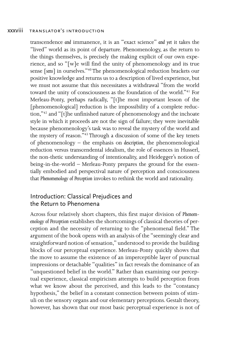## xxxviii translator's introduction

transcendence *and* immanence, it is an "exact science" *and yet* it takes the "lived" world as its point of departure. Phenomenology, as the return to the things themselves, is precisely the making explicit of our own experience, and so "[w]e will find the unity of phenomenology and its true sense [*sens*] in ourselves.["40](#page--1-0) The phenomenological reduction brackets our positive knowledge and returns us to a description of lived experience, but we must not assume that this necessitates a withdrawal "from the world toward the unity of consciousness as the foundation of the world.["41](#page--1-0) For Merleau-Ponty, perhaps radically, "[t]he most important lesson of the [phenomenological] reduction is the impossibility of a complete reduction,["42](#page--1-0) and "[t]he unfinished nature of phenomenology and the inchoate style in which it proceeds are not the sign of failure; they were inevitable because phenomenology's task was to reveal the mystery of the world and the mystery of reason."[43](#page--1-0) Through a discussion of some of the key tenets of phenomenology – the emphasis on *description*, the phenomenological reduction versus transcendental idealism, the role of essences in Husserl, the non-thetic understanding of intentionality, and Heidegger's notion of being-in-the-world – Merleau-Ponty prepares the ground for the essentially embodied and perspectival nature of perception and consciousness that *Phenomenology of Perception* invokes to rethink the world and rationality.

# Introduction: Classical Prejudices and the Return to Phenomena

Across four relatively short chapters, this first major division of *Phenomenology of Perception* establishes the shortcomings of classical theories of perception and the necessity of returning to the "phenomenal field." The argument of the book opens with an analysis of the "seemingly clear and straightforward notion of sensation," understood to provide the building blocks of our perceptual experience. Merleau-Ponty quickly shows that the move to assume the existence of an imperceptible layer of punctual impressions or detachable "qualities" in fact reveals the dominance of an "unquestioned belief in the world." Rather than examining our perceptual experience, classical empiricism attempts to build perception from what we know about the perceived, and this leads to the "constancy hypothesis," the belief in a constant connection between points of stimuli on the sensory organs and our elementary perceptions. Gestalt theory, however, has shown that our most basic perceptual experience is not of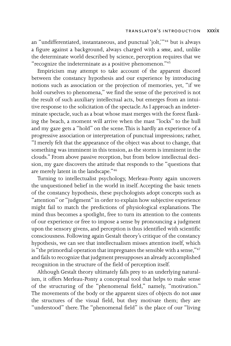an "undifferentiated, instantaneous, and punctual 'jolt,'"[44](#page--1-0) but is always a figure against a background, always charged with a *sense*, and, unlike the determinate world described by science, perception requires that we "recognize the indeterminate as a positive phenomenon.["45](#page--1-0)

Empiricism may attempt to take account of the apparent discord between the constancy hypothesis and our experience by introducing notions such as association or the projection of memories, yet, "if we hold ourselves to phenomena," we find the sense of the perceived is not the result of such auxiliary intellectual acts, but emerges from an intuitive response to the solicitation of the spectacle. As I approach an indeterminate spectacle, such as a boat whose mast merges with the forest flanking the beach, a moment will arrive when the mast "locks" to the hull and my gaze gets a "hold" on the scene. This is hardly an experience of a progressive association or interpretation of punctual impressions; rather, "I merely felt that the appearance of the object was about to change, that something was imminent in this tension, as the storm is imminent in the clouds." From above passive reception, but from below intellectual decision, my gaze discovers the attitude that responds to the "questions that are merely latent in the landscape.["46](#page--1-0)

Turning to intellectualist psychology, Merleau-Ponty again uncovers the unquestioned belief in the world in itself. Accepting the basic tenets of the constancy hypothesis, these psychologists adopt concepts such as "attention" or "judgment" in order to explain how subjective experience might fail to match the predictions of physiological explanations. The mind thus becomes a spotlight, free to turn its attention to the contents of our experience or free to impose a sense by pronouncing a judgment upon the sensory givens, and perception is thus identified with scientific consciousness. Following again Gestalt theory's critique of the constancy hypothesis, we can see that intellectualism misses attention itself, which is "the primordial operation that impregnates the sensible with a sense,"<sup>47</sup> and fails to recognize that judgment presupposes an already accomplished recognition in the structure of the field of perception itself.

Although Gestalt theory ultimately falls prey to an underlying naturalism, it offers Merleau-Ponty a conceptual tool that helps to make sense of the structuring of the "phenomenal field," namely, "motivation." The movements of the body or the apparent sizes of objects do not *cause* the structures of the visual field, but they motivate them; they are "understood" there. The "phenomenal field" is the place of our "living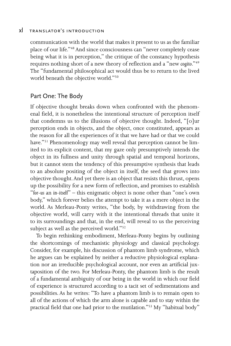## xl translator's introduction

communication with the world that makes it present to us as the familiar place of our life."[48](#page--1-0) And since consciousness can "never completely cease being what it is in perception," the critique of the constancy hypothesis requires nothing short of a new theory of reflection and a "new *cogito*."[49](#page--1-0) The "fundamental philosophical act would thus be to return to the lived world beneath the objective world.["50](#page--1-0)

# Part One: The Body

If objective thought breaks down when confronted with the phenomenal field, it is nonetheless the intentional structure of perception itself that condemns us to the illusions of objective thought. Indeed, "[o]ur perception ends in objects, and the object, once constituted, appears as the reason for all the experiences of it that we have had or that we could have.["51](#page--1-0) Phenomenology may well reveal that perception cannot be limited to its explicit content, that my gaze only presumptively intends the object in its fullness and unity through spatial and temporal horizons, but it cannot stem the tendency of this presumptive synthesis that leads to an absolute positing of the object in itself, the seed that grows into objective thought. And yet there is an object that resists this thrust, opens up the possibility for a new form of reflection, and promises to establish "*for-us* an *in-itself*" – this enigmatic object is none other than "one's own body," which forever belies the attempt to take it as a mere object in the world. As Merleau-Ponty writes, "the body, by withdrawing from the objective world, will carry with it the intentional threads that unite it to its surroundings and that, in the end, will reveal to us the perceiving subject as well as the perceived world."<sup>[52](#page--1-0)</sup>

To begin rethinking embodiment, Merleau-Ponty begins by outlining the shortcomings of mechanistic physiology and classical psychology. Consider, for example, his discussion of phantom limb syndrome, which he argues can be explained by neither a reductive physiological explanation nor an irreducible psychological account, nor even an artificial juxtaposition of the two. For Merleau-Ponty, the phantom limb is the result of a fundamental ambiguity of our being in the world in which our field of experience is structured according to a tacit set of sedimentations and possibilities. As he writes: "To have a phantom limb is to remain open to all of the actions of which the arm alone is capable and to stay within the practical field that one had prior to the mutilation."[53](#page--1-0) My "habitual body"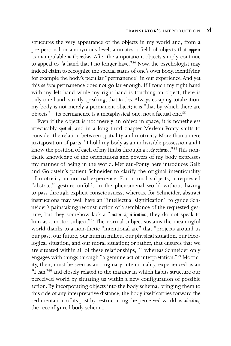structures the very appearance of the objects in my world and, from a pre-personal or anonymous level, animates a field of objects that *appear* as manipulable *in themselves*. After the amputation, objects simply continue to appeal to "a hand that I no longer have.["54](#page--1-0) Now, the psychologist may indeed claim to recognize the special status of one's own body, identifying for example the body's peculiar "permanence" in our experience. And yet this *de facto* permanence does not go far enough. If I touch my right hand with my left hand while my right hand is touching an object, there is only one hand, strictly speaking, that *touches*. Always escaping totalization, my body is not merely a permanent object; it is "that by which there are  $objects'' - its permanence is a metaphysical one, not a factual one.<sup>55</sup>$ 

Even if the object is not merely an object in space, it is nonetheless irrecusably *spatial*, and in a long [third chapter](#page--1-0) Merleau-Ponty shifts to consider the relation between spatiality and motricity. More than a mere juxtaposition of parts, "I hold my body as an indivisible possession and I know the position of each of my limbs through a *body schema*.["56](#page--1-0) This nonthetic knowledge of the orientations and powers of my body expresses my manner of being in the world. Merleau-Ponty here introduces Gelb and Goldstein's patient Schneider to clarify the original intentionality of motricity in normal experience. For normal subjects, a requested "abstract" gesture unfolds in the phenomenal world without having to pass through explicit consciousness, whereas, for Schneider, abstract instructions may well have an "intellectual signification" to guide Schneider's painstaking reconstruction of a semblance of the requested gesture, but they somehow lack a "*motor signification*, they do not speak to him as a motor subject."<sup>[57](#page--1-0)</sup> The normal subject sustains the meaningful world thanks to a non-thetic "intentional arc" that "projects around us our past, our future, our human milieu, our physical situation, our ideological situation, and our moral situation; or rather, that ensures that we are situated within all of these relationships,["58](#page--1-0) whereas Schneider only engages with things through "a genuine act of interpretation."[59](#page--1-0) Motricity, then, must be seen as an originary intentionality, experienced as an "I can"[60](#page--1-0) and closely related to the manner in which habits structure our perceived world by situating us within a new configuration of possible action. By incorporating objects into the body schema, bringing them to this side of any interpretative distance, the body itself carries forward the sedimentation of its past by restructuring the perceived world as *soliciting* the reconfigured body schema.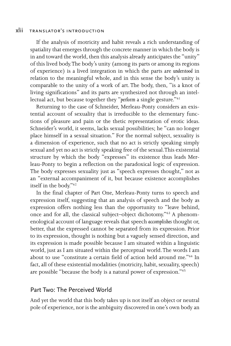## xlii translator's introduction

If the analysis of motricity and habit reveals a rich understanding of spatiality that emerges through the concrete manner in which the body is in and toward the world, then this analysis already anticipates the "unity" of this lived body. The body's unity (among its parts or among its regions of experience) is a lived integration in which the parts are *understood* in relation to the meaningful whole, and in this sense the body's unity is comparable to the unity of a work of art. The body, then, "is a knot of living significations" and its parts are synthesized not through an intellectual act, but because together they "*perform* a single gesture."[61](#page--1-0)

Returning to the case of Schneider, Merleau-Ponty considers an existential account of sexuality that is irreducible to the elementary functions of pleasure and pain or the thetic representation of erotic ideas. Schneider's world, it seems, lacks sexual possibilities; he "can no longer place himself in a sexual situation." For the normal subject, sexuality is a dimension of experience, such that no act is strictly speaking simply sexual and yet no act is strictly speaking free of the sexual. This existential structure by which the body "expresses" its existence thus leads Merleau-Ponty to begin a reflection on the paradoxical logic of expression. The body expresses sexuality just as "speech expresses thought," not as an "external accompaniment of it, but because existence accomplishes itself in the body."[62](#page--1-0)

In the [final chapter](#page--1-0) of [Part One,](#page--1-0) Merleau-Ponty turns to speech and expression itself, suggesting that an analysis of speech and the body as expression offers nothing less than the opportunity to "leave behind, once and for all, the classical subject–object dichotomy.["63](#page--1-0) A phenomenological account of language reveals that speech *accomplishes* thought or, better, that the expressed cannot be separated from its expression. Prior to its expression, thought is nothing but a vaguely sensed direction, and its expression is made possible because I am situated within a linguistic world, just as I am situated within the perceptual world. The words I am about to use "constitute a certain field of action held around me."[64](#page--1-0) In fact, all of these existential modalities (motricity, habit, sexuality, speech) are possible "because the body is a natural power of expression."[65](#page--1-0)

## Part Two: The Perceived World

And yet the world that this body takes up is not itself an object or neutral pole of experience, nor is the ambiguity discovered in one's own body an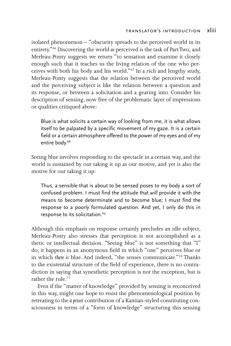## translator's introduction xliii

isolated phenomenon – "obscurity spreads to the perceived world in its entirety."[66](#page--1-0) Discovering the world *as* perceived is the task of [Part Two,](#page--1-0) and Merleau-Ponty suggests we return "to sensation and examine it closely enough such that it teaches us the living relation of the one who perceives with both his body and his world.["67](#page--1-0) In a rich and lengthy study, Merleau-Ponty suggests that the relation between the perceived world and the perceiving subject is like the relation between a question and its response, or between a solicitation and a gearing into. Consider his description of sensing, now free of the problematic layer of impressions or qualities critiqued above:

Blue is what solicits a certain way of looking from me, it is what allows itself to be palpated by a specific movement of my gaze. It is a certain field or a certain atmosphere offered to the power of my eyes and of my entire body.<sup>68</sup>

Seeing blue involves responding to the spectacle in a certain way, and the world is sustained by our taking it up as our motive, and yet is also the motive for our taking it up:

Thus, a sensible that is about to be sensed poses to my body a sort of confused problem. I must find the attitude that *will* provide it with the means to become determinate and to become blue; I must find the response to a poorly formulated question. And yet, I only do this in response to its solicitation.<sup>[69](#page--1-0)</sup>

Although this emphasis on response certainly precludes an idle subject, Merleau-Ponty also stresses that perception is not accomplished as a thetic or intellectual decision. "Seeing blue" is not something that "I" do; it happens in an anonymous field in which "one" perceives blue or in which *there is* blue. And indeed, "the senses communicate."[70](#page--1-0) Thanks to the existential structure of the field of experience, there is no contradiction in saying that synesthetic perception is not the exception, but is rather the rule. $71$ 

Even if the "matter of knowledge" provided by sensing is reconceived in this way, might one hope to resist the phenomenological position by retreating to the *a priori* contribution of a Kantian-styled constituting consciousness in terms of a "form of knowledge" structuring this sensing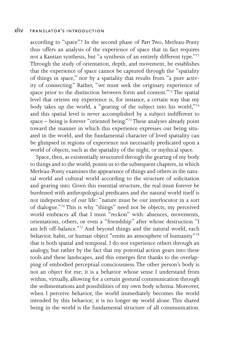#### xliv translator's introduction

according to "space"? In the second phase of [Part Two,](#page--1-0) Merleau-Ponty thus offers an analysis of the experience of space that in fact requires not a Kantian synthesis, but "a synthesis of an entirely different type."[72](#page--1-0) Through the study of orientation, depth, and movement, he establishes that the experience of space cannot be captured through the "spatiality of things in space," nor by a spatiality that results from "a pure activity of connecting." Rather, "we must seek the originary experience of space prior to the distinction between form and content."[73](#page--1-0) The spatial level that orients my experience is, for instance, a certain way that my body takes up the world, a "gearing of the subject into his world,"[74](#page--1-0) and this spatial level is never accomplished by a subject indifferent to space – being is forever "oriented being."[75](#page--1-0) These analyses already point toward the manner in which this experience expresses our being situated in the world, and the fundamental character of lived spatiality can be glimpsed in regions of experience not necessarily predicated upon a world of objects, such as the spatiality of the night, or mythical space.

Space, then, as existentially structured through the gearing of my body to things and to the world, points us to the subsequent chapters, in which Merleau-Ponty examines the appearance of things and others in the natural world and cultural world according to the structure of solicitation and gearing into. Given this essential structure, the real must forever be burdened with anthropological predicates and the natural world itself is not independent of our life: "nature must be our interlocutor in a sort of dialogue.["76](#page--1-0) This is why "things" need not be objects; my perceived world embraces all that I must "reckon" with: absences, movements, orientations, others, or even a "friendship" after whose destruction "I am left off-balance.["77](#page--1-0) And beyond things and the natural world, each behavior, habit, or human object "emits an atmosphere of humanity"[78](#page--1-0) that is both spatial and temporal. I do not experience others through an analogy, but rather by the fact that my potential action gears into these tools and these landscapes, and this emerges first thanks to the overlapping of embodied perceptual consciousness. The other person's body is not an object for me; it is a behavior whose sense I understand from within, virtually, allowing for a certain gestural communication through the sedimentations and possibilities of my own body schema. Moreover, when I perceive behavior, the world immediately becomes the world intended by this behavior; it is no longer *my* world alone. This shared being in the world is the fundamental structure of all communication.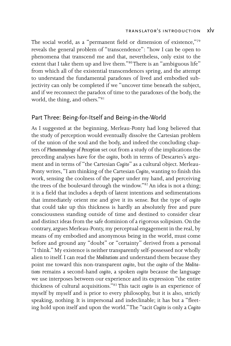The social world, as a "permanent field or dimension of existence,["79](#page--1-0) reveals the general problem of "transcendence": "how I can be open to phenomena that transcend me and that, nevertheless, only exist to the extent that I take them up and live them."<sup>80</sup> There is an "ambiguous life" from which all of the existential transcendences spring, and the attempt to understand the fundamental paradoxes of lived and embodied subjectivity can only be completed if we "uncover time beneath the subject, and if we reconnect the paradox of time to the paradoxes of the body, the world, the thing, and others.["81](#page--1-0)

# Part Three: Being-for-Itself and Being-in-the-World

As I suggested at the beginning, Merleau-Ponty had long believed that the study of perception would eventually dissolve the Cartesian problem of the union of the soul and the body, and indeed the [concluding chap](#page--1-0)[ters o](#page--1-0)f *Phenomenology of Perception* set out from a study of the implications the preceding analyses have for the *cogito*, both in terms of Descartes's argument and in terms of "the Cartesian *Cogito*" as a cultural object. Merleau-Ponty writes, "I am thinking of the Cartesian *Cogito*, wanting to finish this work, sensing the coolness of the paper under my hand, and perceiving the trees of the boulevard through the window."[82](#page--1-0) An idea is not a thing; it is a field that includes a depth of latent intentions and sedimentations that immediately orient me and give it its sense. But the type of *cogito* that could take up this thickness is hardly an absolutely free and pure consciousness standing outside of time and destined to consider clear and distinct ideas from the safe dominion of a rigorous solipsism. On the contrary, argues Merleau-Ponty, my perceptual engagement in the real, by means of my embodied and anonymous being in the world, must come before and ground any "doubt" or "certainty" derived from a personal "I think." My existence is neither transparently self-possessed nor wholly alien to itself. I can read the *Meditations* and understand them because they point me toward this non-transparent *cogito*, but the *cogito* of the *Meditations* remains a second-hand *cogito*, a spoken *cogito* because the language we use interposes between our experience and its expression "the entire thickness of cultural acquisitions.["83](#page--1-0) This tacit *cogito* is an experience of myself by myself and is prior to every philosophy, but it is also, strictly speaking, nothing. It is impersonal and indeclinable; it has but a "fleeting hold upon itself and upon the world." The "tacit *Cogito* is only a *Cogito*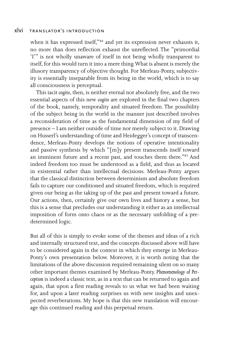## xlvi translator's introduction

when it has expressed itself,"[84](#page--1-0) and yet its expression never exhausts it, no more than does reflection exhaust the unreflected. The "primordial 'I'" is not wholly unaware of itself in not being wholly transparent to itself, for this would turn it into a mere thing. What is absent is merely the illusory transparency of objective thought. For Merleau-Ponty, subjectivity is essentially inseparable from its being in the world, which is to say all consciousness is perceptual.

This tacit *cogito*, then, is neither eternal nor absolutely free, and the two essential aspects of this new *cogito* are explored in the final two chapters of the book, namely, temporality and situated freedom. The possibility of the subject being in the world in the manner just described involves a reconsideration of time as the fundamental dimension of my field of presence – I am neither outside of time nor merely subject to it. Drawing on Husserl's understanding of time and Heidegger's concept of transcendence, Merleau-Ponty develops the notions of operative intentionality and passive synthesis by which "[m]y present transcends itself toward an imminent future and a recent past, and touches them there.["85](#page--1-0) And indeed freedom too must be understood as a field, and thus as located in existential rather than intellectual decisions. Merleau-Ponty argues that the classical distinction between determinism and absolute freedom fails to capture our conditioned and situated freedom, which is required given our being as the taking up of the past and present toward a future. Our actions, then, certainly give our own lives and history a sense, but this is a sense that precludes our understanding it either as an intellectual imposition of form onto chaos or as the necessary unfolding of a predetermined logic.

But all of this is simply to evoke some of the themes and ideas of a rich and internally structured text, and the concepts discussed above will have to be considered again in the context in which they emerge in Merleau-Ponty's own presentation below. Moreover, it is worth noting that the limitations of the above discussion required remaining silent on so many other important themes examined by Merleau-Ponty. *Phenomenology of Perception* is indeed a classic text, as in a text that can be returned to again and again, that upon a first reading reveals to us what we had been waiting for, and upon a later reading surprises us with new insights and unexpected reverberations. My hope is that this new translation will encourage this continued reading and this perpetual return.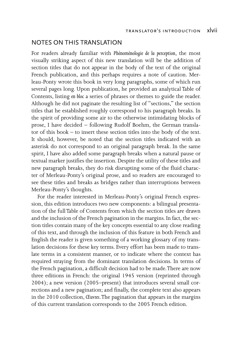## NOTES ON THIS TRANSLATION

For readers already familiar with *Phénoménologie de la perception*, the most visually striking aspect of this new translation will be the addition of section titles that do not appear in the body of the text of the original French publication, and this perhaps requires a note of caution. Merleau-Ponty wrote this book in very long paragraphs, some of which run several pages long. Upon publication, he provided an analytical Table of Contents, listing *en bloc* a series of phrases or themes to guide the reader. Although he did not paginate the resulting list of "sections," the section titles that he established roughly correspond to his paragraph breaks. In the spirit of providing some air to the otherwise intimidating blocks of prose, I have decided – following Rudolf Boehm, the German translator of this book – to insert these section titles into the body of the text. It should, however, be noted that the section titles indicated with an asterisk do not correspond to an original paragraph break. In the same spirit, I have also added some paragraph breaks when a natural pause or textual marker justifies the insertion. Despite the utility of these titles and new paragraph breaks, they do risk disrupting some of the fluid character of Merleau-Ponty's original prose, and so readers are encouraged to see these titles and breaks as bridges rather than interruptions between Merleau-Ponty's thoughts.

For the reader interested in Merleau-Ponty's original French expression, this edition introduces two new components: a bilingual presentation of the full Table of Contents from which the section titles are drawn and the inclusion of the French pagination in the margins. In fact, the section titles contain many of the key concepts essential to any close reading of this text, and through the inclusion of this feature in both French and English the reader is given something of a working glossary of my translation decisions for these key terms. Every effort has been made to translate terms in a consistent manner, or to indicate where the context has required straying from the dominant translation decisions. In terms of the French pagination, a difficult decision had to be made. There are now three editions in French: the original 1945 version (reprinted through 2004); a new version (2005–present) that introduces several small corrections and a new pagination; and finally, the complete text also appears in the 2010 collection, *Œuvres*. The pagination that appears in the margins of this current translation corresponds to the 2005 French edition.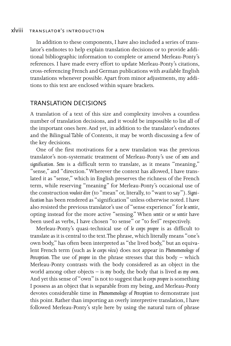### xlviii translator's introduction

In addition to these components, I have also included a series of translator's endnotes to help explain translation decisions or to provide additional bibliographic information to complete or amend Merleau-Ponty's references. I have made every effort to update Merleau-Ponty's citations, cross-referencing French and German publications with available English translations whenever possible. Apart from minor adjustments, my additions to this text are enclosed within square brackets.

## TRANSLATION DECISIONS

A translation of a text of this size and complexity involves a countless number of translation decisions, and it would be impossible to list all of the important ones here. And yet, in addition to the translator's endnotes and the Bilingual Table of Contents, it may be worth discussing a few of the key decisions.

One of the first motivations for a new translation was the previous translator's non-systematic treatment of Merleau-Ponty's use of *sens* and *signification*. *Sens* is a difficult term to translate, as it means "meaning," "sense," and "direction." Wherever the context has allowed, I have translated it as "sense," which in English preserves the richness of the French term, while reserving "meaning" for Merleau-Ponty's occasional use of the construction *vouloir dire* (to "mean" or, literally, to "want to say"). *Signification* has been rendered as "signification" unless otherwise noted. I have also resisted the previous translator's use of "sense experience" for *le sentir*, opting instead for the more active "sensing." When *sentir* or *se sentir* have been used as verbs, I have chosen "to sense" or "to feel" respectively.

Merleau-Ponty's quasi-technical use of *le corps propre* is as difficult to translate as it is central to the text. The phrase, which literally means "one's own body," has often been interpreted as "the lived body," but an equivalent French term (such as *le corps vécu*) does not appear in *Phenomenology of Perception*. The use of *propre* in the phrase stresses that this body – which Merleau-Ponty contrasts with the body considered as an object in the world among other objects – is *my* body, the body that is lived *as my own*. And yet this sense of "own" is not to suggest that *le corps propre* is something I possess as an object that is separable from my being, and Merleau-Ponty devotes considerable time in *Phenomenology of Perception* to demonstrate just this point. Rather than importing an overly interpretive translation, I have followed Merleau-Ponty's style here by using the natural turn of phrase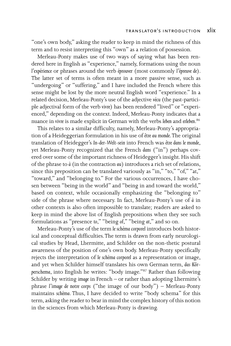"one's own body," asking the reader to keep in mind the richness of this term and to resist interpreting this "own" as a relation of possession.

Merleau-Ponty makes use of two ways of saying what has been rendered here in English as "experience," namely, formations using the noun *l'expérience* or phrases around the verb *éprouver* (most commonly *l'épreuve de*). The latter set of terms is often meant in a more passive sense, such as "undergoing" or "suffering," and I have included the French where this sense might be lost by the more neutral English word "experience." In a related decision, Merleau-Ponty's use of the adjective *vécu* (the past-participle adjectival form of the verb *vivre*) has been rendered "lived" or "experienced," depending on the context. Indeed, Merleau-Ponty indicates that a nuance in *vivre* is made explicit in German with the verbs *leben* and *erleben*. [86](#page--1-0)

This relates to a similar difficulty, namely, Merleau-Ponty's appropriation of a Heideggerian formulation in his use of *être au monde*. The original translation of Heidegger's *In-der-Welt-sein* into French was *être dans le monde*, yet Merleau-Ponty recognized that the French *dans* ("in") perhaps covered over some of the important richness of Heidegger's insight. His shift of the phrase to *à* (in the contraction *au*) introduces a rich set of relations, since this preposition can be translated variously as "in," "to," "of," "at," "toward," and "belonging to." For the various occurrences, I have chosen between "being in the world" and "being in and toward the world," based on context, while occasionally emphasizing the "belonging to" side of the phrase where necessary. In fact, Merleau-Ponty's use of *à* in other contexts is also often impossible to translate; readers are asked to keep in mind the above list of English prepositions when they see such formulations as "presence *to*," "being *of*," "being *at*," and so on.

Merleau-Ponty's use of the term *le schéma corporel* introduces both historical and conceptual difficulties. The term is drawn from early neurological studies by Head, Lhermitte, and Schilder on the non-thetic postural awareness of the position of one's own body. Merleau-Ponty specifically rejects the interpretation of *le schéma corporel* as a representation or image, and yet when Schilder himself translates his own German term, *das Körperschema*, into English he writes: "body image.["87](#page--1-0) Rather than following Schilder by writing *image* in French – or rather than adopting Lhermitte's phrase *l'image de notre corps* ("the image of our body") – Merleau-Ponty maintains *schéma*. Thus, I have decided to write "body schema" for this term, asking the reader to bear in mind the complex history of this notion in the sciences from which Merleau-Ponty is drawing.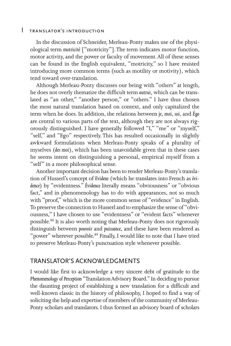## l translator's introduction

In the discussion of Schneider, Merleau-Ponty makes use of the physiological term *motricité* ["motricity"]. The term indicates motor function, motor activity, and the power or faculty of movement. All of these senses can be found in the English equivalent, "motricity," so I have resisted introducing more common terms (such as motility or motivity), which tend toward over-translation.

Although Merleau-Ponty discusses our being with "others" at length, he does not overly thematize the difficult term *autrui*, which can be translated as "an other," "another person," or "others." I have thus chosen the most natural translation based on context, and only capitalized the term when he does. In addition, the relations between *je*, *moi*, *soi*, and *Égo* are central to various parts of the text, although they are not always rigorously distinguished. I have generally followed "I," "me" or "myself," "self," and "Ego" respectively. This has resulted occasionally in slightly awkward formulations when Merleau-Ponty speaks of a plurality of myselves (*des moi*), which has been unavoidable given that in these cases he seems intent on distinguishing a personal, empirical myself from a "self" in a more philosophical sense.

Another important decision has been to render Merleau-Ponty's translation of Husserl's concept of *Evidenz* (which he translates into French as *évidence*) by "evidentness." *Évidence* literally means "obviousness" or "obvious fact," and in phenomenology has to do with appearances, not so much with "proof," which is the more common sense of "evidence" in English. To preserve the connection to Husserl and to emphasize the sense of "obviousness," I have chosen to use "evidentness" or "evident facts" whenever possible[.88](#page--1-0) It is also worth noting that Merleau-Ponty does not rigorously distinguish between *pouvoir* and *puissance*, and these have been rendered as "power" wherever possible.<sup>89</sup> Finally, I would like to note that I have tried to preserve Merleau-Ponty's punctuation style whenever possible.

## TRANSLATOR'S ACKNOWLEDGMENTS

I would like first to acknowledge a very sincere debt of gratitude to the *Phenomenology of Perception* "Translation Advisory Board." In deciding to pursue the daunting project of establishing a new translation for a difficult and well-known classic in the history of philosophy, I hoped to find a way of soliciting the help and expertise of members of the community of Merleau-Ponty scholars and translators. I thus formed an advisory board of scholars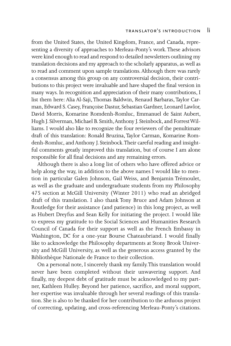from the United States, the United Kingdom, France, and Canada, representing a diversity of approaches to Merleau-Ponty's work. These advisors were kind enough to read and respond to detailed newsletters outlining my translation decisions and my approach to the scholarly apparatus, as well as to read and comment upon sample translations. Although there was rarely a consensus among this group on any controversial decision, their contributions to this project were invaluable and have shaped the final version in many ways. In recognition and appreciation of their many contributions, I list them here: Alia Al-Saji, Thomas Baldwin, Renaud Barbaras, Taylor Carman, Edward S. Casey, Françoise Dastur, Sebastian Gardner, Leonard Lawlor, David Morris, Komarine Romdenh-Romluc, Emmanuel de Saint Aubert, Hugh J. Silverman, Michael B. Smith, Anthony J. Steinbock, and Forrest Williams. I would also like to recognize the four reviewers of the penultimate draft of this translation: Ronald Bruzina, Taylor Carman, Komarine Romdenh-Romluc, and Anthony J. Steinbock. Their careful reading and insightful comments greatly improved this translation, but of course I am alone responsible for all final decisions and any remaining errors.

Although there is also a long list of others who have offered advice or help along the way, in addition to the above names I would like to mention in particular Galen Johnson, Gail Weiss, and Benjamin Trémoulet, as well as the graduate and undergraduate students from my Philosophy 475 section at McGill University (Winter 2011) who read an abridged draft of this translation. I also thank Tony Bruce and Adam Johnson at Routledge for their assistance (and patience) in this long project, as well as Hubert Dreyfus and Sean Kelly for initiating the project. I would like to express my gratitude to the Social Sciences and Humanities Research Council of Canada for their support as well as the French Embassy in Washington, DC for a one-year Bourse Chateaubriand. I would finally like to acknowledge the Philosophy departments at Stony Brook University and McGill University, as well as the generous access granted by the Bibliothèque Nationale de France to their collection.

On a personal note, I sincerely thank my family. This translation would never have been completed without their unwavering support. And finally, my deepest debt of gratitude must be acknowledged to my partner, Kathleen Hulley. Beyond her patience, sacrifice, and moral support, her expertise was invaluable through her several readings of this translation. She is also to be thanked for her contribution to the arduous project of correcting, updating, and cross-referencing Merleau-Ponty's citations.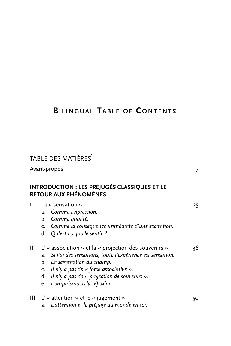# **BILINGUAL TABLE OF CONTENTS**

# TABLE DES MATIÈRES<sup>[1](#page--1-0)</sup>

| Avant-propos |  |
|--------------|--|
|              |  |
|              |  |

# **[INTRODUCTION : LES PRÉJUGÉS CLASSIQUES ET LE](#page--1-0)  RETOUR AUX PHÉNOMÈNES**

|   | La $\kappa$ sensation »                                         |    |
|---|-----------------------------------------------------------------|----|
|   | Comme impression.<br>a.                                         |    |
|   | Comme qualité.<br>b.                                            |    |
|   | c. Comme la conséquence immédiate d'une excitation.             |    |
|   | d. Qu'est-ce que le sentir?                                     |    |
| Ш | L' « association » et la « projection des souvenirs »           | 36 |
|   | Si j'ai des sensations, toute l'expérience est sensation.<br>a. |    |
|   | b. La ségrégation du champ.                                     |    |
|   | c. Il n'y a pas de « force associative ».                       |    |
|   | d. Il n'y a pas de « projection de souvenirs ».                 |    |
|   | e. L'empirisme et la réflexion.                                 |    |
| Ш | L' « attention » et le « jugement »                             | 50 |
|   | L'attention et le préjugé du monde en soi.<br>a.                |    |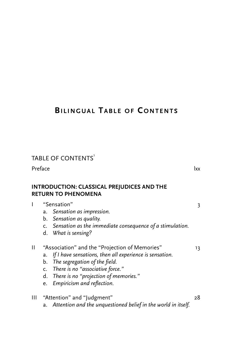# **[BILINGUAL TABLE](#page--1-0) OF CONTENTS**

# TABLE OF CONTENTS'

[Preface lxx](#page--1-0)

## **[INTRODUCTION: CLASSICAL PREJUDICES AND THE](#page--1-0)  RETURN TO PHENOMENA**

# [I "Sensation" 3](#page--1-0) a. *[Sensation as impression.](#page--1-0)* b. *[Sensation as quality.](#page--1-0)* c. *[Sensation as the immediate consequence of a stimulation.](#page--1-0)* d. *[What is sensing?](#page--1-0)* [II "Association" and the "Projection of Memories" 13](#page--1-0) a. *[If I have sensations, then all experience is sensation.](#page--1-0)* b. *[The segregation of the field.](#page--1-0)* c. *[There is no "associative force."](#page--1-0)* d. *[There is no "projection of memories."](#page--1-0)* e. *[Empiricism and reflection.](#page--1-0)* [III "Attention" and "Judgment" 28](#page--1-0) a. *[Attention and the unquestioned belief in the world in itself.](#page--1-0)*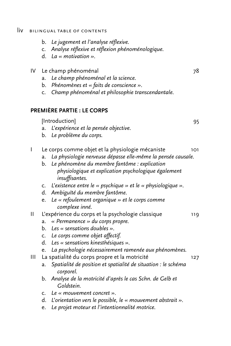## liv bilingual table of contents

- b. *[Le jugement et l'analyse réflexive.](#page--1-0)*
- c. *[Analyse réflexive et réflexion phénoménologique.](#page--1-0)*
- d. *[La « motivation ».](#page--1-0)*

# [IV Le champ phénoménal 78](#page--1-0)

- a. *[Le champ phénoménal et la science.](#page--1-0)*
- b. *[Phénomènes et « faits de conscience ».](#page--1-0)*
- c. *[Champ phénoménal et philosophie transcendantale.](#page--1-0)*

# **[PREMIÈRE PARTIE : LE CORPS](#page--1-0)**

# [\[Introduction\] 95](#page--1-0)

- a. *[L'expérience et la pensée objective.](#page--1-0)*
- b. *[Le problème du corps.](#page--1-0)*
- [I Le corps comme objet et la physiologie mécaniste 101](#page--1-0)
	- a. *[La physiologie nerveuse dépasse elle-même la pensée causale.](#page--1-0)*
	- b. *Le phénomène du membre fantôme : explication [physiologique et explication psychologique également](#page--1-0) insuffisantes.*
	- c. *[L'existence entre le « psychique » et le « physiologique ».](#page--1-0)*
	- d. *[Ambiguïté du membre fantôme.](#page--1-0)*
	- e. *[Le « refoulement organique » et le corps comme](#page--1-0) complexe inné.*
- [II L'expérience du corps et la psychologie classique 119](#page--1-0)
	- a. *[« Permanence » du corps propre.](#page--1-0)*
	- b. *[Les « sensations doubles ».](#page--1-0)*
	- c. *[Le corps comme objet affectif.](#page--1-0)*
	- d. *[Les « sensations kinesthésiques ».](#page--1-0)*
	- e. *[La psychologie nécessairement ramenée aux phénomènes.](#page--1-0)*
- [III La spatialité du corps propre et la motricité 127](#page--1-0)
	-
	- a. *[Spatialité de position et spatialité de situation : le schéma](#page--1-0)  corporel.*
	- b. *[Analyse de la motricité d'après le cas Schn. de Gelb et](#page--1-0) Goldstein.*
	- c. *[Le « mouvement concret ».](#page--1-0)*
	- d. *[L'orientation vers le possible, le « mouvement abstrait ».](#page--1-0)*
	- e. *[Le projet moteur et l'intentionnalité motrice.](#page--1-0)*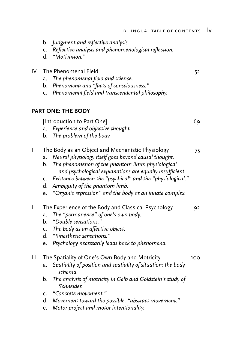- b. *[Judgment and reflective analysis.](#page--1-0)*
- c. *[Reflective analysis and phenomenological reflection.](#page--1-0)*
- d. *["Motivation."](#page--1-0)*

# [IV The Phenomenal Field 52](#page--1-0)

- a. *[The phenomenal field and science.](#page--1-0)*
- b. *[Phenomena and "facts of consciousness."](#page--1-0)*
- c. *[Phenomenal field and transcendental philosophy.](#page--1-0)*

# **[PART ONE: THE BODY](#page--1-0)**

[\[Introduction to Part One\] 69](#page--1-0)

- a. *[Experience and objective thought.](#page--1-0)*
- b. *[The problem of the body.](#page--1-0)*

| The Body as an Object and Mechanistic Physiology | 75 |
|--------------------------------------------------|----|
|--------------------------------------------------|----|

- a. *[Neural physiology itself goes beyond causal thought.](#page--1-0)*
- b. *The phenomenon of the phantom limb: physiological [and psychological explanations are equally insufficient.](#page--1-0)*
- c. *[Existence between the "psychical" and the "physiological."](#page--1-0)*
- d. *[Ambiguity of the phantom limb.](#page--1-0)*
- e. *["Organic repression" and the body as an innate complex.](#page--1-0)*

# [II The Experience of the Body and Classical Psychology 92](#page--1-0)

- a. *[The "permanence" of one's own body.](#page--1-0)*
- b. *["Double sensations."](#page--1-0)*
- c. *[The body as an affective object.](#page--1-0)*
- d. *["Kinesthetic sensations."](#page--1-0)*
- e. *[Psychology necessarily leads back to phenomena.](#page--1-0)*

# [III The Spatiality of One's Own Body and Motricity 100](#page--1-0)

- a. *[Spatiality of position and spatiality of situation: the body](#page--1-0) schema.*
- b. *[The analysis of motricity in Gelb and Goldstein's study of](#page--1-0) Schneider.*
- c. *["Concrete movement."](#page--1-0)*
- d. *[Movement toward the possible, "abstract movement."](#page--1-0)*
- e. *[Motor project and motor intentionality.](#page--1-0)*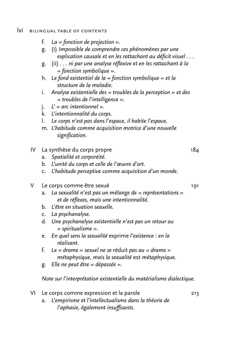## lvi bilingual table of contents

- f. *[La « fonction de projection ».](#page--1-0)*
- g. (i) *Impossible de comprendre ces phénomènes par une [explication causale et en les rattachant au déficit visuel . . .](#page--1-0)*
- g. (ii) *[. . . ni par une analyse réflexive et en les rattachant à la](#page--1-0) « fonction symbolique ».*
- h. *[Le fond existentiel de la « fonction symbolique » et la](#page--1-0)  structure de la maladie.*
- i. *[Analyse existentielle des « troubles de la perception » et des](#page--1-0)  « troubles de l'intelligence ».*
- j. *[L' « arc intentionnel ».](#page--1-0)*
- k. *[L'intentionnalité du corps.](#page--1-0)*
- l. *[Le corps n'est pas dans l'espace, il habite l'espace.](#page--1-0)*
- m. *[L'habitude comme acquisition motrice d'une nouvelle](#page--1-0) signification.*

| IV La synthèse du corps propre | 184 |
|--------------------------------|-----|
|                                |     |

- a. *[Spatialité et corporéité.](#page--1-0)*
- b. *[L'unité du corps et celle de l'œuvre d'art.](#page--1-0)*
- c. *[L'habitude perceptive comme acquisition d'un monde.](#page--1-0)*
- V Le corps comme être sexué d'annuncier de la corporation de la corporation de la corporation de la corporation
	- a. *[La sexualité n'est pas un mélange de « représentations »](#page--1-0)  et de réflexes, mais une intentionnalité.*
	- b. *[L'être en situation sexuelle.](#page--1-0)*
	- c. *[La psychanalyse.](#page--1-0)*
	- d. *[Une psychanalyse existentielle n'est pas un retour au](#page--1-0)  « spiritualisme ».*
	- e. *[En quel sens la sexualité](#page--1-0)* exprime *l'existence : en la réalisant.*
	- f. *Le « drame » sexuel ne se* réduit *pas au « drame » [métaphysique, mais la sexualité](#page--1-0)* est *métaphysique.*
	- g. *[Elle ne peut être « dépassée ».](#page--1-0)*

 *[Note sur l'interprétation existentielle du matérialisme dialectique.](#page--1-0)*

[VI Le corps comme expression et la parole 213](#page--1-0) a. *[L'empirisme et l'intellectualisme dans la théorie de](#page--1-0)  l'aphasie, également insuffisants.*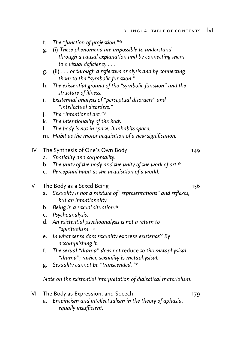- f. *[The "function of projection."](#page--1-0)*\*
- g. (i) *These phenomena are impossible to understand [through a causal explanation and by connecting them](#page--1-0)  to a visual deficiency . . .*
- g. (ii) *[. . . or through a reflective analysis and by connecting](#page--1-0) them to the "symbolic function."*
- h. *[The existential ground of the "symbolic function" and the](#page--1-0)  structure of illness.*
- i. *[Existential analysis of "perceptual disorders" and](#page--1-0)  "intellectual disorders."*
- j. *[The "intentional arc."](#page--1-0)*\*
- k. *[The intentionality of the body.](#page--1-0)*
- l. *[The body is not in space, it inhabits space.](#page--1-0)*
- m. *[Habit as the motor acquisition of a new signification.](#page--1-0)*

# [IV The Synthesis of One's Own Body 149](#page--1-0)

- a. *[Spatiality and corporeality.](#page--1-0)*
- b. *[The unity of the body and the unity of the work of art.](#page--1-0)*\*
- c. *[Perceptual habit as the acquisition of a world.](#page--1-0)*

## [V The Body as a Sexed Being 156](#page--1-0)

- a. *[Sexuality is not a mixture of "representations" and reflexes,](#page--1-0)  but an intentionality.*
- b. *[Being in a sexual situation.](#page--1-0)*\*
- c. *[Psychoanalysis.](#page--1-0)*
- d. *[An existential psychoanalysis is not a return to](#page--1-0) "spiritualism."*\*
- e. *[In what sense does sexuality](#page--1-0)* express *existence? By accomplishing it.*
- f. *The sexual "drama" does not* reduce *to the metaphysical ["drama"; rather, sexuality](#page--1-0)* is *metaphysical.*
- g. *[Sexuality cannot be "transcended."](#page--1-0)*\*

 *[Note on the existential interpretation of dialectical materialism.](#page--1-0)*

[VI The Body as Expression, and Speech 179](#page--1-0) a. *[Empiricism and intellectualism in the theory of aphasia,](#page--1-0) equally insufficient.*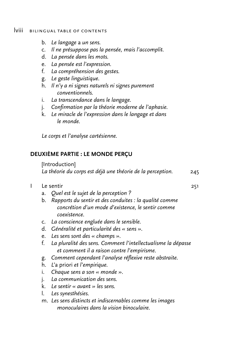## lviii bilingual table of contents

- b. *[Le langage](#page--1-0)* a *un sens.*
- c. *[Il ne présuppose pas la pensée, mais l'accomplit.](#page--1-0)*
- d. *[La pensée dans les mots.](#page--1-0)*
- e. *[La pensée est l'expression.](#page--1-0)*
- f. *[La compréhension des gestes.](#page--1-0)*
- g. *[Le geste linguistique.](#page--1-0)*
- h. *[Il n'y a ni signes naturels ni signes purement](#page--1-0) conventionnels.*
- i. *[La transcendance dans le langage.](#page--1-0)*
- j. *[Confirmation par la théorie moderne de l'aphasie.](#page--1-0)*
- k. *[Le miracle de l'expression dans le langage et dans](#page--1-0)  le monde.*

 *[Le corps et l'analyse cartésienne.](#page--1-0)*

# **[DEUXIÈME PARTIE : LE MONDE PERÇU](#page--1-0)**

[\[Introduction\]](#page--1-0) 

*[La théorie du corps est déjà une théorie de la perception.](#page--1-0)* 245

- [I Le sentir 251](#page--1-0)
	- a. *[Quel est le sujet de la perception ?](#page--1-0)*
	- b. *Rapports du sentir et des conduites : la qualité comme [concrétion d'un mode d'existence, le sentir comme](#page--1-0)  coexistence.*
	- c. *[La conscience engluée dans le sensible.](#page--1-0)*
	- d. *[Généralité et particularité des « sens ».](#page--1-0)*
	- e. *[Les sens sont des « champs ».](#page--1-0)*
	- f. *[La pluralité des sens. Comment l'intellectualisme la dépasse](#page--1-0) et comment il a raison contre l'empirisme.*
	- g. *[Comment cependant l'analyse réflexive reste abstraite.](#page--1-0)*
	- h. *L'*a priori *[et l'empirique.](#page--1-0)*
	- i. *[Chaque sens a son « monde ».](#page--1-0)*
	- j. *[La communication des sens.](#page--1-0)*
	- k. *[Le sentir « avant » les sens.](#page--1-0)*
	- l. *[Les synesthésies.](#page--1-0)*
	- m. *[Les sens distincts et indiscernables comme les images](#page--1-0)  monoculaires dans la vision binoculaire.*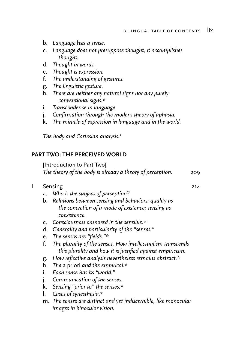- b. *[Language](#page--1-0)* has *a sense.*
- c. *[Language does not presuppose thought, it accomplishes](#page--1-0)  thought.*
- d. *[Thought in words.](#page--1-0)*
- e. *[Thought is expression.](#page--1-0)*
- f. *[The understanding of gestures.](#page--1-0)*
- g. *[The linguistic gesture.](#page--1-0)*
- h. *[There are neither any natural signs nor any purely](#page--1-0)  conventional signs.*\*
- i. *[Transcendence in language.](#page--1-0)*
- j. *[Confirmation through the modern theory of aphasia.](#page--1-0)*
- k. *[The miracle of expression in language and in the world.](#page--1-0)*

*[The body and Cartesian analysis.](#page--1-0)*[2](#page--1-0)

## **[PART TWO: THE PERCEIVED WORLD](#page--1-0)**

 [\[Introduction to Part Two\]](#page--1-0) *[The theory of the body is already a theory of perception.](#page--1-0)* 209

## [I Sensing 214](#page--1-0)

- a. *[Who is the subject of perception?](#page--1-0)*
- b. *Relations between sensing and behaviors: quality as [the concretion of a mode of existence; sensing as](#page--1-0)  coexistence.*
- c. *[Consciousness ensnared in the sensible.](#page--1-0)*\*
- d. *[Generality and particularity of the "senses."](#page--1-0)*
- e. *[The senses are "fields."](#page--1-0)*\*
- f. *The plurality of the senses. How intellectualism transcends [this plurality and how it is justified against empiricism.](#page--1-0)*
- g. *[How reflective analysis nevertheless remains abstract.](#page--1-0)*\*
- h. *The* a priori *[and the empirical.](#page--1-0)*\*
- i. *[Each sense has its "world."](#page--1-0)*
- j. *[Communication of the senses.](#page--1-0)*
- k. *[Sensing "prior to" the senses.](#page--1-0)*\*
- l. *[Cases of synesthesia.](#page--1-0)*\*
- m. *[The senses are distinct and yet indiscernible, like monocular](#page--1-0) images in binocular vision.*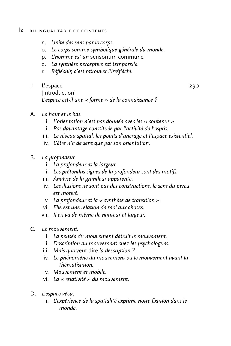## lx bilingual table of contents

- n. *[Unité des sens par le corps.](#page--1-0)*
- o. *[Le corps comme symbolique générale du monde.](#page--1-0)*
- p. *L'homme est un* [sensorium commune](#page--1-0)*.*
- q. *[La synthèse perceptive est temporelle.](#page--1-0)*
- r. *[Réfléchir, c'est retrouver l'irréfléchi.](#page--1-0)*
- 

[II L'espace 290](#page--1-0) [Introduction] *[L'espace est-il une « forme » de la connaissance ?](#page--1-0)*

- A. *[Le haut et le bas.](#page--1-0)*
	- i. *[L'orientation n'est pas donnée avec les « contenus ».](#page--1-0)*
	- ii. *[Pas davantage constituée par l'activité de l'esprit.](#page--1-0)*
	- iii. *[Le niveau spatial, les points d'ancrage et l'espace existentiel.](#page--1-0)*
	- iv. *[L'être n'a de sens que par son orientation.](#page--1-0)*
- B. *[La profondeur.](#page--1-0)*
	- i. *[La profondeur et la largeur.](#page--1-0)*
	- ii. *[Les prétendus signes de la profondeur sont des motifs.](#page--1-0)*
	- iii. *[Analyse de la grandeur apparente.](#page--1-0)*
	- iv. *[Les illusions ne sont pas des constructions, le sens du perçu](#page--1-0)  est motivé.*
	- v. *[La profondeur et la « synthèse de transition ».](#page--1-0)*
	- vi. *[Elle est une relation de moi aux choses.](#page--1-0)*
	- vii. *[Il en va de même de hauteur et largeur.](#page--1-0)*
- C. *[Le mouvement.](#page--1-0)*
	- i. *[La pensée du mouvement détruit le mouvement.](#page--1-0)*
	- ii. *[Description du mouvement chez les psychologues.](#page--1-0)*
	- iii. *Mais que* veut dire *[la description ?](#page--1-0)*
	- iv. *[Le phénomène du mouvement ou le mouvement avant la](#page--1-0)  thématisation.*
	- v. *[Mouvement et mobile.](#page--1-0)*
	- vi. *[La « relativité » du mouvement.](#page--1-0)*
- D. *[L'espace vécu.](#page--1-0)*
	- i. *[L'expérience de la spatialité exprime notre fixation dans le](#page--1-0) monde.*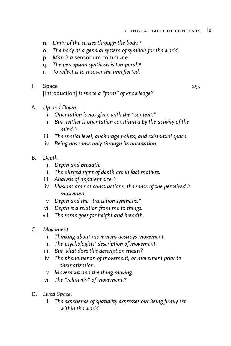- n. *[Unity of the senses through the body.](#page--1-0)*\*
- o. *[The body as a general system of symbols for the world.](#page--1-0)*
- p. *Man is a* [sensorium commune](#page--1-0)*.*
- q. *[The perceptual synthesis is temporal.](#page--1-0)*\*
- r. *[To reflect is to recover the unreflected.](#page--1-0)*
- [II Space 253](#page--1-0) [Introduction] *[Is space a "form" of knowledge?](#page--1-0)*
- A. *[Up and Down.](#page--1-0)*
	- i. *[Orientation is not given with the "content."](#page--1-0)*
	- ii. *[But neither is orientation constituted by the activity of the](#page--1-0) mind.*\*
	- iii. *[The spatial level, anchorage points, and existential space.](#page--1-0)*
	- iv. *[Being has sense only through its orientation.](#page--1-0)*
- B. *[Depth.](#page--1-0)*
	- i. *[Depth and breadth.](#page--1-0)*
	- ii. *[The alleged signs of depth are in fact motives.](#page--1-0)*
	- iii. *[Analysis of apparent size.](#page--1-0)*\*
	- iv. *[Illusions are not constructions, the sense of the perceived is](#page--1-0) motivated.*
	- v. *[Depth and the "transition synthesis."](#page--1-0)*
	- vi. *[Depth is a relation from me to things.](#page--1-0)*
	- vii. *[The same goes for height and breadth.](#page--1-0)*
- C. *[Movement.](#page--1-0)*
	- i. *[Thinking about movement destroys movement.](#page--1-0)*
	- ii. *[The psychologists' description of movement.](#page--1-0)*
	- iii. *[But what does this description](#page--1-0)* mean*?*
	- iv. *[The phenomenon of movement, or movement prior to](#page--1-0) thematization.*
	- v. *[Movement and the thing moving.](#page--1-0)*
	- vi. *[The "relativity" of movement.](#page--1-0)*\*
- D. *[Lived Space.](#page--1-0)*
	- i. *[The experience of spatiality expresses our being firmly set](#page--1-0) within the world.*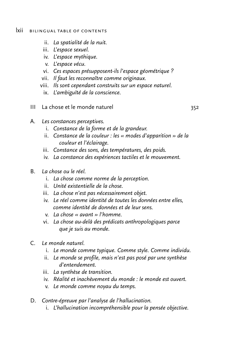## lxii bilingual table of contents

- ii. *[La spatialité de la nuit.](#page--1-0)*
- iii. *[L'espace sexuel.](#page--1-0)*
- iv. *[L'espace mythique.](#page--1-0)*
- v. *[L'espace vécu.](#page--1-0)*
- vi. *[Ces espaces présupposent-ils l'espace géométrique ?](#page--1-0)*
- vii. *[Il faut les reconnaître comme originaux.](#page--1-0)*
- viii. *[Ils sont cependant construits sur un espace naturel.](#page--1-0)*
- ix. *[L'ambiguïté de la conscience.](#page--1-0)*
- [III La chose et le monde naturel 352](#page--1-0)

- A. *[Les constances perceptives.](#page--1-0)*
	- i. *[Constance de la forme et de la grandeur.](#page--1-0)*
	- ii. *[Constance de la couleur : les « modes d'apparition » de la](#page--1-0) couleur et l'éclairage.*
	- iii. *[Constance des sons, des températures, des poids.](#page--1-0)*
	- iv. *[La constance des expériences tactiles et le mouvement.](#page--1-0)*
- B. *[La chose ou le réel.](#page--1-0)*
	- i. *[La chose comme norme de la perception.](#page--1-0)*
	- ii. *[Unité existentielle de la chose.](#page--1-0)*
	- iii. *[La chose n'est pas nécessairement objet.](#page--1-0)*
	- iv. *[Le réel comme identité de toutes les données entre elles,](#page--1-0)  comme identité de données et de leur sens.*
	- v. *[La chose « avant » l'homme.](#page--1-0)*
	- vi. *[La chose au-delà des prédicats anthropologiques parce](#page--1-0)  que je suis au monde.*
- C. *[Le monde naturel.](#page--1-0)*
	- i. *[Le monde comme typique. Comme style. Comme individu.](#page--1-0)*
	- ii. *[Le monde se profile, mais n'est pas posé par une synthèse](#page--1-0)  d'entendement.*
	- iii. *[La synthèse de transition.](#page--1-0)*
	- iv. *[Réalité et inachèvement du monde : le monde est ouvert.](#page--1-0)*
	- v. *[Le monde comme noyau du temps.](#page--1-0)*
- D. *[Contre-épreuve par l'analyse de l'hallucination.](#page--1-0)*
	- i. *[L'hallucination incompréhensible pour la pensée objective.](#page--1-0)*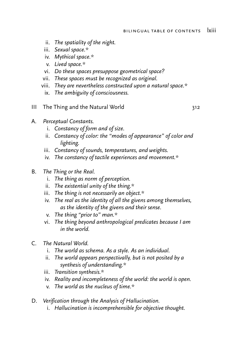- ii. *[The spatiality of the night.](#page--1-0)*
- iii. *[Sexual space.](#page--1-0)*\*
- iv. *[Mythical space.](#page--1-0)*\*
- v. *[Lived space.](#page--1-0)*\*
- vi. *[Do these spaces presuppose geometrical space?](#page--1-0)*
- vii. *[These spaces must be recognized as original.](#page--1-0)*
- viii. *[They are nevertheless constructed upon a natural space.](#page--1-0)*\*
	- ix. *[The ambiguity of consciousness.](#page--1-0)*
- III The Thing and the Natural World  $\frac{312}{2}$

- A. *[Perceptual Constants.](#page--1-0)*
	- i. *[Constancy of form and of size.](#page--1-0)*
	- ii. *[Constancy of color: the "modes of appearance" of color and](#page--1-0) lighting.*
	- iii. *[Constancy of sounds, temperatures, and weights.](#page--1-0)*
	- iv. *[The constancy of tactile experiences and movement.](#page--1-0)*\*
- B. *[The Thing or the Real.](#page--1-0)*
	- i. *[The thing as norm of perception.](#page--1-0)*
	- ii. *[The existential unity of the thing.](#page--1-0)*\*
	- iii. *[The thing is not necessarily an object.](#page--1-0)*\*
	- iv. *[The real as the identity of all the givens among themselves,](#page--1-0) as the identity of the givens and their sense.*
	- v. *[The thing "prior to" man.](#page--1-0)*\*
	- vi. *[The thing beyond anthropological predicates because I am](#page--1-0) in the world.*
- C. *[The Natural World.](#page--1-0)*
	- i. *[The world as schema. As a style. As an individual.](#page--1-0)*
	- ii. *[The world appears perspectivally, but is not posited by a](#page--1-0) synthesis of understanding.*\*
	- iii. *[Transition synthesis.](#page--1-0)*\*
	- iv. *[Reality and incompleteness of the world: the world is open.](#page--1-0)*
	- v. *[The world as the nucleus of time.](#page--1-0)*\*
- D. *[Verification through the Analysis of Hallucination.](#page--1-0)*
	- i. *[Hallucination is incomprehensible for objective thought.](#page--1-0)*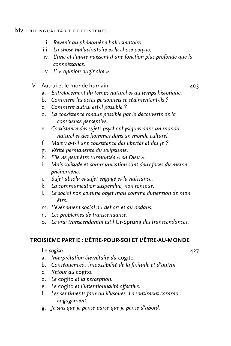## lxiv bilingual table of contents

- ii. *[Revenir au phénomène hallucinatoire.](#page--1-0)*
- iii. *[La chose hallucinatoire et la chose perçue.](#page--1-0)*
- iv. *[L'une et l'autre naissent d'une fonction plus profonde que la](#page--1-0) connaissance.*
- v. *[L' « opinion originaire ».](#page--1-0)*
- IV Autrui et le monde humain de la constant de la constant de la constant de la constant de la constant de la constant de la constant de la constant de la constant de la constant de la constant de la constant de la constan
	- a. *[Entrelacement du temps naturel et du temps historique.](#page--1-0)*
	- b. *[Comment les actes personnels se sédimentent-ils ?](#page--1-0)*
	- c. *[Comment autrui est-il possible ?](#page--1-0)*
	- d. *[La coexistence rendue possible par la découverte de la](#page--1-0)  conscience perceptive.*
	- e. *[Coexistence des sujets psychophysiques dans un monde](#page--1-0)  naturel et des hommes dans un monde culturel.*
	- f. *[Mais y a-t-il une coexistence des libertés et des Je ?](#page--1-0)*
	- g. *[Vérité permanente du solipsisme.](#page--1-0)*
	- h. *[Elle ne peut être surmontée « en Dieu ».](#page--1-0)*
	- i. *[Mais solitude et communication sont deux faces du même](#page--1-0)  phénomène.*
	- j. *[Sujet absolu et sujet engagé et la naissance.](#page--1-0)*
	- k. *[La communication suspendue, non rompue.](#page--1-0)*
	- l. *[Le social non comme objet mais comme dimension de mon](#page--1-0)  être.*
	- m. *[L'événement social au-dehors et au-dedans.](#page--1-0)*
	- n. *[Les problèmes de transcendance.](#page--1-0)*
	- o. *[Le vrai transcendantal est l'](#page--1-0)*Ur-Sprung *des transcendances.*

# **[TROISIÈME PARTIE : L'ÊTRE-POUR-SOI ET L'ÊTRE-AU-MONDE](#page--1-0)**

| I Le cogito | 427 |
|-------------|-----|
|             |     |

- a. *[Interprétation éternitaire du](#page--1-0)* cogito*.*
- b. *[Conséquences : impossibilité de la finitude et d'autrui.](#page--1-0)*
- c. *[Retour au](#page--1-0)* cogito*.*
- d. *Le* cogito *[et la perception.](#page--1-0)*
- e. *Le* cogito *[et l'intentionnalité affective.](#page--1-0)*
- f. *[Les sentiments faux ou illusoires. Le sentiment comme](#page--1-0) engagement.*
- g. *[Je sais que je pense parce que je pense d'abord.](#page--1-0)*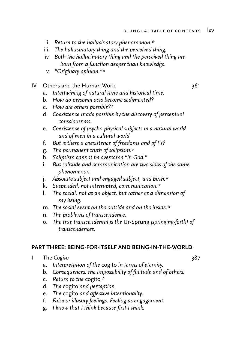- ii. *[Return to the hallucinatory phenomenon.\\*](#page--1-0)*
- iii. *[The hallucinatory thing and the perceived thing.](#page--1-0)*
- iv. *[Both the hallucinatory thing and the perceived thing are](#page--1-0) born from a function deeper than knowledge.*
- v. *["Originary opinion."](#page--1-0)*\*
- [IV Others and the Human World 361](#page--1-0)
	- a. *[Intertwining of natural time and historical time.](#page--1-0)*
	- b. *[How do personal acts become sedimented?](#page--1-0)*
	- c. *[How are others possible?](#page--1-0)*\*
	- d. *[Coexistence made possible by the discovery of perceptual](#page--1-0) consciousness.*
	- e. *[Coexistence of psycho-physical subjects in a natural world](#page--1-0) and of men in a cultural world.*
	- f. *[But is there a coexistence of freedoms and of I's?](#page--1-0)*
	- g. *[The permanent truth of solipsism.](#page--1-0)*\*
	- h. *[Solipsism cannot be overcome "in God."](#page--1-0)*
	- i. *[But solitude and communication are two sides of the same](#page--1-0) phenomenon.*
	- j. *[Absolute subject and engaged subject, and birth.](#page--1-0)*\*
	- k. *[Suspended, not interrupted, communication.](#page--1-0)*\*
	- l. *[The social, not as an object, but rather as a dimension of](#page--1-0)  my being.*
	- m. *[The social event on the outside and on the inside.](#page--1-0)*\*
	- n. *[The problems of transcendence.](#page--1-0)*
	- o. *[The true transcendental is the](#page--1-0)* Ur-Sprung *[springing-forth] of transcendences.*

## **[PART THREE: BEING-FOR-ITSELF AND BEING-IN-THE-WORLD](#page--1-0)**

- [I The](#page--1-0) *Cogito* 387
	- a. *[Interpretation of the](#page--1-0)* cogito *in terms of eternity.*
	- b. *[Consequences: the impossibility of finitude and of others.](#page--1-0)*
	- c. *[Return to the](#page--1-0)* cogito*.*\*
	- d. *The* cogito *[and perception.](#page--1-0)*
	- e. *The* cogito *[and affective intentionality.](#page--1-0)*
	- f. *[False or illusory feelings. Feeling as engagement.](#page--1-0)*
	- g. *[I know that I think because first I think.](#page--1-0)*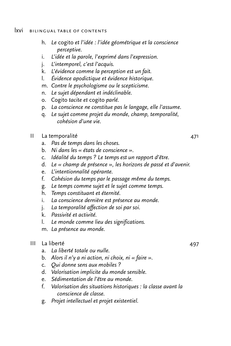## lxvi bilingual table of contents

- h. *Le* cogito *[et l'idée : l'idée géométrique et la conscience](#page--1-0)  perceptive.*
- i. *[L'idée et la parole, l'exprimé dans l'expression.](#page--1-0)*
- j. *[L'intemporel, c'est l'acquis.](#page--1-0)*
- k. *[L'évidence comme la perception est un fait.](#page--1-0)*
- l. *[Évidence apodictique et évidence historique.](#page--1-0)*
- m. *[Contre le psychologisme ou le scepticisme.](#page--1-0)*
- n. *[Le sujet dépendant et indéclinable.](#page--1-0)*
- [o. Cogito](#page--1-0) *tacite et* cogito *parlé.*
- p. *[La conscience ne constitue pas le langage, elle l'assume.](#page--1-0)*
- q. *[Le sujet comme projet du monde, champ, temporalité,](#page--1-0) cohésion d'une vie.*
- [II La temporalité 471](#page--1-0)
	- a. *[Pas de temps dans les choses.](#page--1-0)*
	- b. *[Ni dans les « états de conscience ».](#page--1-0)*
	- c. *[Idéalité du temps ? Le temps est un rapport d'être.](#page--1-0)*
	- d. *[Le « champ de présence », les horizons de passé et d'avenir.](#page--1-0)*
	- e. *[L'intentionnalité opérante.](#page--1-0)*
	- f. *[Cohésion du temps par le passage même du temps.](#page--1-0)*
	- g. *[Le temps comme sujet et le sujet comme temps.](#page--1-0)*
	- h. *[Temps constituant et éternité.](#page--1-0)*
	- i. *[La conscience dernière est présence au monde.](#page--1-0)*
	- j. *[La temporalité affection de soi par soi.](#page--1-0)*
	- k. *[Passivité et activité.](#page--1-0)*
	- l. *[Le monde comme lieu des significations.](#page--1-0)*
	- m. *[La présence au monde.](#page--1-0)*

## [III La liberté 497](#page--1-0)

- a. *[La liberté totale ou nulle.](#page--1-0)*
- b. *[Alors il n'y a ni action, ni choix, ni « faire ».](#page--1-0)*
- c. *[Qui donne sens aux mobiles ?](#page--1-0)*
- d. *[Valorisation implicite du monde sensible.](#page--1-0)*
- e. *[Sédimentation de l'être au monde.](#page--1-0)*
- f. *[Valorisation des situations historiques : la classe avant la](#page--1-0) conscience de classe.*
- g. *[Projet intellectuel et projet existentiel.](#page--1-0)*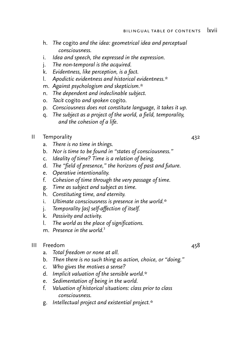- h. *The* cogito *[and the idea: geometrical idea and perceptual](#page--1-0) consciousness.*
- i. *[Idea and speech, the expressed in the expression.](#page--1-0)*
- j. *[The non-temporal is the acquired.](#page--1-0)*
- k. *[Evidentness, like perception, is a fact.](#page--1-0)*
- l. *[Apodictic evidentness and historical evidentness.](#page--1-0)*\*
- m. *[Against psychologism and skepticism.](#page--1-0)*\*
- n. *[The dependent and indeclinable subject.](#page--1-0)*
- o. *Tacit* cogito *[and spoken](#page--1-0)* cogito*.*
- p. *[Consciousness does not constitute language, it takes it up.](#page--1-0)*
- q. *[The subject as a project of the world, a field, temporality,](#page--1-0)  and the cohesion of a life.*

## [II Temporality 432](#page--1-0)

- a. *[There is no time in things.](#page--1-0)*
- b. *[Nor is time to be found in "states of consciousness."](#page--1-0)*
- c. *[Ideality of time? Time is a relation of being.](#page--1-0)*
- d. *[The "field of presence," the horizons of past and future.](#page--1-0)*
- e. *[Operative intentionality.](#page--1-0)*
- f. *[Cohesion of time through the very passage of time.](#page--1-0)*
- g. *[Time as subject and subject as time.](#page--1-0)*
- h. *[Constituting time, and eternity.](#page--1-0)*
- i. *[Ultimate consciousness is presence in the world.](#page--1-0)*\*
- j. *[Temporality \[as\] self-affection of itself.](#page--1-0)*
- k. *[Passivity and activity.](#page--1-0)*
- l. *[The world as the place of significations.](#page--1-0)*
- m. *[Presence in the world.](#page--1-0)*[3](#page--1-0)

## [III Freedom 458](#page--1-0)

- a. *[Total freedom or none at all.](#page--1-0)*
- b. *[Then there is no such thing as action, choice, or "doing."](#page--1-0)*
- c. *[Who gives the motives a sense?](#page--1-0)*
- d. *[Implicit valuation of the sensible world.](#page--1-0)*\*
- e. *[Sedimentation of being in the world.](#page--1-0)*
- f. *[Valuation of historical situations: class prior to class](#page--1-0) consciousness.*
- g. *[Intellectual project and existential project.](#page--1-0)*\*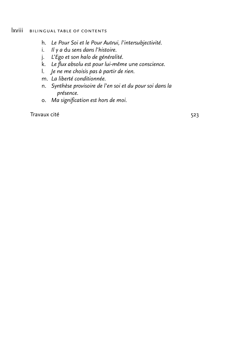## lxviii bilingual table of contents

- h. *[Le Pour Soi et le Pour Autrui, l'intersubjectivité.](#page--1-0)*
- i. *Il y a* du *[sens dans l'histoire.](#page--1-0)*
- j. *[L'Ego et son halo de généralité.](#page--1-0)*
- k. *[Le flux absolu est pour lui-même](#page--1-0)* une *conscience.*
- l. *[Je ne me choisis pas à partir de rien.](#page--1-0)*
- m. *[La liberté conditionnée.](#page--1-0)*
- n. *[Synthèse provisoire de l'en soi et du pour soi dans la](#page--1-0) présence.*
- o. *[Ma signification est hors de moi.](#page--1-0)*

Travaux cité d'annuncière de la commune de la commune de la commune de la commune de la commune de la commune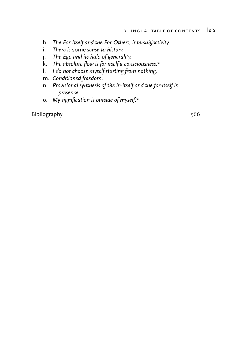- h. *[The For-Itself and the For-Others, intersubjectivity.](#page--1-0)*
- i. *There is* some *[sense to history.](#page--1-0)*
- j. *[The Ego and its halo of generality.](#page--1-0)*
- k. *[The absolute flow is for itself](#page--1-0)* a *consciousness.*\*
- l. *[I do not choose myself starting from nothing.](#page--1-0)*
- m. *[Conditioned freedom.](#page--1-0)*
- n. *[Provisional synthesis of the in-itself and the for-itself in](#page--1-0) presence.*
- o. *[My signification is outside of myself.](#page--1-0)*\*

[Bibliography 566](#page--1-0)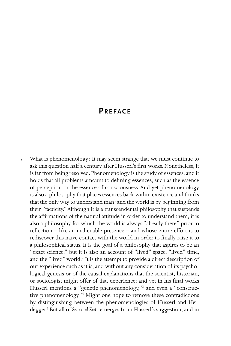# **[PREFACE](#page--1-0)**

What is phenomenology? It may seem strange that we must continue to ask this question half a century after Husserl's first works. Nonetheless, it is far from being resolved. Phenomenology is the study of essences, and it holds that all problems amount to defining essences, such as the essence of perception or the essence of consciousness. And yet phenomenology is also a philosophy that places essences back within existence and thinks that the only way to understand man<sup>1</sup> and the world is by beginning from their "facticity." Although it is a transcendental philosophy that suspends the affirmations of the natural attitude in order to understand them, it is also a philosophy for which the world is always "already there" prior to reflection – like an inalienable presence – and whose entire effort is to rediscover this naïve contact with the world in order to finally raise it to a philosophical status. It is the goal of a philosophy that aspires to be an "exact science," but it is also an account of "lived" space, "lived" time, and the "lived" world.<sup>[2](#page--1-0)</sup> It is the attempt to provide a direct description of our experience such as it is, and without any consideration of its psychological genesis or of the causal explanations that the scientist, historian, or sociologist might offer of that experience; and yet in his final works Husserl mentions a "genetic phenomenology,["3](#page--1-0) and even a "constructive phenomenology.["4](#page--1-0) Might one hope to remove these contradictions by distinguishing between the phenomenologies of Husserl and Hei-degger?But all of Sein und Zeit<sup>5</sup> emerges from Husserl's suggestion, and in 7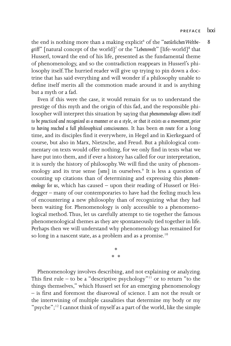8

the end is nothing more than a making explicit<sup>6</sup> of the "natürlichen Weltbe-griff" [natural concept of the world]<sup>[7](#page--1-0)</sup> or the "Lebenswelt" [life-world]<sup>[8](#page--1-0)</sup> that Husserl, toward the end of his life, presented as the fundamental theme of phenomenology, and so the contradiction reappears in Husserl's philosophy itself. The hurried reader will give up trying to pin down a doctrine that has said everything and will wonder if a philosophy unable to define itself merits all the commotion made around it and is anything but a myth or a fad.

Even if this were the case, it would remain for us to understand the prestige of this myth and the origin of this fad, and the responsible philosopher will interpret this situation by saying that *phenomenology allows itself to be practiced and recognized as a manner or as a style*, *or that it exists as a movement, prior to having reached a full philosophical consciousness*. It has been *en route* for a long time, and its disciples find it everywhere, in Hegel and in Kierkegaard of course, but also in Marx, Nietzsche, and Freud. But a philological commentary on texts would offer nothing, for we only find in texts what we have put into them, and if ever a history has called for our interpretation, it is surely the history of philosophy. We will find the unity of phenom-enology and its true sense [sens] in ourselves.<sup>[9](#page--1-0)</sup> It is less a question of counting up citations than of determining and expressing this *phenomenology for us*, which has caused – upon their reading of Husserl or Heidegger – many of our contemporaries to have had the feeling much less of encountering a new philosophy than of recognizing what they had been waiting for. Phenomenology is only accessible to a phenomenological method. Thus, let us carefully attempt to tie together the famous phenomenological themes as they are spontaneously tied together in life. Perhaps then we will understand why phenomenology has remained for so long in a nascent state, as a problem and as a promise. $10$ 

> \* \* \*

Phenomenology involves describing, and not explaining or analyzing. This first rule – to be a "descriptive psychology"<sup>11</sup> or to return "to the things themselves," which Husserl set for an emerging phenomenology – is first and foremost the disavowal of science. I am not the result or the intertwining of multiple causalities that determine my body or my "psyche";<sup>12</sup> I cannot think of myself as a part of the world, like the simple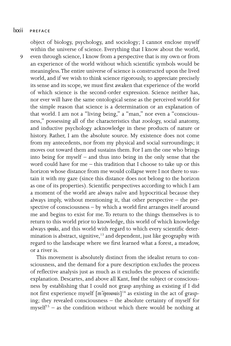#### lxxii preface

9

object of biology, psychology, and sociology; I cannot enclose myself within the universe of science. Everything that I know about the world,

even through science, I know from a perspective that is my own or from an experience of the world without which scientific symbols would be meaningless. The entire universe of science is constructed upon the lived world, and if we wish to think science rigorously, to appreciate precisely its sense and its scope, we must first awaken that experience of the world of which science is the second-order expression. Science neither has, nor ever will have the same ontological sense as the perceived world for the simple reason that science is a determination or an explanation of that world. I am not a "living being," a "man," nor even a "consciousness," possessing all of the characteristics that zoology, social anatomy, and inductive psychology acknowledge in these products of nature or history. Rather, I am the absolute source. My existence does not come from my antecedents, nor from my physical and social surroundings; it moves out toward them and sustains them. For I am the one who brings into being for myself – and thus into being in the only sense that the word could have for me – this tradition that I choose to take up or this horizon whose distance from me would collapse were I not there to sustain it with my gaze (since this distance does not belong to the horizon as one of its properties). Scientific perspectives according to which I am a moment of the world are always naïve and hypocritical because they always imply, without mentioning it, that other perspective – the perspective of consciousness – by which a world first arranges itself around me and begins to exist for me. To return to the things themselves is to return to this world prior to knowledge, this world of which knowledge always *speaks*, and this world with regard to which every scientific determination is abstract, signitive,<sup>13</sup> and dependent, just like geography with regard to the landscape where we first learned what a forest, a meadow, or a river is.

This movement is absolutely distinct from the idealist return to consciousness, and the demand for a pure description excludes the process of reflective analysis just as much as it excludes the process of scientific explanation. Descartes, and above all Kant, *freed* the subject or consciousness by establishing that I could not grasp anything as existing if I did not first experience myself [*m'éprouvais*][14](#page--1-0) as existing in the act of grasping; they revealed consciousness – the absolute certainty of myself for mysel $f<sup>15</sup>$  – as the condition without which there would be nothing at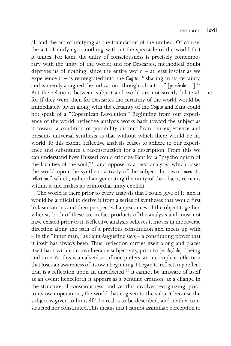10

all and the act of unifying as the foundation of the unified. Of course, the act of unifying is nothing without the spectacle of the world that it unites. For Kant, the unity of consciousness is precisely contemporary with the unity of the world; and for Descartes, methodical doubt deprives us of nothing, since the entire world – at least insofar as we experience it – is reintegrated into the *Cogito*, [16](#page--1-0) sharing in its certainty, and is merely assigned the indication "thought about . . ." [pensée de . . .].<sup>[17](#page--1-0)</sup> But the relations between subject and world are not strictly bilateral, for if they were, then for Descartes the certainty of the world would be immediately given along with the certainty of the *Cogito* and Kant could not speak of a "Copernican Revolution." Beginning from our experience of the world, reflective analysis works back toward the subject as if toward a condition of possibility distinct from our experience and presents universal synthesis as that without which there would be no world. To this extent, reflective analysis ceases to adhere to our experience and substitutes a reconstruction for a description. From this we can understand how Husserl could criticize Kant for a "psychologism of the faculties of the soul,["18](#page--1-0) and oppose to a *noetic* analysis, which bases the world upon the synthetic activity of the subject, his own "*noematic reflection*," which, rather than generating the unity of the object, remains within it and makes its primordial unity explicit.

The world is there prior to every analysis that I could give of it, and it would be artificial to derive it from a series of syntheses that would first link sensations and then perspectival appearances of the object together, whereas both of these are in fact products of the analysis and must not have existed prior to it. Reflective analysis believes it moves in the reverse direction along the path of a previous constitution and meets up with – in the "inner man," as Saint Augustine says – a constituting power that it itself has always been. Thus, reflection carries itself along and places itself back within an invulnerable subjectivity, prior to [*en deçà de*][19](#page--1-0) being and time. Yet this is a naïveté, or, if one prefers, an incomplete reflection that loses an awareness of its own beginning. I began to reflect, my reflec-tion is a reflection upon an unreflected;<sup>[20](#page--1-0)</sup> it cannot be unaware of itself as an event; henceforth it appears as a genuine creation, as a change in the structure of consciousness, and yet this involves recognizing, prior to its own operations, the world that is given to the subject because the subject is given to himself. The real is to be described, and neither constructed nor constituted. This means that I cannot assimilate perception to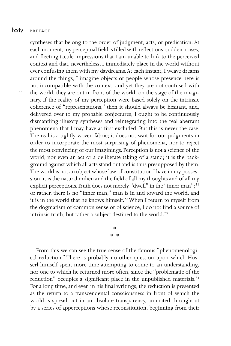#### lxxiv preface

11

syntheses that belong to the order of judgment, acts, or predication. At each moment, my perceptual field is filled with reflections, sudden noises, and fleeting tactile impressions that I am unable to link to the perceived context and that, nevertheless, I immediately place in the world without ever confusing them with my daydreams. At each instant, I weave dreams around the things, I imagine objects or people whose presence here is not incompatible with the context, and yet they are not confused with the world, they are out in front of the world, on the stage of the imaginary. If the reality of my perception were based solely on the intrinsic coherence of "representations," then it should always be hesitant, and, delivered over to my probable conjectures, I ought to be continuously dismantling illusory syntheses and reintegrating into the real aberrant phenomena that I may have at first excluded. But this is never the case. The real is a tightly woven fabric; it does not wait for our judgments in order to incorporate the most surprising of phenomena, nor to reject the most convincing of our imaginings. Perception is not a science of the world, nor even an act or a deliberate taking of a stand; it is the background against which all acts stand out and is thus presupposed by them. The world is not an object whose law of constitution I have in my possession; it is the natural milieu and the field of all my thoughts and of all my explicit perceptions. Truth does not merely "dwell" in the "inner man";<sup>[21](#page--1-0)</sup> or rather, there is no "inner man," man is in and toward the world, and it is in the world that he knows himself.<sup>22</sup> When I return to myself from the dogmatism of common sense or of science, I do not find a source of intrinsic truth, but rather a subject destined to the world.<sup>23</sup>

From this we can see the true sense of the famous "phenomenological reduction." There is probably no other question upon which Husserl himself spent more time attempting to come to an understanding, nor one to which he returned more often, since the "problematic of the reduction" occupies a significant place in the unpublished materials.<sup>[24](#page--1-0)</sup> For a long time, and even in his final writings, the reduction is presented as the return to a transcendental consciousness in front of which the world is spread out in an absolute transparency, animated throughout by a series of apperceptions whose reconstitution, beginning from their

\* \* \*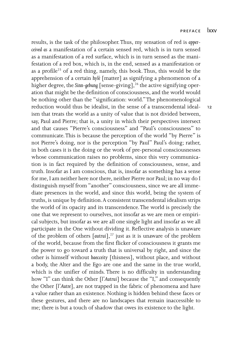12

results, is the task of the philosopher. Thus, my sensation of red is *apperceived as* a manifestation of a certain sensed red, which is in turn sensed as a manifestation of a red surface, which is in turn sensed as the manifestation of a red box, which is, in the end, sensed as a manifestation or as a profile<sup>25</sup> of a red thing, namely, this book. Thus, this would be the apprehension of a certain *hylè* [matter] as signifying a phenomenon of a higher degree, the *Sinn-gebung* [sense-giving],<sup>26</sup> the active signifying operation that might be the definition of consciousness, and the world would be nothing other than the "signification: world." The phenomenological reduction would thus be idealist, in the sense of a transcendental idealism that treats the world as a unity of value that is not divided between, say, Paul and Pierre; that is, a unity in which their perspectives intersect and that causes "Pierre's consciousness" and "Paul's consciousness" to communicate. This is because the perception of the world "by Pierre" is not Pierre's doing, nor is the perception "by Paul" Paul's doing; rather, in both cases it is the doing or the work of pre-personal consciousnesses whose communication raises no problems, since this very communication is in fact required by the definition of consciousness, sense, and truth. Insofar as I am conscious, that is, insofar as something has a sense for me, I am neither here nor there, neither Pierre nor Paul; in no way do I distinguish myself from "another" consciousness, since we are all immediate presences in the world, and since this world, being the system of truths, is unique by definition. A consistent transcendental idealism strips the world of its opacity and its transcendence. The world is precisely the one that we represent to ourselves, not insofar as we are men or empirical subjects, but insofar as we are all one single light and insofar as we all participate in the One without dividing it. Reflective analysis is unaware of the problem of others [autrui],<sup>[27](#page--1-0)</sup> just as it is unaware of the problem of the world, because from the first flicker of consciousness it grants me the power to go toward a truth that is universal by right, and since the other is himself without *haecceity* [thisness], without place, and without a body, the Alter and the Ego are one and the same in the true world, which is the unifier of minds. There is no difficulty in understanding how "I" can think the Other [*l'Autrui*] because the "I," and consequently the Other [*l'Autre*], are not trapped in the fabric of phenomena and have a value rather than an existence. Nothing is hidden behind these faces or these gestures, and there are no landscapes that remain inaccessible to me; there is but a touch of shadow that owes its existence to the light.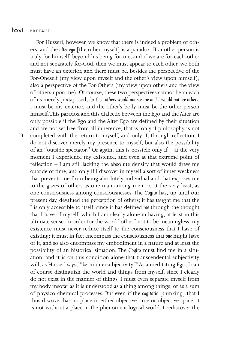#### lxxvi preface

For Husserl, however, we know that there is indeed a problem of others, and the *alter ego* [the other myself] is a paradox. If another person is truly for-himself, beyond his being for-me, and if we are for-each-other and not separately for-God, then we must appear to each other, we both must have an exterior, and there must be, besides the perspective of the For-Oneself (my view upon myself and the other's view upon himself), also a perspective of the For-Others (my view upon others and the view of others upon me). Of course, these two perspectives cannot be in each of us merely juxtaposed, *for then others would not see me and I would not see others*. I must be my exterior, and the other's body must be the other person himself. This paradox and this dialectic between the Ego and the Alter are only possible if the Ego and the Alter Ego are defined by their situation and are not set free from all inherence; that is, only if philosophy is not completed with the return to myself, and only if, through reflection, I do not discover merely my presence to myself, but also the possibility of an "outside spectator." Or again, this is possible only if  $-$  at the very moment I experience my existence, and even at that extreme point of reflection – I am still lacking the absolute density that would draw me outside of time; and only if I discover in myself a sort of inner weakness that prevents me from being absolutely individual and that exposes me to the gazes of others as one man among men or, at the very least, as one consciousness among consciousnesses. The *Cogito* has, up until our present day, devalued the perception of others; it has taught me that the I is only accessible to itself, since it has defined *me* through the thought that I have of myself, which I am clearly alone in having, at least in this ultimate sense. In order for the word "other" not to be meaningless, my existence must never reduce itself to the consciousness that I have of existing; it must in fact encompass the consciousness that *one* might have of it, and so also encompass my embodiment in a nature and at least the possibility of an historical situation. The *Cogito* must find me in a situation, and it is on this condition alone that transcendental subjectivity will, as Husserl says,<sup>28</sup> be an intersubjectivity.<sup>[29](#page--1-0)</sup> As a meditating Ego, I can of course distinguish the world and things from myself, since I clearly do not exist in the manner of things. I must even separate myself from my body insofar as it is understood as a thing among things, or as a sum of physico-chemical processes. But even if the *cogitatio* [thinking] that I thus discover has no place in either objective time or objective space, it is not without a place in the phenomenological world. I rediscover the

13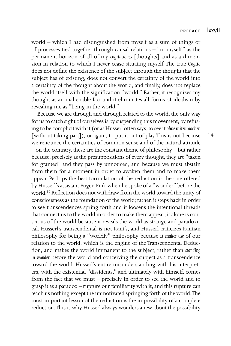world – which I had distinguished from myself as a sum of things or of processes tied together through causal relations – "in myself" as the permanent horizon of all of my *cogitationes* [thoughts] and as a dimension in relation to which I never cease situating myself. The true *Cogito* does not define the existence of the subject through the thought that the subject has of existing, does not convert the certainty of the world into a certainty of the thought about the world, and finally, does not replace the world itself with the signification "world." Rather, it recognizes my thought as an inalienable fact and it eliminates all forms of idealism by revealing me as "being in the world."

Because we are through and through related to the world, the only way for us to catch sight of ourselves is by suspending this movement, by refusing to be complicit with it (or as Husserl often says, to see it *ohne mitzumachen* [without taking part]), or again, to put it out of play. This is not because we renounce the certainties of common sense and of the natural attitude – on the contrary, these are the constant theme of philosophy – but rather because, precisely as the presuppositions of every thought, they are "taken for granted" and they pass by unnoticed, and because we must abstain from them for a moment in order to awaken them and to make them appear. Perhaps the best formulation of the reduction is the one offered by Husserl's assistant Eugen Fink when he spoke of a "wonder" before the world[.30](#page--1-0) Reflection does not withdraw from the world toward the unity of consciousness as the foundation of the world; rather, it steps back in order to see transcendences spring forth and it loosens the intentional threads that connect us to the world in order to make them appear; it alone is conscious of the world because it reveals the world as strange and paradoxical. Husserl's transcendental is not Kant's, and Husserl criticizes Kantian philosophy for being a "worldly" philosophy because it *makes use* of our relation to the world, which is the engine of the Transcendental Deduction, and makes the world immanent to the subject, rather than *standing in wonder* before the world and conceiving the subject as a transcendence toward the world. Husserl's entire misunderstanding with his interpreters, with the existential "dissidents," and ultimately with himself, comes from the fact that we must – precisely in order to see the world and to grasp it as a paradox – rupture our familiarity with it, and this rupture can teach us nothing except the unmotivated springing forth of the world. The most important lesson of the reduction is the impossibility of a complete reduction. This is why Husserl always wonders anew about the possibility

14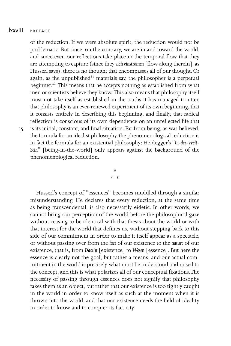#### lxxviii preface

of the reduction. If we were absolute spirit, the reduction would not be problematic. But since, on the contrary, we are in and toward the world, and since even our reflections take place in the temporal flow that they are attempting to capture (since they *sich einströmen* [flow along therein], as Husserl says), there is no thought that encompasses all of our thought. Or again, as the unpublished $31$  materials say, the philosopher is a perpetual beginner.<sup>32</sup> This means that he accepts nothing as established from what men or scientists believe they know. This also means that philosophy itself must not take itself as established in the truths it has managed to utter, that philosophy is an ever-renewed experiment of its own beginning, that it consists entirely in describing this beginning, and finally, that radical reflection is conscious of its own dependence on an unreflected life that is its initial, constant, and final situation. Far from being, as was believed, the formula for an idealist philosophy, the phenomenological reduction is in fact the formula for an existential philosophy: Heidegger's "*In-der-Welt-Sein*" [being-in-the-world] only appears against the background of the phenomenological reduction.

15

\* \* \*

Husserl's concept of "essences" becomes muddled through a similar misunderstanding. He declares that every reduction, at the same time as being transcendental, is also necessarily eidetic. In other words, we cannot bring our perception of the world before the philosophical gaze without ceasing to be identical with that thesis about the world or with that interest for the world that defines us, without stepping back to this side of our commitment in order to make it itself appear as a spectacle, or without passing over from the *fact* of our existence to the *nature* of our existence, that is, from *Dasein* [existence] to *Wesen* [essence]. But here the essence is clearly not the goal, but rather a means; and our actual commitment in the world is precisely what must be understood and raised to the concept, and this is what polarizes all of our conceptual fixations. The necessity of passing through essences does not signify that philosophy takes them as an object, but rather that our existence is too tightly caught in the world in order to know itself as such at the moment when it is thrown into the world, and that our existence needs the field of ideality in order to know and to conquer its facticity.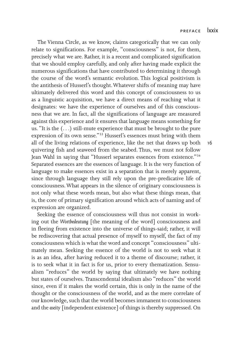16

The Vienna Circle, as we know, claims categorically that we can only relate to significations. For example, "consciousness" is not, for them, precisely what we are. Rather, it is a recent and complicated signification that we should employ carefully, and only after having made explicit the numerous significations that have contributed to determining it through the course of the word's semantic evolution. This logical positivism is the antithesis of Husserl's thought. Whatever shifts of meaning may have ultimately delivered this word and this concept of consciousness to us as a linguistic acquisition, we have a direct means of reaching what it designates: we have the experience of ourselves and of this consciousness that we are. In fact, all the significations of language are measured against this experience and it ensures that language means something for us. "It is the  $(...)$  still-mute experience that must be brought to the pure expression of its own sense."[33](#page--1-0) Husserl's essences must bring with them all of the living relations of experience, like the net that draws up both quivering fish and seaweed from the seabed. Thus, we must not follow Jean Wahl in saying that "Husserl separates essences from existence.["34](#page--1-0) Separated essences are the essences of language. It is the very function of language to make essences exist in a separation that is merely apparent, since through language they still rely upon the pre-predicative life of consciousness. What appears in the silence of originary consciousness is not only what these words mean, but also what these things mean, that is, the core of primary signification around which acts of naming and of expression are organized.

Seeking the essence of consciousness will thus not consist in working out the *Wortbedeutung* [the meaning of the word] consciousness and in fleeing from existence into the universe of things-said; rather, it will be rediscovering that actual presence of myself to myself, the fact of my consciousness which is what the word and concept "consciousness" ultimately mean. Seeking the essence of the world is not to seek what it is as an idea, after having reduced it to a theme of discourse; rather, it is to seek what it in fact is for us, prior to every thematization. Sensualism "reduces" the world by saying that ultimately we have nothing but states of ourselves. Transcendental idealism also "reduces" the world since, even if it makes the world certain, this is only in the name of the thought or the consciousness of the world, and as the mere correlate of our knowledge, such that the world becomes immanent to consciousness and the *aseity* [independent existence] of things is thereby suppressed. On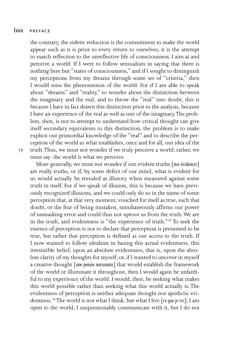#### lxxx preface

the contrary, the eidetic reduction is the commitment to make the world appear such as it is prior to every return to ourselves; it is the attempt to match reflection to the unreflective life of consciousness. I aim at and perceive a world. If I were to follow sensualism in saying that there is nothing here but "states of consciousness," and if I sought to distinguish my perceptions from my dreams through some set of "criteria," then I would miss the phenomenon of the world. For if I am able to speak about "dreams" and "reality," to wonder about the distinction between the imaginary and the real, and to throw the "real" into doubt, this is because I have in fact drawn this distinction prior to the analysis, because I have an experience of the real as well as one of the imaginary. The problem, then, is not to attempt to understand how critical thought can give itself secondary equivalents to this distinction; the problem is to make explicit our primordial knowledge of the "real" and to describe the perception of the world as what establishes, once and for all, our idea of the truth. Thus, we must not wonder if we truly perceive a world; rather, we must say: the world is what we perceive.

17

More generally, we must not wonder if our evident truths [*nos évidences*] are really truths, or if, by some defect of our mind, what is evident for us would actually be revealed as illusory when measured against some truth in itself. For if we speak of illusion, this is because we have previously recognized illusions, and we could only do so in the name of some perception that, at that very moment, vouched for itself as true, such that doubt, or the fear of being mistaken, simultaneously affirms our power of unmasking error and could thus not uproot us from the truth. We are in the truth, and evidentness is "the experience of truth."[35](#page--1-0) To seek the essence of perception is not to declare that perception is presumed to be true, but rather that perception is defined as our access to the truth. If I now wanted to follow idealism in basing this actual evidentness, this irresistible belief, upon an absolute evidentness, that is, upon the absolute clarity of my thoughts for myself; or, if I wanted to uncover in myself a creative thought [*une pensée naturante*] that would establish the framework of the world or illuminate it throughout, then I would again be unfaithful to my experience of the world. I would, then, be seeking what makes this world possible rather than seeking what this world actually is. The evidentness of perception is neither adequate thought nor apodictic evidentness[.36](#page--1-0) The world is not what I think, but what I live [*ce que je vis*]; I am open to the world, I unquestionably communicate with it, but I do not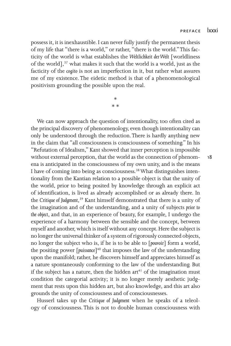18

possess it, it is inexhaustible. I can never fully justify the permanent thesis of my life that "there is a world," or rather, "there is the world." This facticity of the world is what establishes the *Weltlichkeit der Welt* [worldliness of the world],<sup>37</sup> what makes it such that the world is a world, just as the facticity of the *cogito* is not an imperfection in it, but rather what assures me of my existence. The eidetic method is that of a phenomenological positivism grounding the possible upon the real.

> \* \* \*

We can now approach the question of intentionality, too often cited as the principal discovery of phenomenology, even though intentionality can only be understood through the reduction. There is hardly anything new in the claim that "all consciousness is consciousness of something." In his "Refutation of Idealism," Kant showed that inner perception is impossible without external perception, that the world as the connection of phenomena is anticipated in the consciousness of my own unity, and is the means I have of coming into being as consciousness.<sup>38</sup> What distinguishes intentionality from the Kantian relation to a possible object is that the unity of the world, prior to being posited by knowledge through an explicit act of identification, is lived as already accomplished or as already there. In the *Critique of Judgment*, [39](#page--1-0) Kant himself demonstrated that there is a unity of the imagination and of the understanding, and a unity of subjects *prior to the object*, and that, in an experience of beauty, for example, I undergo the experience of a harmony between the sensible and the concept, between myself and another, which is itself without any concept. Here the subject is no longer the universal thinker of a system of rigorously connected objects, no longer the subject who is, if he is to be able to [*pouvoir*] form a world, the positing power [puissance]<sup>40</sup> that imposes the law of the understanding upon the manifold; rather, he discovers himself and appreciates himself as a nature spontaneously conforming to the law of the understanding. But if the subject has a nature, then the hidden  $art<sup>41</sup>$  of the imagination must condition the categorial activity; it is no longer merely aesthetic judgment that rests upon this hidden art, but also knowledge, and this art also grounds the unity of consciousness and of consciousnesses.

Husserl takes up the *Critique of Judgment* when he speaks of a teleology of consciousness. This is not to double human consciousness with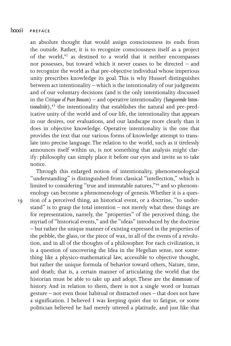#### lxxxii preface

19

an absolute thought that would assign consciousness its ends from the outside. Rather, it is to recognize consciousness itself as a project of the world, $42$  as destined to a world that it neither encompasses nor possesses, but toward which it never ceases to be directed – and to recognize the world as that pre-objective individual whose imperious unity prescribes knowledge its goal. This is why Husserl distinguishes between act intentionality – which is the intentionality of our judgments and of our voluntary decisions (and is the only intentionality discussed in the *Critique of Pure Reason*) – and operative intentionality (*fungierende Inten-*tionalität),<sup>[43](#page--1-0)</sup> the intentionality that establishes the natural and pre-predicative unity of the world and of our life, the intentionality that appears in our desires, our evaluations, and our landscape more clearly than it does in objective knowledge. Operative intentionality is the one that provides the text that our various forms of knowledge attempt to translate into precise language. The relation to the world, such as it tirelessly announces itself within us, is not something that analysis might clarify: philosophy can simply place it before our eyes and invite us to take notice.

Through this enlarged notion of intentionality, phenomenological "understanding" is distinguished from classical "intellection," which is limited to considering "true and immutable natures,["44](#page--1-0) and so phenomenology can become a phenomenology of genesis. Whether it is a question of a perceived thing, an historical event, or a doctrine, "to understand" is to grasp the total intention – not merely what these things are for representation, namely, the "properties" of the perceived thing, the myriad of "historical events," and the "ideas" introduced by the doctrine – but rather the unique manner of existing expressed in the properties of the pebble, the glass, or the piece of wax, in all of the events of a revolution, and in all of the thoughts of a philosopher. For each civilization, it is a question of uncovering the Idea in the Hegelian sense, not something like a physico-mathematical law, accessible to objective thought, but rather the unique formula of behavior toward others, Nature, time, and death; that is, a certain manner of articulating the world that the historian must be able to take up and adopt. These are the *dimensions* of history. And in relation to them, there is not a single word or human gesture – not even those habitual or distracted ones – that does not have a signification. I believed I was keeping quiet due to fatigue, or some politician believed he had merely uttered a platitude, and just like that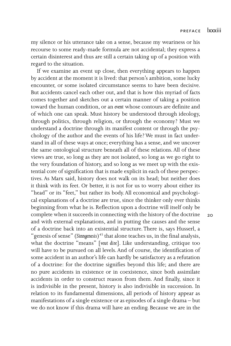my silence or his utterance take on a sense, because my weariness or his recourse to some ready-made formula are not accidental; they express a certain disinterest and thus are still a certain taking up of a position with regard to the situation.

If we examine an event up close, then everything appears to happen by accident at the moment it is lived: that person's ambition, some lucky encounter, or some isolated circumstance seems to have been decisive. But accidents cancel each other out, and that is how this myriad of facts comes together and sketches out a certain manner of taking a position toward the human condition, or an *event* whose contours are definite and of which one can speak. Must history be understood through ideology, through politics, through religion, or through the economy? Must we understand a doctrine through its manifest content or through the psychology of the author and the events of his life? We must in fact understand in all of these ways at once; everything has a sense, and we uncover the same ontological structure beneath all of these relations. All of these views are true, so long as they are not isolated, so long as we go right to the very foundation of history, and so long as we meet up with the existential core of signification that is made explicit in each of these perspectives. As Marx said, history does not walk on its head; but neither does it think with its feet. Or better, it is not for us to worry about either its "head" or its "feet," but rather its body. All economical and psychological explanations of a doctrine are true, since the thinker only ever thinks beginning from what he is. Reflection upon a doctrine will itself only be complete when it succeeds in connecting with the history of the doctrine and with external explanations, and in putting the causes and the sense of a doctrine back into an existential structure. There is, says Husserl, a "genesis of sense" (*Sinngenesis*)<sup>45</sup> that alone teaches us, in the final analysis, what the doctrine "means" [*veut dire*]. Like understanding, critique too will have to be pursued on all levels. And of course, the identification of some accident in an author's life can hardly be satisfactory as a refutation of a doctrine: for the doctrine signifies beyond this life; and there are no pure accidents in existence or in coexistence, since both assimilate accidents in order to construct reason from them. And finally, since it is indivisible in the present, history is also indivisible in succession. In relation to its fundamental dimensions, all periods of history appear as manifestations of a single existence or as episodes of a single drama – but we do not know if this drama will have an ending. Because we are in the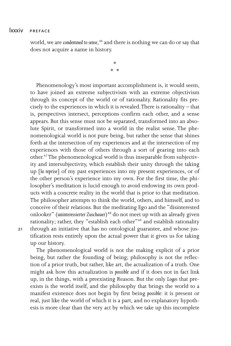#### lxxxiv preface

world, we are *condemned to sense*, [46](#page--1-0) and there is nothing we can do or say that does not acquire a name in history.

> \* \* \*

Phenomenology's most important accomplishment is, it would seem, to have joined an extreme subjectivism with an extreme objectivism through its concept of the world or of rationality. Rationality fits precisely to the experiences in which it is revealed. There is rationality – that is, perspectives intersect, perceptions confirm each other, and a sense appears. But this sense must not be separated, transformed into an absolute Spirit, or transformed into a world in the realist sense. The phenomenological world is not pure being, but rather the sense that shines forth at the intersection of my experiences and at the intersection of my experiences with those of others through a sort of gearing into each other.[47](#page--1-0) The phenomenological world is thus inseparable from subjectivity and intersubjectivity, which establish their unity through the taking up [*la reprise*] of my past experiences into my present experiences, or of the other person's experience into my own. For the first time, the philosopher's meditation is lucid enough to avoid endowing its own products with a concrete reality in the world that is prior to that meditation. The philosopher attempts to think the world, others, and himself, and to conceive of their relations. But the meditating Ego and the "disinterested onlooker" (*uninteressierter Zuschauer*)<sup>48</sup> do not meet up with an already given rationality; rather, they "establish each other"<sup>49</sup> and establish rationality through an initiative that has no ontological guarantee, and whose justification rests entirely upon the actual power that it gives us for taking up our history.

21

The phenomenological world is not the making explicit of a prior being, but rather the founding of being; philosophy is not the reflection of a prior truth, but rather, like art, the actualization of a truth. One might ask how this actualization is *possible* and if it does not in fact link up, in the things, with a preexisting Reason. But the only *Logos* that preexists is the world itself, and the philosophy that brings the world to a manifest existence does not begin by first being *possible*: it is present or real, just like the world of which it is a part, and no explanatory hypothesis is more clear than the very act by which we take up this incomplete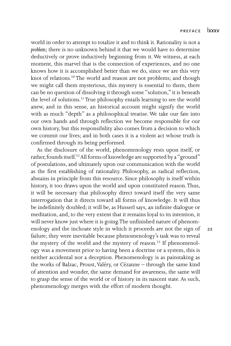world in order to attempt to totalize it and to think it. Rationality is not a *problem*; there is no unknown behind it that we would have to determine deductively or prove inductively beginning from it. We witness, at each moment, this marvel that is the connection of experiences, and no one knows how it is accomplished better than we do, since we are this very knot of relations.<sup>50</sup> The world and reason are not problems; and though we might call them mysterious, this mystery is essential to them, there can be no question of dissolving it through some "solution," it is beneath the level of solutions.<sup>51</sup> True philosophy entails learning to see the world anew, and in this sense, an historical account might signify the world with as much "depth" as a philosophical treatise. We take our fate into our own hands and through reflection we become responsible for our own history, but this responsibility also comes from a decision to which we commit our lives; and in both cases it is a violent act whose truth is confirmed through its being performed.

As the disclosure of the world, phenomenology rests upon itself, or rather, founds itself.<sup>[52](#page--1-0)</sup> All forms of knowledge are supported by a "ground" of postulations, and ultimately upon our communication with the world as the first establishing of rationality. Philosophy, as radical reflection, abstains in principle from this resource. Since philosophy is itself within history, it too draws upon the world and upon constituted reason. Thus, it will be necessary that philosophy direct toward itself the very same interrogation that it directs toward all forms of knowledge. It will thus be indefinitely doubled; it will be, as Husserl says, an infinite dialogue or meditation, and, to the very extent that it remains loyal to its intention, it will never know just where it is going. The unfinished nature of phenomenology and the inchoate style in which it proceeds are not the sign of failure; they were inevitable because phenomenology's task was to reveal the mystery of the world and the mystery of reason.<sup>53</sup> If phenomenology was a movement prior to having been a doctrine or a system, this is neither accidental nor a deception. Phenomenology is as painstaking as the works of Balzac, Proust, Valéry, or Cézanne – through the same kind of attention and wonder, the same demand for awareness, the same will to grasp the sense of the world or of history in its nascent state. As such, phenomenology merges with the effort of modern thought.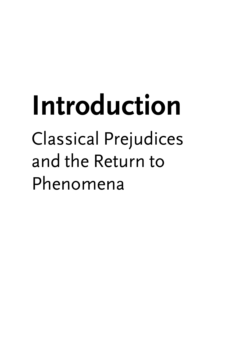# **[Introduction](#page--1-0)** Classical Prejudices and the Return to Phenomena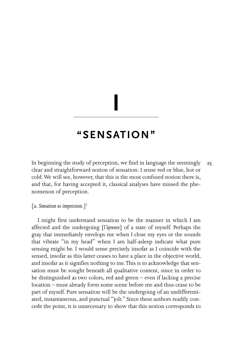## **["SENSATION"](#page--1-0)**

**I**

In beginning the study of perception, we find in language the seemingly clear and straightforward notion of sensation: I sense red or blue, hot or cold. We will see, however, that this is the most confused notion there is, and that, for having accepted it, classical analyses have missed the phenomenon of perception. 25

[a. *[Sensation as impression.](#page--1-0)*[\]1](#page--1-0)

I might first understand sensation to be the manner in which I am affected and the undergoing [*l'épreuve*] of a state of myself. Perhaps the gray that immediately envelops me when I close my eyes or the sounds that vibrate "in my head" when I am half-asleep indicate what pure sensing might be. I would sense precisely insofar as I coincide with the sensed, insofar as this latter ceases to have a place in the objective world, and insofar as it signifies nothing to me. This is to acknowledge that sensation must be sought beneath all qualitative content, since in order to be distinguished as two colors, red and green – even if lacking a precise location – must already form some scene before me and thus cease to be part of myself. Pure sensation will be the undergoing of an undifferentiated, instantaneous, and punctual "jolt." Since these authors readily concede the point, it is unnecessary to show that this notion corresponds to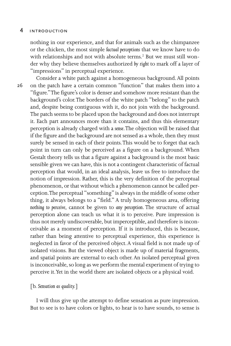#### 4 introduction

nothing in our experience, and that for animals such as the chimpanzee or the chicken, the most simple *factual perceptions* that we know have to do with relationships and not with absolute terms.<sup>2</sup> But we must still wonder why they believe themselves authorized *by right* to mark off a layer of "impressions" in perceptual experience.

26

Consider a white patch against a homogeneous background. All points on the patch have a certain common "function" that makes them into a "figure." The figure's color is denser and somehow more resistant than the background's color. The borders of the white patch "belong" to the patch and, despite being contiguous with it, do not join with the background. The patch seems to be placed upon the background and does not interrupt it. Each part announces more than it contains, and thus this elementary perception is already charged with a *sense*. The objection will be raised that if the figure and the background are not sensed as a whole, then they must surely be sensed in each of their points. This would be to forget that each point in turn can only be perceived as a figure on a background. When Gestalt theory tells us that a figure against a background is the most basic sensible given we can have, this is not a contingent characteristic of factual perception that would, in an ideal analysis, leave us free to introduce the notion of impression. Rather, this is the very definition of the perceptual phenomenon, or that without which a phenomenon cannot be called perception. The perceptual "something" is always in the middle of some other thing, it always belongs to a "field." A truly homogeneous area, offering *nothing to perceive*, cannot be given to *any perception*. The structure of actual perception alone can teach us what it is to perceive. Pure impression is thus not merely undiscoverable, but imperceptible, and therefore is inconceivable as a moment of perception. If it is introduced, this is because, rather than being attentive to perceptual experience, this experience is neglected in favor of the perceived object. A visual field is not made up of isolated visions. But the viewed object is made up of material fragments, and spatial points are external to each other. An isolated perceptual given is inconceivable, so long as we perform the mental experiment of trying to perceive it. Yet in the world there are isolated objects or a physical void.

[b. *[Sensation as quality.](#page--1-0)*]

I will thus give up the attempt to define sensation as pure impression. But to see is to have colors or lights, to hear is to have sounds, to sense is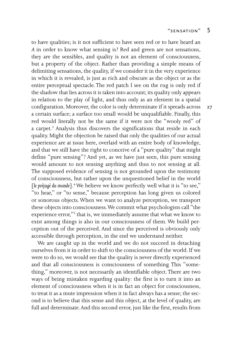to have qualities; is it not sufficient to have seen red or to have heard an *A* in order to know what sensing is? Red and green are not sensations, they are the sensibles, and quality is not an element of consciousness, but a property of the object. Rather than providing a simple means of delimiting sensations, the quality, if we consider it in the very experience in which it is revealed, is just as rich and obscure as the object or as the entire perceptual spectacle. The red patch I see on the rug is only red if the shadow that lies across it is taken into account; its quality only appears in relation to the play of light, and thus only as an element in a spatial configuration. Moreover, the color is only determinate if it spreads across a certain surface; a surface too small would be unqualifiable. Finally, this red would literally not be the same if it were not the "wooly red" of a carpet.<sup>[3](#page--1-0)</sup> Analysis thus discovers the significations that reside in each quality. Might the objection be raised that only the qualities of our actual experience are at issue here, overlaid with an entire body of knowledge, and that we still have the right to conceive of a "pure quality" that might define "pure sensing"? And yet, as we have just seen, this pure sensing would amount to not sensing anything and thus to not sensing at all. The supposed evidence of sensing is not grounded upon the testimony of consciousness, but rather upon the unquestioned belief in the world [le préjugé du monde].<sup>[4](#page--1-0)</sup> We believe we know perfectly well what it is "to see," "to hear," or "to sense," because perception has long given us colored or sonorous objects. When we want to analyze perception, we transport these objects into consciousness. We commit what psychologists call "the experience error,"<sup>[5](#page--1-0)</sup> that is, we immediately assume that what we know to exist among things is also in our consciousness of them. We build perception out of the perceived. And since the perceived is obviously only accessible through perception, in the end we understand neither.

We are caught up in the world and we do not succeed in detaching ourselves from it in order to shift to the consciousness of the world. If we were to do so, we would see that the quality is never directly experienced and that all consciousness is consciousness of something. This "something," moreover, is not necessarily an identifiable object. There are two ways of being mistaken regarding quality: the first is to turn it into an element of consciousness when it is in fact an object for consciousness, to treat it as a mute impression when it in fact always has a sense; the second is to believe that this sense and this object, at the level of quality, are full and determinate. And this second error, just like the first, results from 27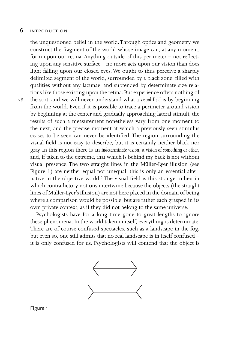#### 6 introduction

28

the unquestioned belief in the world. Through optics and geometry we construct the fragment of the world whose image can, at any moment, form upon our retina. Anything outside of this perimeter – not reflecting upon any sensitive surface – no more acts upon our vision than does light falling upon our closed eyes. We ought to thus perceive a sharply delimited segment of the world, surrounded by a black zone, filled with qualities without any lacunae, and subtended by determinate size relations like those existing upon the retina. But experience offers nothing of the sort, and we will never understand what a *visual field* is by beginning from the world. Even if it is possible to trace a perimeter around vision by beginning at the center and gradually approaching lateral stimuli, the results of such a measurement nonetheless vary from one moment to the next, and the precise moment at which a previously seen stimulus ceases to be seen can never be identified. The region surrounding the visual field is not easy to describe, but it is certainly neither black nor gray. In this region there is an *indeterminate vision*, a *vision of something or other*, and, if taken to the extreme, that which is behind my back is not without visual presence. The two straight lines in the Müller-Lyer illusion (see [Figure 1\)](#page--1-0) are neither equal nor unequal, this is only an essential alter-native in the objective world.<sup>[6](#page--1-0)</sup> The visual field is this strange milieu in which contradictory notions intertwine because the objects (the straight lines of Müller-Lyer's illusion) are not here placed in the domain of being where a comparison would be possible, but are rather each grasped in its own private context, as if they did not belong to the same universe.

Psychologists have for a long time gone to great lengths to ignore these phenomena. In the world taken in itself, everything is determinate. There are of course confused spectacles, such as a landscape in the fog, but even so, one still admits that no real landscape is in itself confused – it is only confused for us. Psychologists will contend that the object is



Figure 1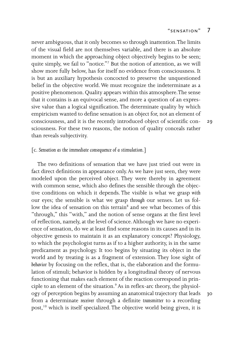never ambiguous, that it only becomes so through inattention. The limits of the visual field are not themselves variable, and there is an absolute moment in which the approaching object objectively begins to be seen; quite simply, we fail to "notice."[7](#page--1-0) But the notion of attention, as we will show more fully below, has for itself no evidence from consciousness. It is but an auxiliary hypothesis concocted to preserve the unquestioned belief in the objective world. We must recognize the indeterminate as a positive phenomenon. Quality appears within this atmosphere. The sense that it contains is an equivocal sense, and more a question of an expressive value than a logical signification. The determinate quality by which empiricism wanted to define sensation is an object for, not an element of consciousness, and it is the recently introduced object of scientific consciousness. For these two reasons, the notion of quality conceals rather than reveals subjectivity.

29

#### [c. *[Sensation as the immediate consequence of a stimulation.](#page--1-0)*]

The two definitions of sensation that we have just tried out were in fact direct definitions in appearance only. As we have just seen, they were modeled upon the perceived object. They were thereby in agreement with common sense, which also defines the sensible through the objective conditions on which it depends. The visible is what we grasp *with* our eyes; the sensible is what we grasp *through* our senses. Let us follow the idea of sensation on this terrain<sup>8</sup> [a](#page--1-0)nd see what becomes of this "through," this "with," and the notion of sense organs at the first level of reflection, namely, at the level of science. Although we have no experience of sensation, do we at least find some reasons in its causes and in its objective genesis to maintain it as an explanatory concept? Physiology, to which the psychologist turns as if to a higher authority, is in the same predicament as psychology. It too begins by situating its object in the world and by treating is as a fragment of extension. They lose sight of *behavior* by focusing on the reflex, that is, the elaboration and the formulation of stimuli; behavior is hidden by a longitudinal theory of nervous functioning that makes each element of the reaction correspond in principle to an element of the situation.<sup>9</sup> As in reflex-arc theory, the physiology of perception begins by assuming an anatomical trajectory that leads from a determinate *receiver* through a definite *transmitter* to a recording post,<sup>10</sup> which is itself specialized. The objective world being given, it is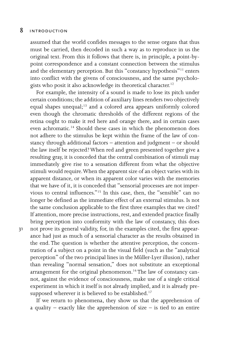#### 8 introduction

31

assumed that the world confides messages to the sense organs that thus must be carried, then decoded in such a way as to reproduce in us the original text. From this it follows that there is, in principle, a point-bypoint correspondence and a constant connection between the stimulus and the elementary perception. But this "constancy hypothesis"<sup>[11](#page--1-0)</sup> enters into conflict with the givens of consciousness, and the same psychologists who posit it also acknowledge its theoretical character.<sup>12</sup>

For example, the intensity of a sound is made to lose its pitch under certain conditions; the addition of auxiliary lines renders two objectively equal shapes unequal;<sup>13</sup> and a colored area appears uniformly colored even though the chromatic thresholds of the different regions of the retina ought to make it red here and orange there, and in certain cases even achromatic.<sup>14</sup> Should these cases in which the phenomenon does not adhere to the stimulus be kept within the frame of the law of constancy through additional factors – attention and judgment – or should the law itself be rejected? When red and green presented together give a resulting gray, it is conceded that the central combination of stimuli may immediately give rise to a sensation different from what the objective stimuli would require. When the apparent size of an object varies with its apparent distance, or when its apparent color varies with the memories that we have of it, it is conceded that "sensorial processes are not impervious to central influences."[15](#page--1-0) In this case, then, the "sensible" can no longer be defined as the immediate effect of an external stimulus. Is not the same conclusion applicable to the first three examples that we cited? If attention, more precise instructions, rest, and extended practice finally bring perception into conformity with the law of constancy, this does not prove its general validity, for, in the examples cited, the first appearance had just as much of a sensorial character as the results obtained in the end. The question is whether the attentive perception, the concentration of a subject on a point in the visual field (such as the "analytical perception" of the two principal lines in the Müller-Lyer illusion), rather than revealing "normal sensation," does not substitute an exceptional arrangement for the original phenomenon.<sup>16</sup> The law of constancy cannot, against the evidence of consciousness, make use of a single critical experiment in which it itself is not already implied, and it is already pre-supposed wherever it is believed to be established.<sup>[17](#page--1-0)</sup>

If we return to phenomena, they show us that the apprehension of a quality – exactly like the apprehension of size – is tied to an entire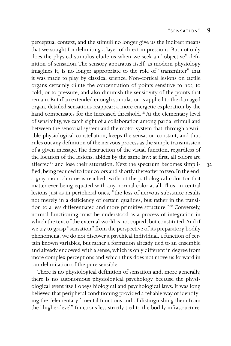perceptual context, and the stimuli no longer give us the indirect means that we sought for delimiting a layer of direct impressions. But not only does the physical stimulus elude us when we seek an "objective" definition of sensation. The sensory apparatus itself, as modern physiology imagines it, is no longer appropriate to the role of "transmitter" that it was made to play by classical science. Non-cortical lesions on tactile organs certainly dilute the concentration of points sensitive to hot, to cold, or to pressure, and also diminish the sensitivity of the points that remain. But if an extended enough stimulation is applied to the damaged organ, detailed sensations reappear; a more energetic exploration by the hand compensates for the increased threshold.<sup>18</sup> At the elementary level of sensibility, we catch sight of a collaboration among partial stimuli and between the sensorial system and the motor system that, through a variable physiological constellation, keeps the sensation constant, and thus rules out any definition of the nervous process as the simple transmission of a given message. The destruction of the visual function, regardless of the location of the lesions, abides by the same law: at first, all colors are affected<sup>19</sup> and lose their saturation. Next the spectrum becomes simplified, being reduced to four colors and shortly thereafter to two. In the end, a gray monochrome is reached, without the pathological color for that matter ever being equated with any normal color at all. Thus, in central lesions just as in peripheral ones, "the loss of nervous substance results not merely in a deficiency of certain qualities, but rather in the transition to a less differentiated and more primitive structure.["20](#page--1-0) Conversely, normal functioning must be understood as a process of integration in which the text of the external world is not copied, but constituted. And if we try to grasp "sensation" from the perspective of its preparatory bodily phenomena, we do not discover a psychical individual, a function of certain known variables, but rather a formation already tied to an ensemble and already endowed with a sense, which is only different in degree from more complex perceptions and which thus does not move us forward in our delimitation of the pure sensible.

There is no physiological definition of sensation and, more generally, there is no autonomous physiological psychology because the physiological event itself obeys biological and psychological laws. It was long believed that peripheral conditioning provided a reliable way of identifying the "elementary" mental functions and of distinguishing them from the "higher-level" functions less strictly tied to the bodily infrastructure. 32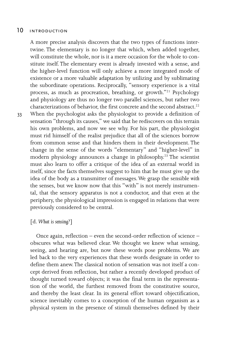#### 10 INTRODUCTION

A more precise analysis discovers that the two types of functions intertwine. The elementary is no longer that which, when added together, will constitute the whole, nor is it a mere occasion for the whole to constitute itself. The elementary event is already invested with a sense, and the higher-level function will only achieve a more integrated mode of existence or a more valuable adaptation by utilizing and by sublimating the subordinate operations. Reciprocally, "sensory experience is a vital process, as much as procreation, breathing, or growth.["21](#page--1-0) Psychology and physiology are thus no longer two parallel sciences, but rather two characterizations of behavior, the first concrete and the second abstract.<sup>[22](#page--1-0)</sup> When the psychologist asks the physiologist to provide a definition of sensation "through its causes," we said that he rediscovers on this terrain his own problems, and now we see why. For his part, the physiologist must rid himself of the realist prejudice that all of the sciences borrow from common sense and that hinders them in their development. The change in the sense of the words "elementary" and "higher-level" in modern physiology announces a change in philosophy.<sup>23</sup> The scientist must also learn to offer a critique of the idea of an external world in itself, since the facts themselves suggest to him that he must give up the idea of the body as a transmitter of messages. We grasp the sensible *with* the senses, but we know now that this "with" is not merely instrumental, that the sensory apparatus is not a conductor, and that even at the periphery, the physiological impression is engaged in relations that were previously considered to be central.

[d. *[What is sensing?](#page--1-0)*]

Once again, reflection – even the second-order reflection of science – obscures what was believed clear. We thought we knew what sensing, seeing, and hearing are, but now these words pose problems. We are led back to the very experiences that these words designate in order to define them anew. The classical notion of sensation was not itself a concept derived from reflection, but rather a recently developed product of thought turned toward objects; it was the final term in the representation of the world, the furthest removed from the constitutive source, and thereby the least clear. In its general effort toward objectification, science inevitably comes to a conception of the human organism as a physical system in the presence of stimuli themselves defined by their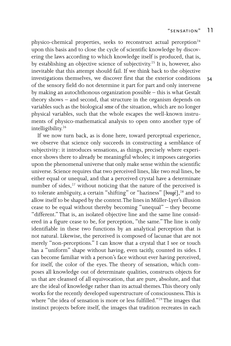physico-chemical properties, seeks to reconstruct actual perception<sup>24</sup> upon this basis and to close the cycle of scientific knowledge by discovering the laws according to which knowledge itself is produced, that is, by establishing an objective science of subjectivity.<sup>[25](#page--1-0)</sup> It is, however, also inevitable that this attempt should fail. If we think back to the objective investigations themselves, we discover first that the exterior conditions of the sensory field do not determine it part for part and only intervene by making an autochthonous organization possible – this is what Gestalt theory shows – and second, that structure in the organism depends on variables such as the biological *sense* of the situation, which are no longer physical variables, such that the whole escapes the well-known instruments of physico-mathematical analysis to open onto another type of intelligibility.[26](#page--1-0)

If we now turn back, as is done here, toward perceptual experience, we observe that science only succeeds in constructing a semblance of subjectivity: it introduces sensations, as things, precisely where experience shows there to already be meaningful wholes; it imposes categories upon the phenomenal universe that only make sense within the scientific universe. Science requires that two perceived lines, like two real lines, be either equal or unequal, and that a perceived crystal have a determinate number of sides, $27$  without noticing that the nature of the perceived is to tolerate ambiguity, a certain "shifting" or "haziness" [bougé],<sup>[28](#page--1-0)</sup> and to allow itself to be shaped by the context. The lines in Müller-Lyer's illusion cease to be equal without thereby becoming "unequal" – they become "different." That is, an isolated objective line and the same line considered in a figure cease to be, for perception, "the same." The line is only identifiable in these two functions by an analytical perception that is not natural. Likewise, the perceived is composed of lacunae that are not merely "non-perceptions." I can know that a crystal that I see or touch has a "uniform" shape without having, even tacitly, counted its sides. I can become familiar with a person's face without ever having perceived, for itself, the color of the eyes. The theory of sensation, which composes all knowledge out of determinate qualities, constructs objects for us that are cleansed of all equivocation, that are pure, absolute, and that are the ideal of knowledge rather than its actual themes. This theory only works for the recently developed superstructure of consciousness. This is where "the idea of sensation is more or less fulfilled."<sup>29</sup> The images that instinct projects before itself, the images that tradition recreates in each

34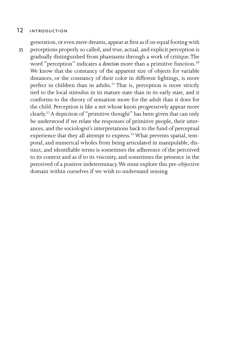#### 12 introduction

generation, or even mere dreams, appear at first as if on equal footing with

perceptions properly so called, and true, actual, and explicit perception is gradually distinguished from phantasms through a work of critique. The word "perception" indicates a direction more than a primitive function.<sup>[30](#page--1-0)</sup> We know that the constancy of the apparent size of objects for variable distances, or the constancy of their color in different lightings, is more perfect in children than in adults.<sup>31</sup> That is, perception is more strictly tied to the local stimulus in its mature state than in its early state, and it conforms to the theory of sensation more for the adult than it does for the child. Perception is like a net whose knots progressively appear more clearly[.32](#page--1-0) A depiction of "primitive thought" has been given that can only be understood if we relate the responses of primitive people, their utterances, and the sociologist's interpretations back to the fund of perceptual experience that they all attempt to express.<sup>33</sup> What prevents spatial, temporal, and numerical wholes from being articulated in manipulable, distinct, and identifiable terms is sometimes the adherence of the perceived to its context and as if to its viscosity, and sometimes the presence in the perceived of a positive indeterminacy. We must explore this pre-objective domain within ourselves if we wish to understand sensing. 35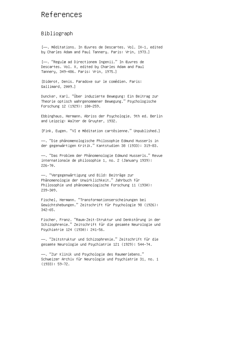### References

#### Bibliograph

[——. Méditations. In Œuvres de Descartes. Vol. IX–1, edited by Charles Adam and Paul Tannery. Paris: Vrin, 1973.]

[——. "Regulæ ad Directionem Ingenii." In Œuvres de Descartes. Vol. X, edited by Charles Adam and Paul Tannery, 349–486. Paris: Vrin, 1975.]

[Diderot, Denis. Paradoxe sur le comédien. Paris: Gallimard, 2009.]

Duncker, Karl. "Über induzierte Bewegung: Ein Beitrag zur Theorie optisch wahrgenommener Bewegung." Psychologische Forschung 12 (1929): 180–259.

Ebbinghaus, Hermann. Abriss der Psychologie. 9th ed. Berlin and Leipzig: Walter de Gruyter, 1932.

[Fink, Eugen. "VI e Méditation cartésienne." Unpublished.]

——. "Die phänomenologische Philosophie Edmund Husserls in der gegenwärtigen Kritik." Kantstudien 38 (1933): 319–83.

——. "Das Problem der Phänomenologie Edmund Husserls." Revue internationale de philosophie 1, no. 2 (January 1939): 226–70.

——. "Vergegenwärtigung und Bild: Beiträge zur Phänomenologie der Unwirklichkeit." Jahrbuch für Philosophie und phänomenologische Forschung 11 (1930): 239–309.

Fischel, Hermann. "Transformationserscheinungen bei Gewichtshebungen." Zeitschrift für Psychologie 98 (1926): 342–65.

Fischer, Franz. "Raum-Zeit-Struktur und Denkstörung in der Schizophrenie." Zeitschrift für die gesamte Neurologie und Psychiatrie 124 (1930): 241–56.

——. "Zeitstruktur und Schizophrenie." Zeitschrift für die gesamte Neurologie und Psychiatrie 121 (1929): 544–74.

——. "Zur Klinik und Psychologie des Raumerlebens." Schweizer Archiv für Neurologie und Psychiatrie 31, no. 1 (1933): 59–72.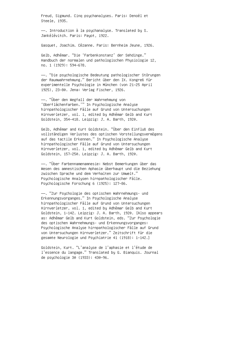Freud, Sigmund. Cinq psychanalyses. Paris: Denoël et Steele, 1935.

——. Introduction à la psychanalyse. Translated by S. Jankélévitch. Paris: Payot, 1922.

Gasquet, Joachim. Cézanne. Paris: Bernheim Jeune, 1926.

Gelb, Adhémar. "Die 'Farbenkonstanz' der Sehdinge." Handbuch der normalen und pathologischen Physiologie 12, no. 1 (1929): 594–678.

——. "Die psychologische Bedeutung pathologischer Störungen der Raumwahrnehmung." Bericht über den IX. Kongreß für experimentelle Psychologie in München (von 21–25 April 1925), 23–80. Jena: Verlag Fischer, 1926.

——. "Über den Wegfall der Wahrnehmung von 'Oberflächenfarben.'" In Psychologische Analyse hirnpathologischer Fälle auf Grund von Untersuchungen Hirnverletzer, vol. 1, edited by Adhémar Gelb and Kurt Goldstein, 354–418. Leipzig: J. A. Barth, 1920.

Gelb, Adhémar and Kurt Goldstein. "Über den Einfluß des vollständigen Verlustes des optischen Vorstellungsvermögens auf das tactile Erkennen." In Psychologische Analyse hirnpathologischer Fälle auf Grund von Untersuchungen Hirnverletzer, vol. 1, edited by Adhémar Gelb and Kurt Goldstein, 157–250. Leipzig: J. A. Barth, 1920.

——. "Über Farbennamenamnesie: Nebst Bemerkungen über das Wesen des amnestischen Aphasie überhaupt und die Beziehung zwischen Sprache und dem Verhalten zur Umwelt." Psychologische Analysen hirnpathologischer Fälle. Psychologische Forschung 6 (1925): 127–86.

——. "Zur Psychologie des optischen Wahrnehmungs- und Erkennungsvorganges." In Psychologische Analyse hirnpathologischer Fälle auf Grund von Untersuchungen Hirnverletzer, vol. 1, edited by Adhémar Gelb and Kurt Goldstein, 1–142. Leipzig: J. A. Barth, 1920. [Also appears as: Adhémar Gelb and Kurt Goldstein, eds. "Zur Psychologie des optischen Wahrnehmungs- und Erkennungsvorganges: Psychologische Analyse hirnpathologischer Fälle auf Grund von Untersuchungen Hirnverletzer." Zeitschrift für die gesamte Neurologie und Psychiatrie 41 (1918): 1–142.]

Goldstein, Kurt. "L'analyse de l'aphasie et l'étude de l'essence du langage." Translated by G. Bianquis. Journal de psychologie 30 (1933): 430–96.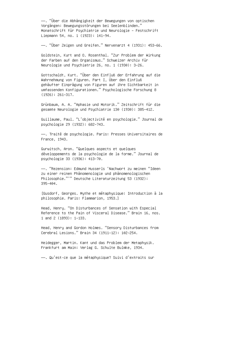——. "Über die Abhängigkeit der Bewegungen von optischen Vorgängen: Bewegungsstörungen bei Seelenblinden." Monatschrift für Psychiatrie und Neurologie – Festschrift Liepmann 54, no. 1 (1923): 141–94.

——. "Über Zeigen und Greifen." Nervenarzt 4 (1931): 453–66.

Goldstein, Kurt and O. Rosenthal. "Zur Problem der Wirkung der Farben auf den Organismus." Schweizer Archiv für Neurologie und Psychiatrie 26, no. 1 (1930): 3–26.

Gottschaldt, Kurt. "Über den Einfluß der Erfahrung auf die Wahrnehmung von Figuren. Part I, Über den Einfluß gehäufter Einprägung von Figuren auf ihre Sichtbarkeit in umfassenden Konfigurationen." Psychologische Forschung 8 (1926): 261–317.

Grünbaum, A. A. "Aphasie und Motorik." Zeitschrift für die gesamte Neurologie und Psychiatrie 130 (1930): 385–412.

Guillaume, Paul. "L'objectivité en psychologie." Journal de psychologie 29 (1932): 682–743.

——. Traité de psychologie. Paris: Presses Universitaires de France, 1943.

Gurwitsch, Aron. "Quelques aspects et quelques développements de la psychologie de la forme." Journal de psychologie 33 (1936): 413–70.

——. "Rezension: Edmund Husserls 'Nachwort zu meinen "Ideen zu einer reinen Phänomenologie und phänomenologischen Philosophie."'" Deutsche Literaturzeitung 53 (1932): 395–404.

[Gusdorf, Georges. Mythe et métaphysique: Introduction à la philosophie. Paris: Flammarion, 1953.]

Head, Henry. "On Disturbances of Sensation with Especial Reference to the Pain of Visceral Disease." Brain 16, nos. 1 and 2 (1893): 1–133.

Head, Henry and Gordon Holmes. "Sensory Disturbances from Cerebral Lesions." Brain 34 (1911–12): 102–254.

Heidegger, Martin. Kant und das Problem der Metaphysik. Frankfurt am Main: Verlag G. Schulte Bulmke, 1934.

——. Qu'est-ce que la métaphysique? Suivi d'extraits sur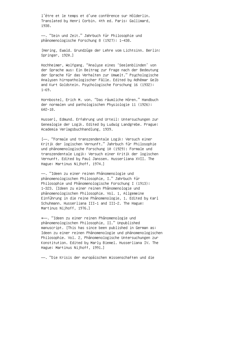l'être et le temps et d'une conférence sur Hölderlin. Translated by Henri Corbin. 4th ed. Paris: Gallimard, 1938.

——. "Sein und Zeit." Jahrbuch für Philosophie und phänomenologische Forschung 8 (1927): 1–438.

[Hering, Ewald. Grundzüge der Lehre vom Lichtsinn. Berlin: Springer, 1920.]

Hochheimer, Wolfgang. "Analyse eines 'Seelenblinden' von der Sprache aus: Ein Beitrag zur Frage nach der Bedeutung der Sprache für das Verhalten zur Umwelt." Psychologische Analysen hirnpathologischer Fälle. Edited by Adhémar Gelb and Kurt Goldstein. Psychologische Forschung 16 (1932): 1–69.

Hornbostel, Erich M. von. "Das räumliche Hören." Handbuch der normalen und pathologischen Physiologie 11 (1926): 602–18.

Husserl, Edmund. Erfahrung und Urteil: Untersuchungen zur Genealogie der Logik. Edited by Ludwig Landgrebe. Prague: Academia Verlagsbuchhandlung, 1939.

[——. "Formale und transzendentale Logik: Versuch einer Kritik der logischen Vernunft." Jahrbuch für Philosophie und phänomenologische Forschung 10 (1929); Formale und transzendentale Logik: Versuch einer Kritik der logischen Vernunft. Edited by Paul Janssen. Husserliana XVII. The Hague: Martinus Nijhoff, 1974.]

——. "Ideen zu einer reinen Phänomenologie und phänomenologischen Philosophie, I." Jahrbuch für Philosophie und Phänomenologische Forschung I (1913): 1–323. [Ideen zu einer reinen Phänomenologie und phänomenologischen Philosophie. Vol. 1, Allgemeine Einführung in die reine Phänomenologie, 1. Edited by Karl Schuhmann. Husserliana III–1 and III–2. The Hague: Martinus Nijhoff, 1976.]

\*——. "Ideen zu einer reinen Phänomenologie und phänomenologischen Philosophie, II." Unpublished manuscript. [This has since been published in German as: Ideen zu einer reinen Phänomenologie und phänomenologischen Philosophie. Vol. 2, Phänomenologische Untersuchungen zur Konstitution. Edited by Marly Biemel. Husserliana IV. The Hague: Martinus Nijhoff, 1991.]

——. "Die Krisis der europäischen Wissenschaften und die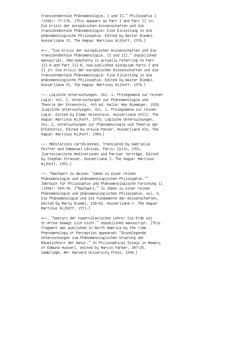transzendentale Phänomenologie, I und II." Philosophia 1 (1936): 77–176. [This appears as Part I and Part II in: Die Krisis der europäischen Wissenschaften und die transzendentale Phänomenologie: Eine Einleitung in die phänomenologische Philosophie. Edited by Walter Biemel. Husserliana VI. The Hague: Martinus Nijhoff, 1976.]

\*——. "Die Krisis der europäischen Wissenschaften und die transzendentale Phänomenologie, II und III." Unpublished manuscript. [MerleauPonty is actually referring to Part III-A and Part III-B, now published alongside Parts I and II in: Die Krisis der europäischen Wissenschaften und die transzendentale Phänomenologie: Eine Einleitung in die phänomenologische Philosophie. Edited by Walter Biemel. Husserliana VI. The Hague: Martinus Nijhoff, 1976.]

——. Logische Untersuchungen. Vol. 1, Prolegomena zur reinen Logik; Vol. 2, Untersuchungen zur Phänomenologie und Theorie der Erkenntnis. 4th ed. Halle: Max Niemeyer, 1928. [Logische Untersuchungen. Vol. 1, Prolegomena zur reinen Logik. Edited by Elmar Holenstein. Husserliana XVIII. The Hague: Martinus Nijhoff, 1975; Logische Untersuchungen. Vol. 2, Untersuchungen zur Phänomenologie und Theorie der Erkenntnis. Edited by Ursula Panzer. Husserliana XIX. The Hague: Martinus Nijhoff, 1984.]

——. Méditations cartésiennes. Translated by Gabrielle Peiffer and Emmanuel Lévinas. Paris: Colin, 1931. [Cartesianische Meditationen und Pariser Vorträge. Edited by Stephan Strasser. Husserliana I. The Hague: Martinus Nijhoff, 1991.]

——. "Nachwort zu meinen 'Ideen zu einer reinen Phänomenologie und phänomenologischen Philosophie.'" Jahrbuch für Philosophie und Phänomenologische Forschung 11 (1930): 549–70. ["Nachwort." In Ideen zu einer reinen Phänomenologie und phänomenologischen Philosophie, vol. 3, Die Phänomenologie und die Fundamente der Wissenschaften, edited by Marly Biemel, 138–62. Husserliana V. The Hague: Martinus Nijhoff, 1971.]

\*——. "Umsturz der kopernikanischen Lehre: Die Erde als Ur-Arche bewegt sich nicht." Unpublished manuscript. [This fragment was published in North America by the time Phenomenology of Perception appeared: "Grundlegende Untersuchungen zum Phänomenologischen Ursprung der Räumlichkeit der Natur." In Philosophical Essays in Memory of Edmund Husserl, edited by Marvin Farber, 307–25. Cambridge, MA: Harvard University Press, 1940.]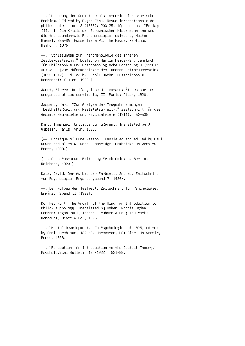——. "Ursprung der Geometrie als intentional-historische Problem." Edited by Eugen Fink. Revue internationale de philosophie 1, no. 2 (1939): 203–25. [Appears as: "Beilage III." In Die Krisis der Europäischen Wissenschaften und die transzendentale Phänomenologie, edited by Walter Biemel, 365–86. Husserliana VI. The Hague: Martinus Nijhoff, 1976.]

——. "Vorlesungen zur Phänomenologie des inneren Zeitbewusstseins." Edited by Martin Heidegger. Jahrbuch für Philosophie und Phänomenologische Forschung 9 (1928): 367–496. [Zur Phänomenologie des Inneren Zeitbewusstseins (1893–1917). Edited by Rudolf Boehm. Husserliana X. Dordrecht: Kluwer, 1966.]

Janet, Pierre. De l'angoisse à l'extase: Études sur les croyances et les sentiments, II. Paris: Alcan, 1928.

Jaspers, Karl. "Zur Analyse der Trugwahrnehmungen (Leibhaftigkeit und Realitätsurteil)." Zeitschrift für die gesamte Neurologie und Psychiatrie 6 (1911): 460–535.

Kant, Immanuel. Critique du jugement. Translated by J. Gibelin. Paris: Vrin, 1928.

[——. Critique of Pure Reason. Translated and edited by Paul Guyer and Allen W. Wood. Cambridge: Cambridge University Press, 1998.]

[——. Opus Postumum. Edited by Erich Adickes. Berlin: Reichard, 1920.]

Katz, David. Der Aufbau der Farbwelt. 2nd ed. Zeitschrift für Psychologie. Ergänzungsband 7 (1930).

——. Der Aufbau der Tastwelt. Zeitschrift für Psychologie. Ergänzungsband 11 (1925).

Koffka, Kurt. The Growth of the Mind: An Introduction to Child-Psychology. Translated by Robert Morris Ogden. London: Kegan Paul, Trench, Trubner & Co.; New York: Harcourt, Brace & Co., 1925.

——. "Mental Development." In Psychologies of 1925, edited by Carl Murchison, 129–43. Worcester, MA: Clark University Press, 1928.

——. "Perception: An Introduction to the Gestalt Theory." Psychological Bulletin 19 (1922): 531–85.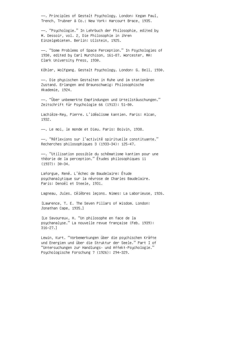——. Principles of Gestalt Psychology. London: Kegan Paul, Trench, Trubner & Co.; New York: Harcourt Brace, 1935.

——. "Psychologie." In Lehrbuch der Philosophie, edited by M. Dessoir, vol. 2, Die Philosophie in ihren Einzelgebieten. Berlin: Ullstein, 1925.

——. "Some Problems of Space Perception." In Psychologies of 1930, edited by Carl Murchison, 161–87. Worcester, MA: Clark University Press, 1930.

Köhler, Wolfgang. Gestalt Psychology. London: G. Bell, 1930.

——. Die physischen Gestalten in Ruhe und im stationären Zustand. Erlangen and Braunschweig: Philosophische Akademie, 1924.

——. "Über unbemerkte Empfindungen und Urteilstäuschungen." Zeitschrift für Psychologie 66 (1913): 51–80.

Lachièze-Rey, Pierre. L'idéalisme kantien. Paris: Alcan, 1932.

——. Le moi, le monde et Dieu. Paris: Boivin, 1938.

——. "Réflexions sur l'activité spirituelle constituante." Recherches philosophiques 3 (1933–34): 125–47.

——. "Utilisation possible du schématisme kantien pour une théorie de la perception." Études philosophiques 11 (1937): 30–34.

Laforgue, René. L'échec de Baudelaire: Étude psychanalytique sur la névrose de Charles Baudelaire. Paris: Denoël et Steele, 1931.

Lagneau, Jules. Célèbres leçons. Nimes: La Laborieuse, 1926.

[Lawrence, T. E. The Seven Pillars of Wisdom. London: Jonathan Cape, 1935.]

[Le Savoureux, H. "Un philosophe en face de la psychanalyse." La nouvelle revue française (Feb. 1939): 316–27.]

Lewin, Kurt. "Vorbemerkungen über die psychischen Kräfte und Energien und über die Struktur der Seele." Part I of "Untersuchungen zur Handlungs- und Affekt-Psychologie." Psychologische Forschung 7 (1926): 294–329.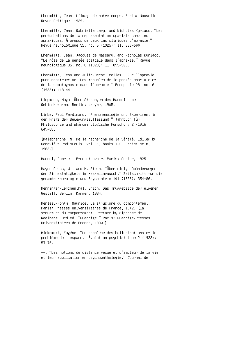Lhermitte, Jean. L'image de notre corps. Paris: Nouvelle Revue Critique, 1939.

Lhermitte, Jean, Gabrielle Lévy, and Nicholas Kyriaco. "Les perturbations de la représentation spatiale chez les apraxiques: À propos de deux cas cliniques d'apraxie." Revue neurologique 32, no. 5 (1925): II, 586–600.

Lhermitte, Jean, Jacques de Massary, and Nicholas Kyriaco. "Le rôle de la pensée spatiale dans l'apraxie." Revue neurologique 35, no. 6 (1928): II, 895–903.

Lhermitte, Jean and Julio-Oscar Trelles. "Sur l'apraxie pure constructive: Les troubles de la pensée spatiale et de la somatognosie dans l'apraxie." Encéphale 28, no. 6 (1933): 413–44.

Liepmann, Hugo. Über Störungen des Handelns bei Gehirnkranken. Berlin: Karger, 1905.

Linke, Paul Ferdinand. "Phänomenologie und Experiment in der Frage der Bewegungsauffassung." Jahrbuch für Philosophie und phänomenologische Forschung 2 (1916): 649–68.

[Malebranche, N. De la recherche de la vérité. Edited by Geneviève RodisLewis. Vol. 1, books 1–3. Paris: Vrin, 1962.]

Marcel, Gabriel. Être et avoir. Paris: Aubier, 1925.

Mayer-Gross, W., and H. Stein. "Über einige Abänderungen der Sinnestätigkeit im Meskalinrausch." Zeitschrift für die gesamte Neurologie und Psychiatrie 101 (1926): 354–86.

Menninger-Lerchenthal, Erich. Das Truggebilde der eigenen Gestalt. Berlin: Karger, 1934.

Merleau-Ponty, Maurice. La structure du comportement. Paris: Presses Universitaires de France, 1942. [La structure du comportement. Preface by Alphonse de Waelhens. 3rd ed. "Quadrige." Paris: Quadrige/Presses Universitaires de France, 1990.]

Minkowski, Eugène. "Le problème des hallucinations et le problème de l'espace." Évolution psychiatrique 2 (1932): 57–76.

——. "Les notions de distance vécue et d'ampleur de la vie et leur application en psychopathologie." Journal de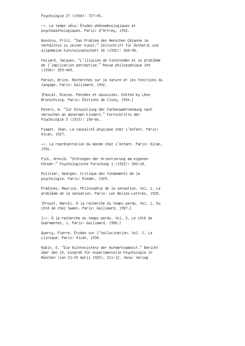Psychologie 27 (1930): 727–45.

——. Le temps vécu: Études phénoménologiques et psychopathologiques. Paris: d'Artrey, 1933.

Novotny, Fritz. "Das Problem des Menschen Cézanne im Verhältnis zu seiner Kunst." Zeitschrift für Ästhetik und allgemeine Kunstwissenschaft 26 (1932): 268–98.

Paliard, Jacques. "L'illusion de Sinnsteden et le problème de l'implication perceptive." Revue philosophique 109 (1930): 359–409.

Parain, Brice. Recherches sur la nature et les fonctions du langage. Paris: Gallimard, 1942.

[Pascal, Blaise. Pensées et opuscules. Edited by Léon Brunschvicg. Paris: Éditions de Cluny, 1934.]

Peters, W. "Zur Entwicklung der Farbenwahrnehmung nach Versuchen an abnormen Kindern." Fortschritte der Psychologie 3 (1915): 150–66.

Piaget, Jean. La causalité physique chez l'enfant. Paris: Alcan, 1927.

——. La représentation du monde chez l'enfant. Paris: Alcan, 1926.

Pick, Arnold. "Störungen der Orientierung am eigenen Körper." Psychologische Forschung 1 (1922): 303–18.

Politzer, Georges. Critique des fondements de la psychologie. Paris: Rieder, 1929.

Pradines, Maurice. Philosophie de la sensation. Vol. 1, Le problème de la sensation. Paris: Les Belles-Lettres, 1928.

[Proust, Marcel. À la recherche du temps perdu. Vol. 1, Du côté de chez Swann. Paris: Gallimard, 1987.]

[——. À la recherche du temps perdu. Vol. 3, Le côté de Guermantes, 1. Paris: Gallimard, 1988.]

Quercy, Pierre. Études sur l'hallucination. Vol. 2, La clinique. Paris: Alcan, 1930.

Rubin, E. "Die Nichtexistenz der Aufmerksamkeit." Bericht über den IX. Kongreß für experimentelle Psychologie in München (von 21–25 April 1925), 211–12. Jena: Verlag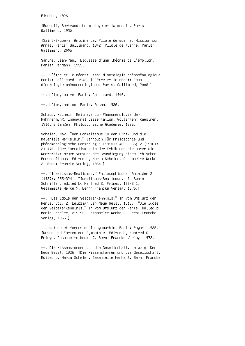Fischer, 1926.

[Russell, Bertrand. Le mariage et la morale. Paris: Gallimard, 1930.]

[Saint-Exupéry, Antoine de. Pilote de guerre: Mission sur Arras. Paris: Gallimard, 1942; Pilote de guerre. Paris: Gallimard, 2005.]

Sartre, Jean-Paul. Esquisse d'une théorie de l'émotion. Paris: Hermann, 1939.

——. L'être et le néant: Essai d'ontologie phénoménologique. Paris: Gallimard, 1943. [L'être et le néant: Essai d'ontologie phénoménologique. Paris: Gallimard, 2008.]

——. L'imaginaire. Paris: Gallimard, 1940.

——. L'imagination. Paris: Alcan, 1936.

Schapp, Wilhelm. Beiträge zur Phänomenologie der Wahrnehmung. Inaugural Dissertation. Göttingen: Kaestner, 1910; Erlangen: Philosophische Akademie, 1925.

Scheler, Max. "Der Formalismus in der Ethik und die materiale Wertethik." Jahrbuch für Philosophie und phänomenologische Forschung 1 (1913): 405– 565; 2 (1916): 21–478. [Der Formalismus in der Ethik und die materiale Wertethik: Neuer Versuch der Grundlegung eines Ethischen Personalismus. Edited by Maria Scheler. Gesammelte Werke 2. Bern: Francke Verlag, 1954.]

——. "Idealismus-Realismus." Philosophischer Anzeiger 2 (1927): 255–324. ["Idealismus-Realismus." In Späte Schriften, edited by Manfred S. Frings, 183–241. Gesammelte Werke 9. Bern: Francke Verlag, 1976.]

——. "Die Idole der Selbsterkenntnis." In Vom Umsturz der Werte, vol. 2. Leipzig: Der Neue Geist, 1919. ["Die Idole der Selbsterkenntnis." In Vom Umsturz der Werte, edited by Maria Scheler, 215–92. Gesammelte Werke 3. Bern: Francke Verlag, 1955.]

——. Nature et formes de la sympathie. Paris: Payot, 1928. [Wesen und Formen der Sympathie. Edited by Manfred S. Frings. Gesammelte Werke 7. Bern: Francke Verlag, 1973.]

——. Die Wissensformen und die Gesellschaft. Leipzig: Der Neue Geist, 1926. [Die Wissensformen und die Gesellschaft. Edited by Maria Scheler. Gesammelte Werke 8. Bern: Francke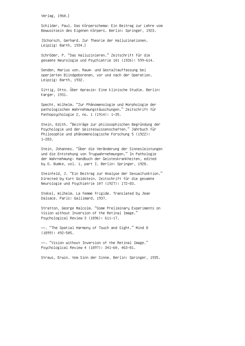Verlag, 1960.]

Schilder, Paul. Das Körperschema: Ein Beitrag zur Lehre vom Bewusstsein des Eigenen Körpers. Berlin: Springer, 1923.

[Schorsch, Gerhard. Zur Theorie der Halluzinationen. Leipzig: Barth, 1934.]

Schröder, P. "Das Halluzinieren." Zeitschrift für die gesamte Neurologie und Psychiatrie 101 (1926): 599–614.

Senden, Marius von. Raum- und Gestaltauffassung bei operierten Blindgeborenen, vor und nach der Operation. Leipzig: Barth, 1932.

Sittig, Otto. Über Apraxie: Eine klinische Studie. Berlin: Karger, 1931.

Specht, Wilhelm. "Zur Phänomenologie und Morphologie der pathologischen Wahrnehmungstäuschungen." Zeitschrift für Pathopsychologie 2, no. 1 (1914): 1–35.

Stein, Edith. "Beiträge zur philosophischen Begründung der Psychologie und der Geisteswissenschaften." Jahrbuch für Philosophie und phänomenologische Forschung 5 (1922): 1–283.

Stein, Johannes. "Über die Veränderung der Sinnesleistungen und die Entstehung von Trugwahrnehmungen." In Pathologie der Wahrnehmung: Handbuch der Geisteskrankheiten, edited by O. Bumke, vol. 1, part I. Berlin: Springer, 1928.

Steinfeld, J. "Ein Beitrag zur Analyse der Sexualfunktion." Directed by Kurt Goldstein. Zeitschrift für die gesamte Neurologie und Psychiatrie 107 (1927): 172–83.

Stekel, Wilhelm. La femme frigide. Translated by Jean Dalsace. Paris: Gallimard, 1937.

Stratton, George Malcolm. "Some Preliminary Experiments on Vision without Inversion of the Retinal Image." Psychological Review 3 (1896): 611–17.

——. "The Spatial Harmony of Touch and Sight." Mind 8 (1899): 492–505.

——. "Vision without Inversion of the Retinal Image." Psychological Review 4 (1897): 341–60, 463–81.

Straus, Erwin. Vom Sinn der Sinne. Berlin: Springer, 1935.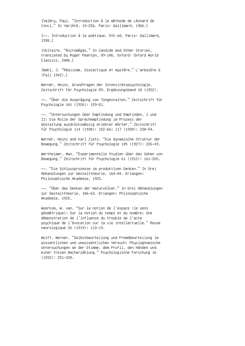[Valéry, Paul. "Introduction à la méthode de Léonard de Vinci." In Variété, 13–256. Paris: Gallimard, 1966.]

[——. Introduction à la poétique. 5th ed. Paris: Gallimard, 1938.]

[Voltaire. "Micromégas." In Candide and Other Stories, translated by Roger Pearson, 89–106. Oxford: Oxford World Classics, 2006.]

[Wahl, J. "Réalisme, dialectique et mystère." L'arbalète 6 (Fall 1942).]

Werner, Heinz. Grundfragen der Intensitätspsychologie. Zeitschrift für Psychologie 89. Ergänzungsband 10 (1922).

——. "Über die Ausprägung von Tongestalten." Zeitschrift für Psychologie 101 (1926): 159–81.

——. "Untersuchungen über Empfindung und Empfinden, I und II: Die Rolle der Sprachempfindung im Prozess der Gestaltung ausdrücksmässig erlebter Wörter." Zeitschrift für Psychologie 114 (1930): 152–66; 117 (1930): 230–54.

Werner, Heinz and Karl Zietz. "Die dynamische Struktur der Bewegung." Zeitschrift für Psychologie 105 (1927): 226–49.

Wertheimer, Max. "Experimentelle Studien über das Sehen von Bewegung." Zeitschrift für Psychologie 61 (1912): 161–265.

——. "Die Schlussprozesse im produktiven Denken." In Drei Abhandlungen zur Gestalttheorie, 164–84. Erlangen: Philosophische Akademie, 1925.

——. "Über das Denken der Naturvölker." In Drei Abhandlungen zur Gestalttheorie, 106–63. Erlangen: Philosophische Akademie, 1925.

Woerkom, W. van. "Sur la notion de l'espace (le sens géométrique): Sur la notion du temps et du nombre; Une démonstration de l'influence du trouble de l'acte psychique de l'évocation sur la vie intellectuelle." Revue neurologique 26 (1919): 113–19.

Wolff, Werner. "Selbstbeurteilung und Fremdbeurteilung im wissentlichen und unwissentlichen Versuch: Physiognomische Untersuchungen an der Stimme, dem Profil, den Händen und einer freien Nacherzählung." Psychologische Forschung 16 (1932): 251–328.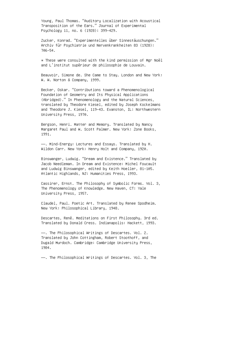Young, Paul Thomas. "Auditory Localization with Acoustical Transposition of the Ears." Journal of Experimental Psychology 11, no. 6 (1928): 399–429.

Zucker, Konrad. "Experimentelles über Sinnestäuschungen." Archiv für Psychiatrie und Nervenkrankheiten 83 (1928): 706–54.

\* These were consulted with the kind permission of Mgr Noël and L'institut supérieur de philosophie de Louvain.

Beauvoir, Simone de. She Came to Stay. London and New York: W. W. Norton & Company, 1999.

Becker, Oskar. "Contributions toward a Phenomenological Foundation of Geometry and Its Physical Applications (Abridged)." In Phenomenology and the Natural Sciences, translated by Theodore Kiesel, edited by Joseph Kockelmans and Theodore J. Kiesel, 119–43. Evanston, IL: Northwestern University Press, 1970.

Bergson, Henri. Matter and Memory. Translated by Nancy Margaret Paul and W. Scott Palmer. New York: Zone Books, 1991.

——. Mind-Energy: Lectures and Essays. Translated by H. Wildon Carr. New York: Henry Holt and Company, 1920.

Binswanger, Ludwig. "Dream and Existence." Translated by Jacob Needleman. In Dream and Existence: Michel Foucault and Ludwig Binswanger, edited by Keith Hoeller, 81–105. Atlantic Highlands, NJ: Humanities Press, 1993.

Cassirer, Ernst. The Philosophy of Symbolic Forms. Vol. 3, The Phenomenology of Knowledge. New Haven, CT: Yale University Press, 1957.

Claudel, Paul. Poetic Art. Translated by Renee Spodheim. New York: Philosophical Library, 1948.

Descartes, René. Meditations on First Philosophy. 3rd ed. Translated by Donald Cress. Indianapolis: Hackett, 1993.

——. The Philosophical Writings of Descartes. Vol. 2. Translated by John Cottingham, Robert Stoothoff, and Dugald Murdoch. Cambridge: Cambridge University Press, 1984.

——. The Philosophical Writings of Descartes. Vol. 3, The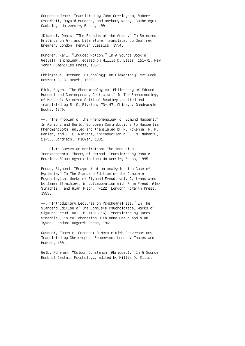Correspondence. Translated by John Cottingham, Robert Stoothoff, Dugald Murdoch, and Anthony Kenny. Cambridge: Cambridge University Press, 1991.

[Diderot, Denis. "The Paradox of the Actor." In Selected Writings on Art and Literature, translated by Geoffrey Bremner. London: Penguin Classics, 1994.

Duncker, Karl. "Induced Motion." In A Source Book of Gestalt Psychology, edited by Willis D. Ellis, 161–72. New York: Humanities Press, 1967.

Ebbinghaus, Hermann. Psychology: An Elementary Text-Book. Boston: D. C. Heath, 1908.

Fink, Eugen. "The Phenomenological Philosophy of Edmund Husserl and Contemporary Criticism." In The Phenomenology of Husserl: Selected Critical Readings, edited and translated by R. O. Elveton, 73–147. Chicago: Quadrangle Books, 1970.

——. "The Problem of the Phenomenology of Edmund Husserl." In Apriori and World: European Contributions to Husserlian Phenomenology, edited and translated by W. McKenna, R. M. Harlan, and L. E. Winters, introduction by J. N. Mohanty, 21–55. Dordrecht: Kluwer, 1981.

——. Sixth Cartesian Meditation: The Idea of a Transcendental Theory of Method. Translated by Ronald Bruzina. Bloomington: Indiana University Press, 1995.

Freud, Sigmund. "Fragment of an Analysis of a Case of Hysteria." In The Standard Edition of the Complete Psychological Works of Sigmund Freud, vol. 7, translated by James Strachley, in collaboration with Anna Freud, Alex Strachley, and Alan Tyson, 7–122. London: Hogarth Press, 1953.

——. "Introductory Lectures on Psychoanalysis." In The Standard Edition of the Complete Psychological Works of Sigmund Freud, vol. 15 (1915–16), translated by James Strachley, in collaboration with Anna Freud and Alan Tyson. London: Hogarth Press, 1961.

Gasquet, Joachim. Cézanne: A Memoir with Conversations. Translated by Christopher Pemberton. London: Thames and Hudson, 1991.

Gelb, Adhémar. "Colour Constancy (Abridged)." In A Source Book of Gestalt Psychology, edited by Willis D. Ellis,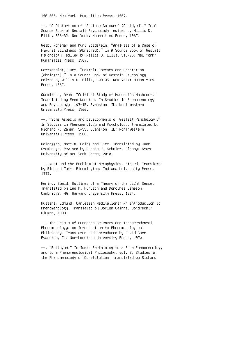196–209. New York: Humanities Press, 1967.

——. "A Distortion of 'Surface Colours' (Abridged)." In A Source Book of Gestalt Psychology, edited by Willis D. Ellis, 326–32. New York: Humanities Press, 1967.

Gelb, Adhémar and Kurt Goldstein. "Analysis of a Case of Figural Blindness (Abridged)." In A Source Book of Gestalt Psychology, edited by Willis D. Ellis, 315–25. New York: Humanities Press, 1967.

Gottschaldt, Kurt. "Gestalt Factors and Repetition (Abridged)." In A Source Book of Gestalt Psychology, edited by Willis D. Ellis, 109–35. New York: Humanities Press, 1967.

Gurwitsch, Aron. "Critical Study of Husserl's Nachwort." Translated by Fred Kersten. In Studies in Phenomenology and Psychology, 107–15. Evanston, IL: Northwestern University Press, 1966.

——. "Some Aspects and Developments of Gestalt Psychology." In Studies in Phenomenology and Psychology, translated by Richard M. Zaner, 3–55. Evanston, IL: Northwestern University Press, 1966.

Heidegger, Martin. Being and Time. Translated by Joan Stambaugh. Revised by Dennis J. Schmidt. Albany: State University of New York Press, 2010.

——. Kant and the Problem of Metaphysics. 5th ed. Translated by Richard Taft. Bloomington: Indiana University Press, 1997.

Hering, Ewald. Outlines of a Theory of the Light Sense. Translated by Leo M. Hurvich and Dorothea Jameson. Cambridge, MA: Harvard University Press, 1964.

Husserl, Edmund. Cartesian Meditations: An Introduction to Phenomenology. Translated by Dorion Cairns. Dordrecht: Kluwer, 1999.

——. The Crisis of European Sciences and Transcendental Phenomenology: An Introduction to Phenomenological Philosophy. Translated and introduced by David Carr. Evanston, IL: Northwestern University Press, 1970.

——. "Epilogue." In Ideas Pertaining to a Pure Phenomenology and to a Phenomenological Philosophy, vol. 2, Studies in the Phenomenology of Constitution, translated by Richard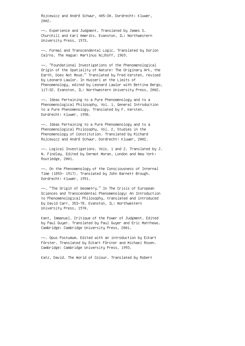Rojcewicz and André Schwur, 405–30. Dordrecht: Kluwer, 2002.

——. Experience and Judgment. Translated by James S. Churchill and Karl Ameriks. Evanston, IL: Northwestern University Press, 1973.

——. Formal and Transcendental Logic. Translated by Dorion Cairns. The Hague: Martinus Nijhoff, 1969.

——. "Foundational Investigations of the Phenomenological Origin of the Spatiality of Nature: The Originary Ark, the Earth, Does Not Move." Translated by Fred Kersten, revised by Leonard Lawlor. In Husserl at the Limits of Phenomenology, edited by Leonard Lawlor with Bettina Bergo, 117–32. Evanston, IL: Northwestern University Press, 2002.

——. Ideas Pertaining to a Pure Phenomenology and to a Phenomenological Philosophy. Vol. 1, General Introduction to a Pure Phenomenology. Translated by F. Kersten. Dordrecht: Kluwer, 1998.

——. Ideas Pertaining to a Pure Phenomenology and to a Phenomenological Philosophy. Vol. 2, Studies in the Phenomenology of Constitution. Translated by Richard Rojcewicz and André Schwur. Dordrecht: Kluwer, 2002.

——. Logical Investigations. Vols. 1 and 2. Translated by J. N. Findlay. Edited by Dermot Moran. London and New York: Routledge, 2001.

——. On the Phenomenology of the Consciousness of Internal Time (1893– 1917). Translated by John Barnett Brough. Dordrecht: Kluwer, 1991.

——. "The Origin of Geometry." In The Crisis of European Sciences and Transcendental Phenomenology: An Introduction to Phenomenological Philosophy, translated and introduced by David Carr, 353–78. Evanston, IL: Northwestern University Press, 1970.

Kant, Immanuel. Critique of the Power of Judgment. Edited by Paul Guyer. Translated by Paul Guyer and Eric Matthews. Cambridge: Cambridge University Press, 2001.

——. Opus Postumum. Edited with an introduction by Eckart Förster. Translated by Eckart Förster and Michael Rosen. Cambridge: Cambridge University Press, 1993.

Katz, David. The World of Colour. Translated by Robert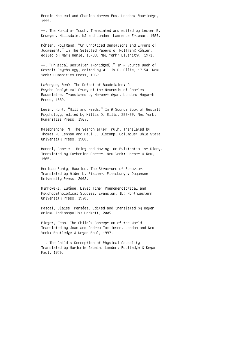Brodie MacLeod and Charles Warren Fox. London: Routledge, 1999.

——. The World of Touch. Translated and edited by Lester E. Krueger. Hillsdale, NJ and London: Lawrence Erlbaum, 1989.

Köhler, Wolfgang. "On Unnoticed Sensations and Errors of Judgement." In The Selected Papers of Wolfgang Köhler, edited by Mary Henle, 13–39. New York: Liveright, 1971.

——. "Physical Gestalten (Abridged)." In A Source Book of Gestalt Psychology, edited by Willis D. Ellis, 17–54. New York: Humanities Press, 1967.

Laforgue, René. The Defeat of Baudelaire: A Psycho-Analytical Study of the Neurosis of Charles Baudelaire. Translated by Herbert Agar. London: Hogarth Press, 1932.

Lewin, Kurt. "Will and Needs." In A Source Book of Gestalt Psychology, edited by Willis D. Ellis, 283–99. New York: Humanities Press, 1967.

Malebranche, N. The Search after Truth. Translated by Thomas M. Lennon and Paul J. Olscamp. Columbus: Ohio State University Press, 1980.

Marcel, Gabriel. Being and Having: An Existentialist Diary. Translated by Katherine Farrer. New York: Harper & Row, 1965.

Merleau-Ponty, Maurice. The Structure of Behavior. Translated by Alden L. Fischer. Pittsburgh: Duquesne University Press, 2002.

Minkowski, Eugène. Lived Time: Phenomenological and Psychopathological Studies. Evanston, IL: Northwestern University Press, 1970.

Pascal, Blaise. Pensées. Edited and translated by Roger Ariew. Indianapolis: Hackett, 2005.

Piaget, Jean. The Child's Conception of the World. Translated by Joan and Andrew Tomlinson. London and New York: Routledge & Kegan Paul, 1997.

——. The Child's Conception of Physical Causality. Translated by Marjorie Gabain. London: Routledge & Kegan Paul, 1970.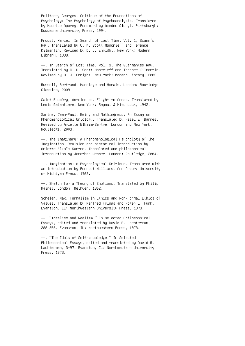Politzer, Georges. Critique of the Foundations of Psychology: The Psychology of Psychoanalysis. Translated by Maurice Apprey. Foreword by Amedeo Giorgi. Pittsburgh: Duquesne University Press, 1994.

Proust, Marcel. In Search of Lost Time. Vol. 1, Swann's Way. Translated by C. K. Scott Moncrieff and Terence Kilmartin. Revised by D. J. Enright. New York: Modern Library, 1998.

——. In Search of Lost Time. Vol. 3, The Guermantes Way. Translated by C. K. Scott Moncrieff and Terence Kilmartin. Revised by D. J. Enright. New York: Modern Library, 2003.

Russell, Bertrand. Marriage and Morals. London: Routledge Classics, 2009.

Saint-Exupéry, Antoine de. Flight to Arras. Translated by Lewis Galantière. New York: Reynal & Hitchcock, 1942.

Sartre, Jean-Paul. Being and Nothingness: An Essay on Phenomenological Ontology. Translated by Hazel E. Barnes. Revised by Arlette Elkaïm-Sartre. London and New York: Routledge, 2003.

——. The Imaginary: A Phenomenological Psychology of the Imagination. Revision and historical introduction by Arlette Elkaïm-Sartre. Translated and philosophical introduction by Jonathan Webber. London: Routledge, 2004.

——. Imagination: A Psychological Critique. Translated with an introduction by Forrest Williams. Ann Arbor: University of Michigan Press, 1962.

——. Sketch for a Theory of Emotions. Translated by Philip Mairet. London: Methuen, 1962.

Scheler, Max. Formalism in Ethics and Non-Formal Ethics of Values. Translated by Manfred Frings and Roger L. Funk. Evanston, IL: Northwestern University Press, 1973.

——. "Idealism and Realism." In Selected Philosophical Essays, edited and translated by David R. Lachterman, 288–356. Evanston, IL: Northwestern Press, 1973.

——. "The Idols of Self-Knowledge." In Selected Philosophical Essays, edited and translated by David R. Lachterman, 3–97. Evanston, IL: Northwestern University Press, 1973.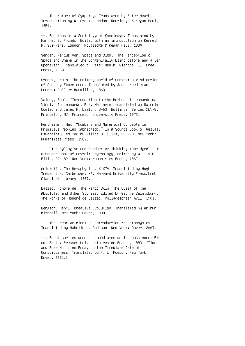——. The Nature of Sympathy. Translated by Peter Heath. Introduction by W. Stark. London: Routledge & Kegan Paul, 1954.

——. Problems of a Sociology of Knowledge. Translated by Manfred S. Frings. Edited with an introduction by Kenneth W. Stikkers. London: Routledge & Kegan Paul, 1980.

Senden, Marius von. Space and Sight: The Perception of Space and Shape in the Congenitally Blind before and after Operation. Translated by Peter Heath. Glencoe, IL: Free Press, 1960.

Straus, Erwin. The Primary World of Senses: A Vindication of Sensory Experience. Translated by Jacob Needleman. London: Collier-Macmillan, 1963.

Valéry, Paul. "Introduction to the Method of Leonardo da Vinci." In Leonardo, Poe, Mallarmé, translated by Malcolm Cowley and James R. Lawlor, 3–63. Bollingen Series XLV-8. Princeton, NJ: Princeton University Press, 1972.

Wertheimer, Max. "Numbers and Numerical Concepts in Primitive Peoples (Abridged)." In A Source Book of Gestalt Psychology, edited by Willis D. Ellis, 265–73. New York: Humanities Press, 1967.

——. "The Syllogism and Productive Thinking (Abridged)." In A Source Book of Gestalt Psychology, edited by Willis D. Ellis, 274–82. New York: Humanities Press, 1967.

Aristotle. The Metaphysics. X–XIV. Translated by Hugh Tredennick. Cambridge, MA: Harvard University Press/Loeb Classical Library, 1997.

Balzac, Honoré de. The Magic Skin, The Quest of the Absolute, and Other Stories. Edited by George Saintsbury. The Works of Honoré de Balzac. Philadelphia: Avil, 1901.

Bergson, Henri. Creative Evolution. Translated by Arthur Mitchell. New York: Dover, 1998.

——. The Creative Mind: An Introduction to Metaphysics. Translated by Mabelle L. Andison. New York: Dover, 2007.

——. Essai sur les données immédiates de la conscience. 5th ed. Paris: Presses Universitaires de France, 1993. [Time and Free Will: An Essay on the Immediate Data of Consciousness. Translated by F. L. Pogson. New York: Dover, 2001.]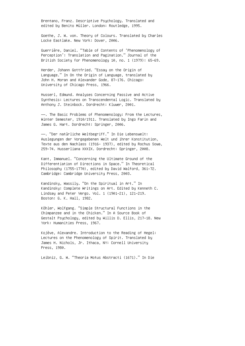Brentano, Franz. Descriptive Psychology. Translated and edited by Benito Müller. London: Routledge, 1995.

Goethe, J. W. von. Theory of Colours. Translated by Charles Locke Eastlake. New York: Dover, 2006.

Guerrière, Daniel. "Table of Contents of 'Phenomenology of Perception': Translation and Pagination." Journal of the British Society for Phenomenology 10, no. 1 (1979): 65–69.

Herder, Johann Gottfried. "Essay on the Origin of Language." In On the Origin of Language, translated by John H. Moran and Alexander Gode, 87–176. Chicago: University of Chicago Press, 1966.

Husserl, Edmund. Analyses Concerning Passive and Active Synthesis: Lectures on Transcendental Logic. Translated by Anthony J. Steinbock. Dordrecht: Kluwer, 2001.

——. The Basic Problems of Phenomenology: From the Lectures, Winter Semester, 1910/1911. Translated by Ingo Farin and James G. Hart. Dordrecht: Springer, 2006.

——. "Der natürliche Weltbegriff." In Die Lebenswelt: Auslegungen der Vorgegebenen Welt und ihrer Konstitution, Texte aus den Nachlass (1916– 1937), edited by Rochus Sowa, 259–74. Husserliana XXXIX. Dordrecht: Springer, 2008.

Kant, Immanuel. "Concerning the Ultimate Ground of the Differentiation of Directions in Space." In Theoretical Philosophy (1755–1770), edited by David Walford, 361–72. Cambridge: Cambridge University Press, 2003.

Kandinsky, Wassily. "On the Spiritual in Art." In Kandinsky: Complete Writings on Art. Edited by Kenneth C. Lindsay and Peter Vergo. Vol. 1 (1901–21), 121–219. Boston: G. K. Hall, 1982.

Köhler, Wolfgang. "Simple Structural Functions in the Chimpanzee and in the Chicken." In A Source Book of Gestalt Psychology, edited by Willis D. Ellis, 217–18. New York: Humanities Press, 1967.

Kojève, Alexandre. Introduction to the Reading of Hegel: Lectures on the Phenomenology of Spirit. Translated by James H. Nichols, Jr. Ithaca, NY: Cornell University Press, 1980.

Leibniz, G. W. "Theoria Motus Abstracti (1671)." In Die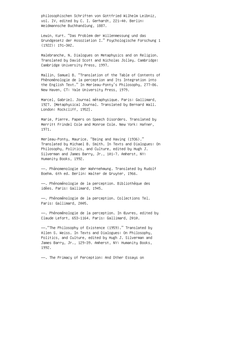philosophischen Schriften von Gottfried Wilhelm Leibniz, vol. IV, edited by C. I. Gerhardt, 221–40. Berlin: Weidmannsche Buchhandlung, 1887.

Lewin, Kurt. "Das Problem der Willenmessung und das Grundgesetz der Assoziation I." Psychologische Forschung 1 (1922): 191–302.

Malebranche, N. Dialogues on Metaphysics and on Religion. Translated by David Scott and Nicholas Jolley. Cambridge: Cambridge University Press, 1997.

Mallin, Samuel B. "Translation of the Table of Contents of Phénoménologie de la perception and Its Integration into the English Text." In Merleau-Ponty's Philosophy, 277–86. New Haven, CT: Yale University Press, 1979.

Marcel, Gabriel. Journal métaphysique. Paris: Gallimard, 1927. [Metaphysical Journal. Translated by Bernard Wall. London: Rockcliff, 1952].

Marie, Pierre. Papers on Speech Disorders. Translated by Merritt Frindel Cole and Monroe Cole. New York: Hafner, 1971.

Merleau-Ponty, Maurice. "Being and Having (1936)." Translated by Michael B. Smith. In Texts and Dialogues: On Philosophy, Politics, and Culture, edited by Hugh J. Silverman and James Barry, Jr., 101–7. Amherst, NY: Humanity Books, 1992.

——. Phänomenologie der Wahrnehmung. Translated by Rudolf Boehm. 6th ed. Berlin: Walter de Gruyter, 1966.

——. Phénoménologie de la perception. Bibliothèque des idées. Paris: Gallimard, 1945.

——. Phénoménologie de la perception. Collections Tel. Paris: Gallimard, 2005.

——. Phénoménologie de la perception. In Œuvres, edited by Claude Lefort, 653–1164. Paris: Gallimard, 2010.

——."The Philosophy of Existence (1959)." Translated by Allen S. Weiss. In Texts and Dialogues: On Philosophy, Politics, and Culture, edited by Hugh J. Silverman and James Barry, Jr., 129–39. Amherst, NY: Humanity Books, 1992.

——. The Primacy of Perception: And Other Essays on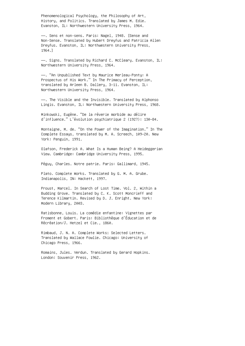Phenomenological Psychology, the Philosophy of Art, History, and Politics. Translated by James M. Edie. Evanston, IL: Northwestern University Press, 1964.

——. Sens et non-sens. Paris: Nagel, 1948. [Sense and Non-Sense. Translated by Hubert Dreyfus and Patricia Allen Dreyfus. Evanston, IL: Northwestern University Press, 1964.]

——. Signs. Translated by Richard C. McCleary. Evanston, IL: Northwestern University Press, 1964.

——. "An Unpublished Text by Maurice Merleau-Ponty: A Prospectus of His Work." In The Primacy of Perception, translated by Arleen B. Dallery, 3–11. Evanston, IL: Northwestern University Press, 1964.

——. The Visible and the Invisible. Translated by Alphonso Lingis. Evanston, IL: Northwestern University Press, 1968.

Minkowski, Eugène. "De la rêverie morbide au délire d'influence." L'évolution psychiatrique 2 (1927): 130–84.

Montaigne, M. de. "On the Power of the Imagination." In The Complete Essays, translated by M. A. Screech, 109–20. New York: Penguin, 1991.

Olafson, Frederick A. What Is a Human Being? A Heideggerian View. Cambridge: Cambridge University Press, 1995.

Péguy, Charles. Notre patrie. Paris: Gallimard, 1945.

Plato. Complete Works. Translated by G. M. A. Grube. Indianapolis, IN: Hackett, 1997.

Proust, Marcel. In Search of Lost Time. Vol. 2, Within a Budding Grove. Translated by C. K. Scott Moncrieff and Terence Kilmartin. Revised by D. J. Enright. New York: Modern Library, 2003.

Ratisbonne, Louis. La comédie enfantine: Vignettes par Froment et Gobert. Paris: Bibliothèque d'Éducation et de Récréation/J. Hetzel et Cie., 1860.

Rimbaud, J. N. A. Complete Works; Selected Letters. Translated by Wallace Fowlie. Chicago: University of Chicago Press, 1966.

Romains, Jules. Verdun. Translated by Gerard Hopkins. London: Souvenir Press, 1962.